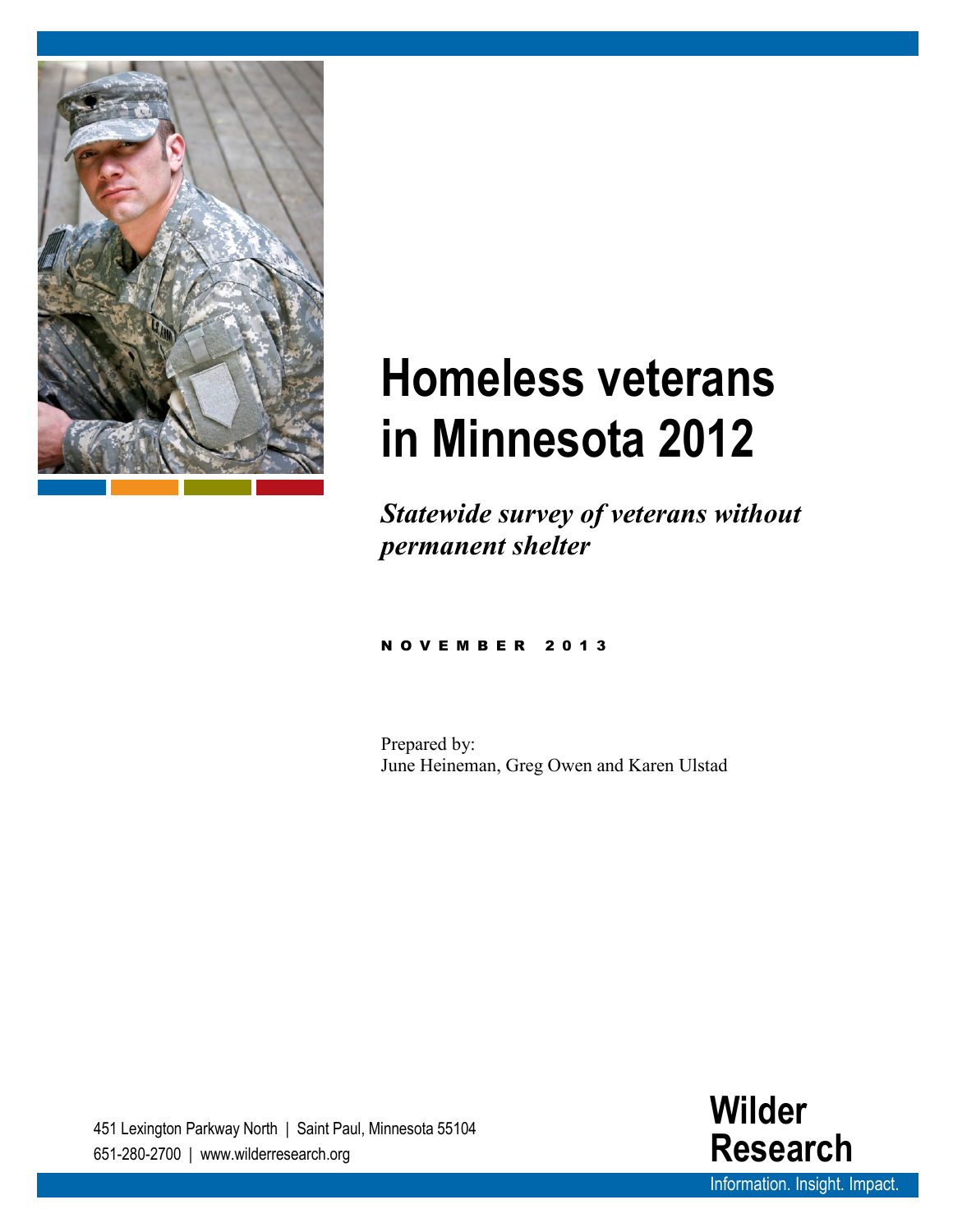

# **Homeless veterans in Minnesota 2012**

*Statewide survey of veterans without permanent shelter*

#### NOVEMBER 201 3

Prepared by: June Heineman, Greg Owen and Karen Ulstad

451 Lexington Parkway North | Saint Paul, Minnesota 55104 651-280-2700 | www.wilderresearch.org

**Wilder Research** [Information.](http://www.wilderresearch.org/) Insight. Impact.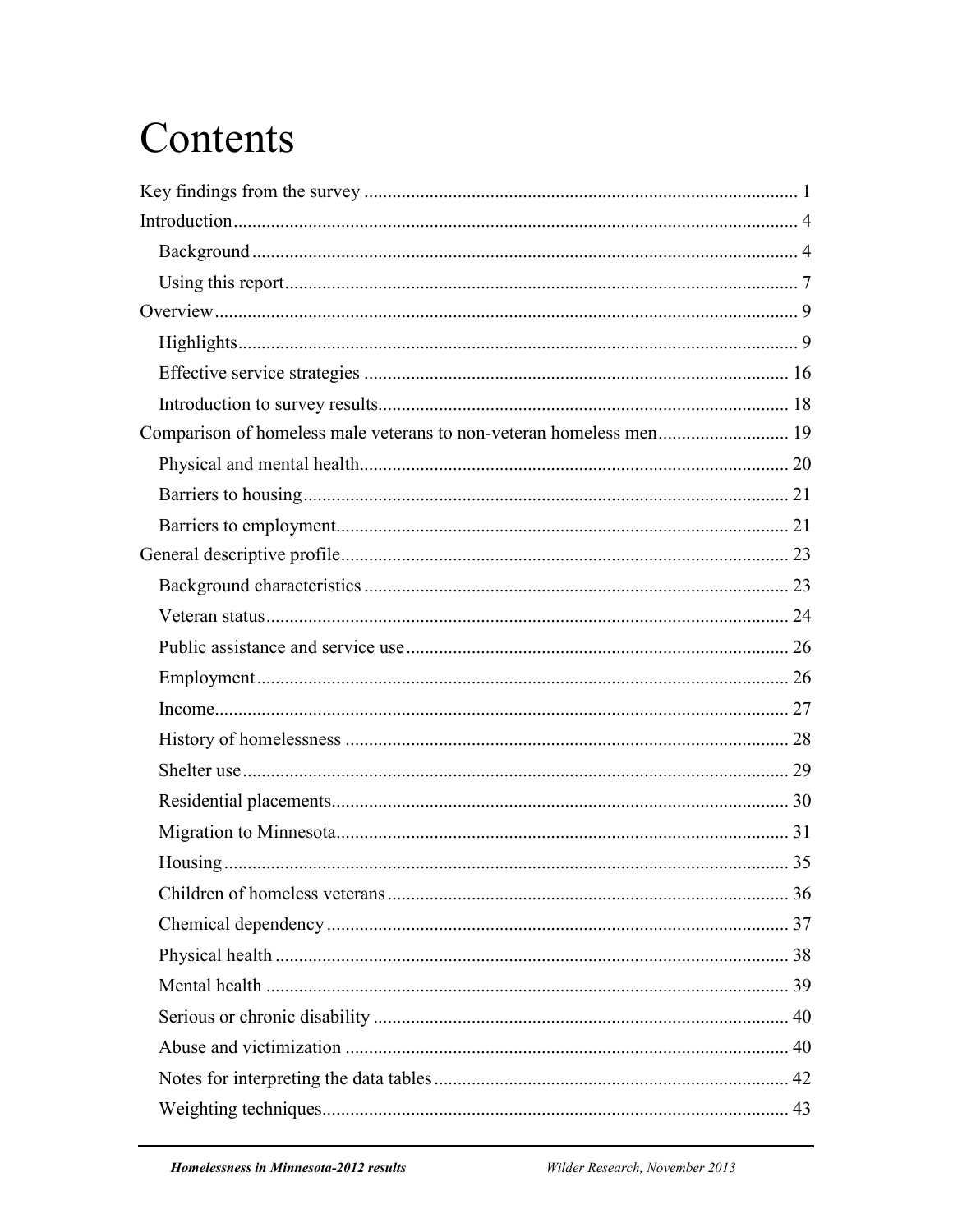# Contents

| Comparison of homeless male veterans to non-veteran homeless men 19 |  |
|---------------------------------------------------------------------|--|
|                                                                     |  |
|                                                                     |  |
|                                                                     |  |
|                                                                     |  |
|                                                                     |  |
|                                                                     |  |
|                                                                     |  |
|                                                                     |  |
|                                                                     |  |
|                                                                     |  |
|                                                                     |  |
|                                                                     |  |
|                                                                     |  |
|                                                                     |  |
|                                                                     |  |
|                                                                     |  |
|                                                                     |  |
|                                                                     |  |
|                                                                     |  |
|                                                                     |  |
|                                                                     |  |
|                                                                     |  |
|                                                                     |  |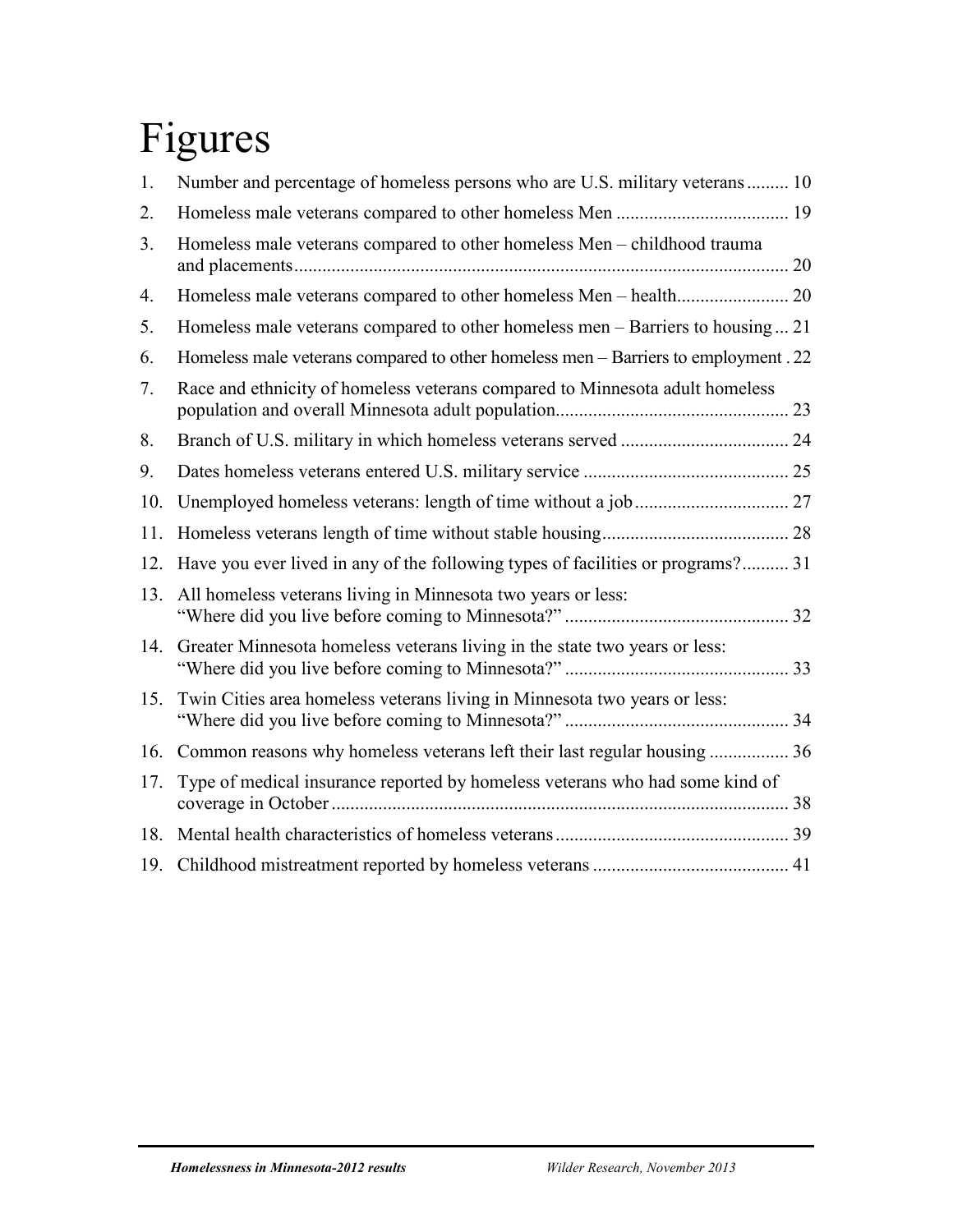# Figures

| 1.  | Number and percentage of homeless persons who are U.S. military veterans 10        |  |
|-----|------------------------------------------------------------------------------------|--|
| 2.  |                                                                                    |  |
| 3.  | Homeless male veterans compared to other homeless Men - childhood trauma           |  |
| 4.  |                                                                                    |  |
| 5.  | Homeless male veterans compared to other homeless men – Barriers to housing  21    |  |
| 6.  | Homeless male veterans compared to other homeless men – Barriers to employment. 22 |  |
| 7.  | Race and ethnicity of homeless veterans compared to Minnesota adult homeless       |  |
| 8.  |                                                                                    |  |
| 9.  |                                                                                    |  |
| 10. |                                                                                    |  |
| 11. |                                                                                    |  |
| 12. | Have you ever lived in any of the following types of facilities or programs? 31    |  |
| 13. | All homeless veterans living in Minnesota two years or less:                       |  |
| 14. | Greater Minnesota homeless veterans living in the state two years or less:         |  |
| 15. | Twin Cities area homeless veterans living in Minnesota two years or less:          |  |
| 16. | Common reasons why homeless veterans left their last regular housing  36           |  |
| 17. | Type of medical insurance reported by homeless veterans who had some kind of       |  |
| 18. |                                                                                    |  |
| 19. |                                                                                    |  |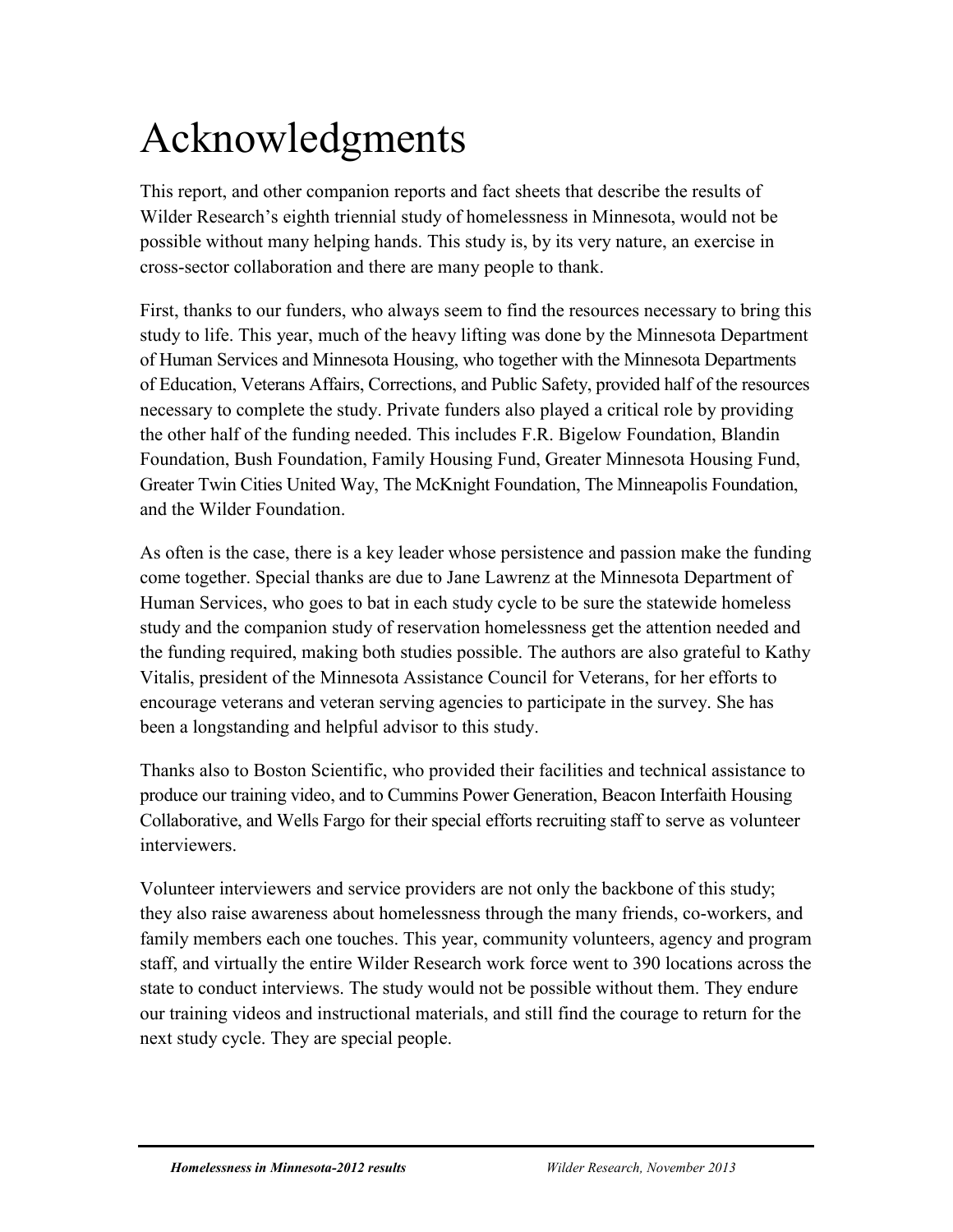# Acknowledgments

This report, and other companion reports and fact sheets that describe the results of Wilder Research's eighth triennial study of homelessness in Minnesota, would not be possible without many helping hands. This study is, by its very nature, an exercise in cross-sector collaboration and there are many people to thank.

First, thanks to our funders, who always seem to find the resources necessary to bring this study to life. This year, much of the heavy lifting was done by the Minnesota Department of Human Services and Minnesota Housing, who together with the Minnesota Departments of Education, Veterans Affairs, Corrections, and Public Safety, provided half of the resources necessary to complete the study. Private funders also played a critical role by providing the other half of the funding needed. This includes F.R. Bigelow Foundation, Blandin Foundation, Bush Foundation, Family Housing Fund, Greater Minnesota Housing Fund, Greater Twin Cities United Way, The McKnight Foundation, The Minneapolis Foundation, and the Wilder Foundation.

As often is the case, there is a key leader whose persistence and passion make the funding come together. Special thanks are due to Jane Lawrenz at the Minnesota Department of Human Services, who goes to bat in each study cycle to be sure the statewide homeless study and the companion study of reservation homelessness get the attention needed and the funding required, making both studies possible. The authors are also grateful to Kathy Vitalis, president of the Minnesota Assistance Council for Veterans, for her efforts to encourage veterans and veteran serving agencies to participate in the survey. She has been a longstanding and helpful advisor to this study.

Thanks also to Boston Scientific, who provided their facilities and technical assistance to produce our training video, and to Cummins Power Generation, Beacon Interfaith Housing Collaborative, and Wells Fargo for their special efforts recruiting staff to serve as volunteer interviewers.

Volunteer interviewers and service providers are not only the backbone of this study; they also raise awareness about homelessness through the many friends, co-workers, and family members each one touches. This year, community volunteers, agency and program staff, and virtually the entire Wilder Research work force went to 390 locations across the state to conduct interviews. The study would not be possible without them. They endure our training videos and instructional materials, and still find the courage to return for the next study cycle. They are special people.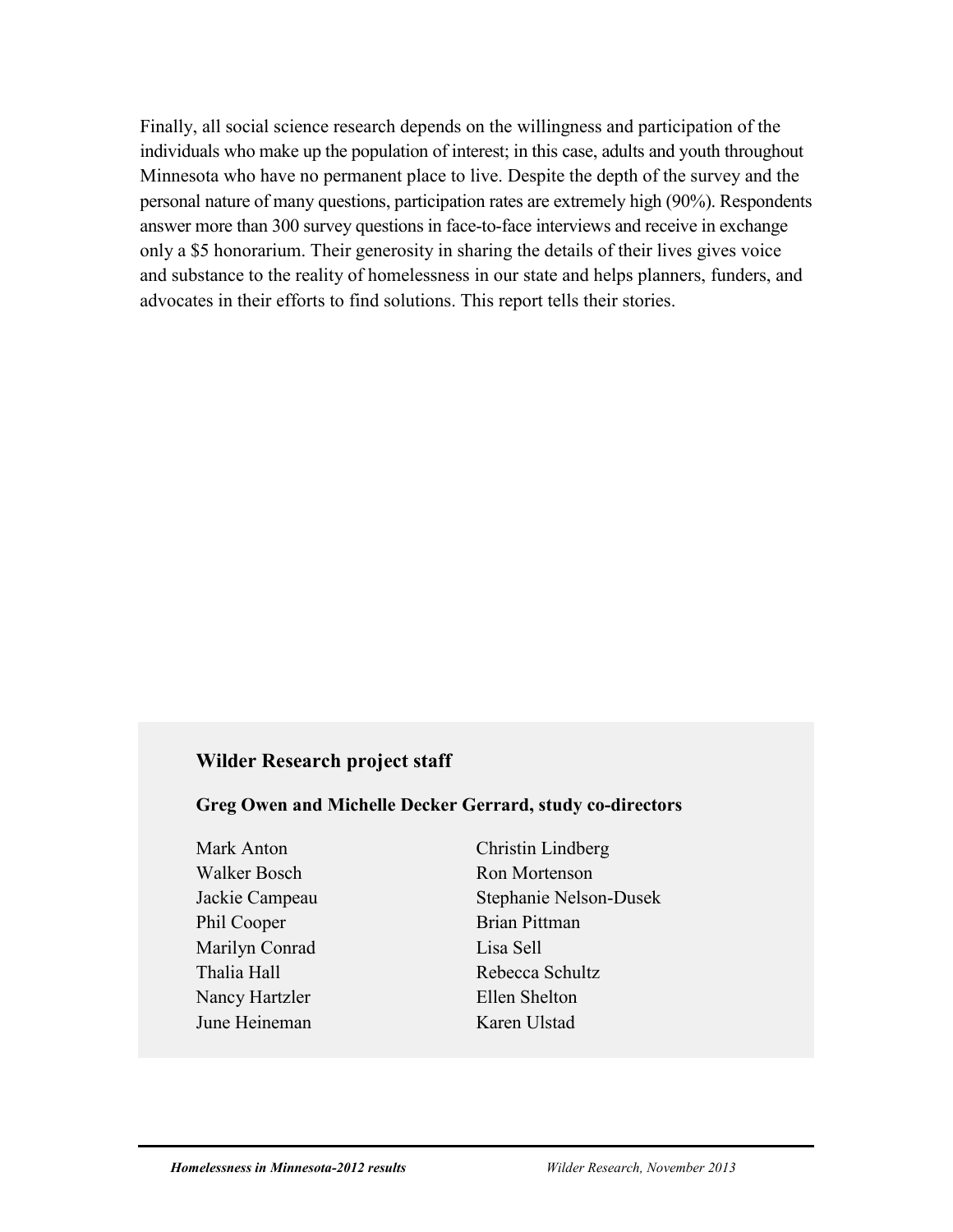Finally, all social science research depends on the willingness and participation of the individuals who make up the population of interest; in this case, adults and youth throughout Minnesota who have no permanent place to live. Despite the depth of the survey and the personal nature of many questions, participation rates are extremely high (90%). Respondents answer more than 300 survey questions in face-to-face interviews and receive in exchange only a \$5 honorarium. Their generosity in sharing the details of their lives gives voice and substance to the reality of homelessness in our state and helps planners, funders, and advocates in their efforts to find solutions. This report tells their stories.

### **Wilder Research project staff**

**Greg Owen and Michelle Decker Gerrard, study co-directors**

- Walker Bosch Ron Mortenson Phil Cooper Brian Pittman Marilyn Conrad Lisa Sell Thalia Hall Rebecca Schultz Nancy Hartzler Ellen Shelton June Heineman Karen Ulstad
- Mark Anton Christin Lindberg Jackie Campeau Stephanie Nelson-Dusek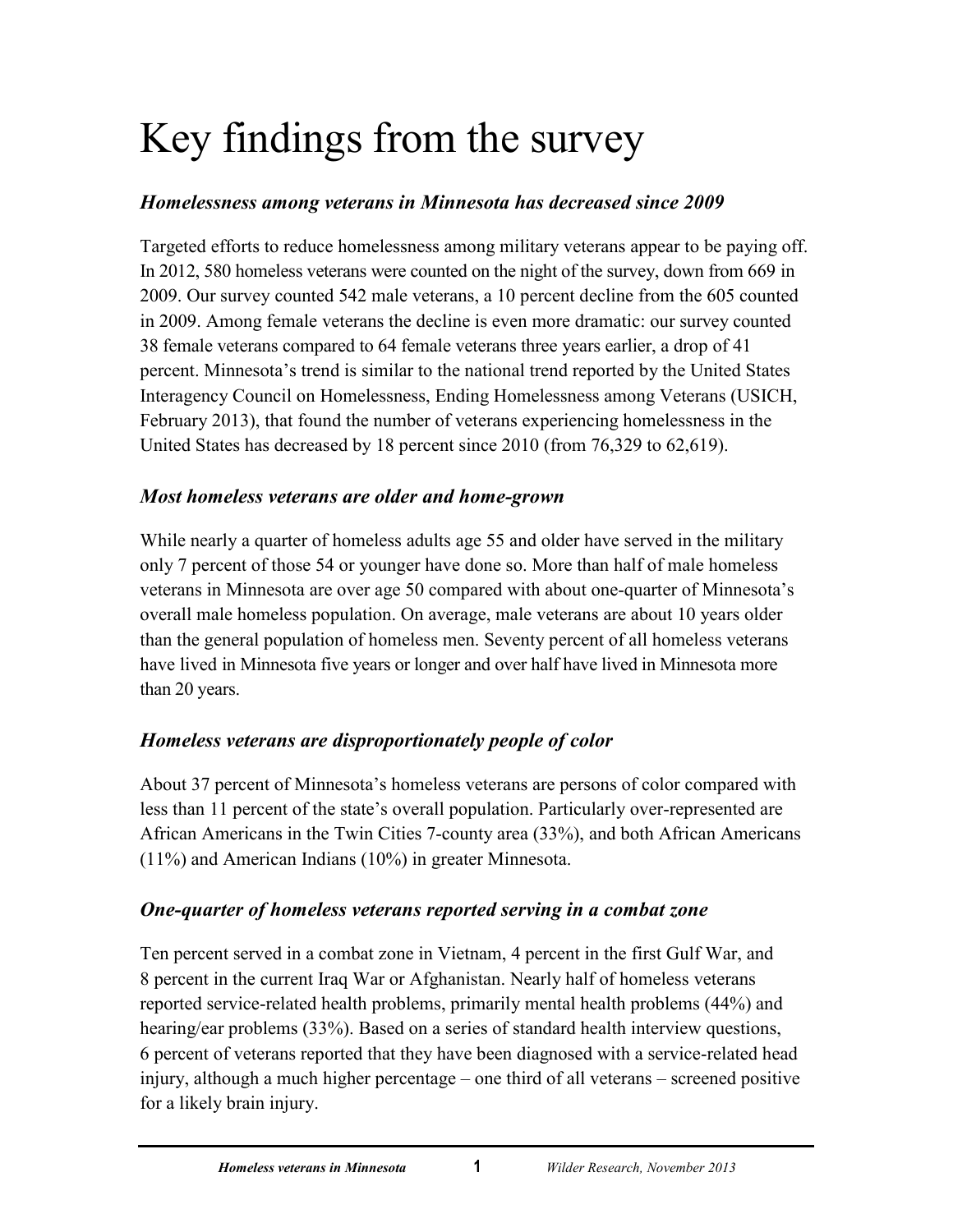# <span id="page-5-0"></span>Key findings from the survey

## *Homelessness among veterans in Minnesota has decreased since 2009*

Targeted efforts to reduce homelessness among military veterans appear to be paying off. In 2012, 580 homeless veterans were counted on the night of the survey, down from 669 in 2009. Our survey counted 542 male veterans, a 10 percent decline from the 605 counted in 2009. Among female veterans the decline is even more dramatic: our survey counted 38 female veterans compared to 64 female veterans three years earlier, a drop of 41 percent. Minnesota's trend is similar to the national trend reported by the United States Interagency Council on Homelessness, Ending Homelessness among Veterans (USICH, February 2013), that found the number of veterans experiencing homelessness in the United States has decreased by 18 percent since 2010 (from 76,329 to 62,619).

## *Most homeless veterans are older and home-grown*

While nearly a quarter of homeless adults age 55 and older have served in the military only 7 percent of those 54 or younger have done so. More than half of male homeless veterans in Minnesota are over age 50 compared with about one-quarter of Minnesota's overall male homeless population. On average, male veterans are about 10 years older than the general population of homeless men. Seventy percent of all homeless veterans have lived in Minnesota five years or longer and over half have lived in Minnesota more than 20 years.

# *Homeless veterans are disproportionately people of color*

About 37 percent of Minnesota's homeless veterans are persons of color compared with less than 11 percent of the state's overall population. Particularly over-represented are African Americans in the Twin Cities 7-county area (33%), and both African Americans (11%) and American Indians (10%) in greater Minnesota.

## *One-quarter of homeless veterans reported serving in a combat zone*

Ten percent served in a combat zone in Vietnam, 4 percent in the first Gulf War, and 8 percent in the current Iraq War or Afghanistan. Nearly half of homeless veterans reported service-related health problems, primarily mental health problems (44%) and hearing/ear problems (33%). Based on a series of standard health interview questions, 6 percent of veterans reported that they have been diagnosed with a service-related head injury, although a much higher percentage – one third of all veterans – screened positive for a likely brain injury.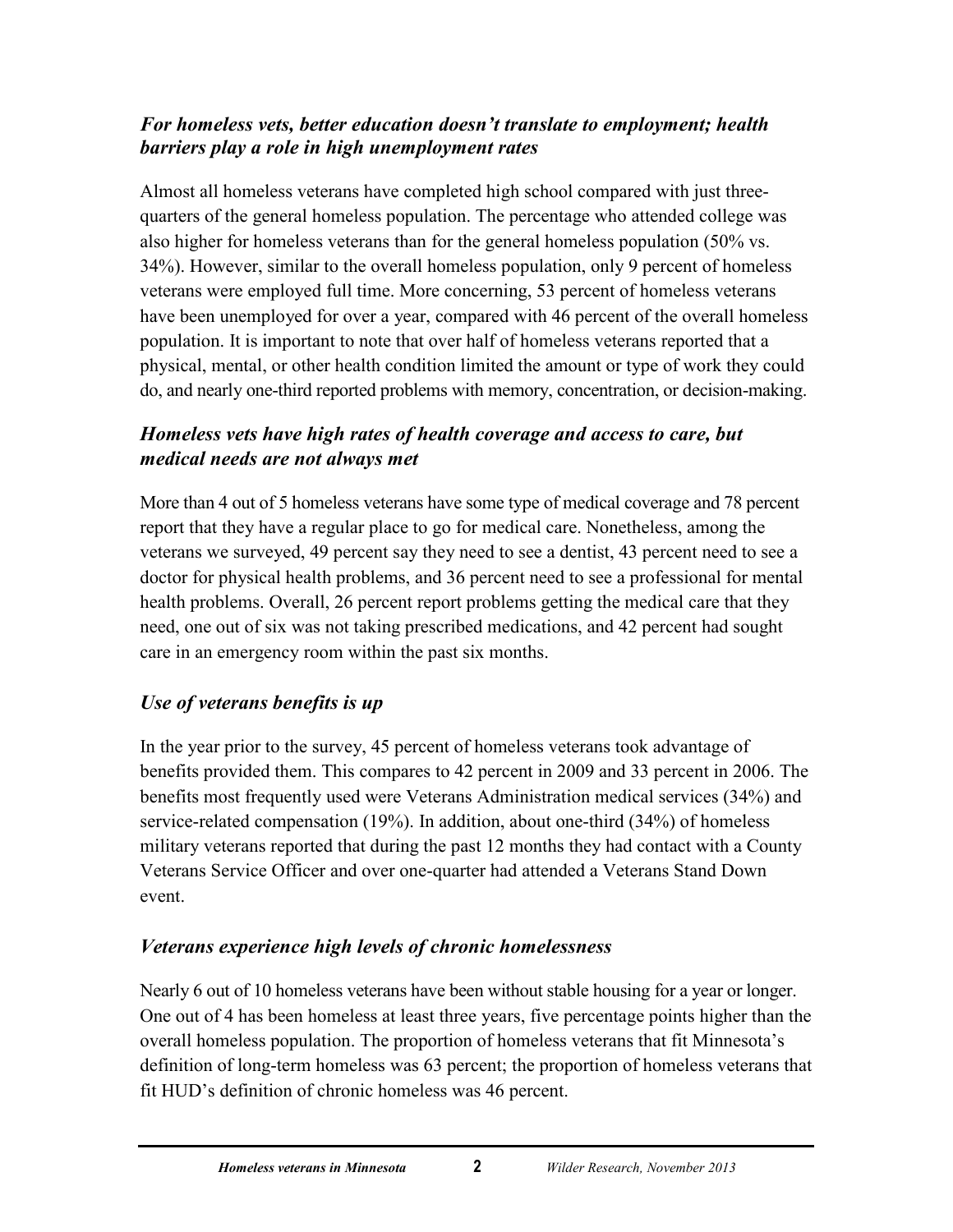## *For homeless vets, better education doesn't translate to employment; health barriers play a role in high unemployment rates*

Almost all homeless veterans have completed high school compared with just threequarters of the general homeless population. The percentage who attended college was also higher for homeless veterans than for the general homeless population (50% vs. 34%). However, similar to the overall homeless population, only 9 percent of homeless veterans were employed full time. More concerning, 53 percent of homeless veterans have been unemployed for over a year, compared with 46 percent of the overall homeless population. It is important to note that over half of homeless veterans reported that a physical, mental, or other health condition limited the amount or type of work they could do, and nearly one-third reported problems with memory, concentration, or decision-making.

## *Homeless vets have high rates of health coverage and access to care, but medical needs are not always met*

More than 4 out of 5 homeless veterans have some type of medical coverage and 78 percent report that they have a regular place to go for medical care. Nonetheless, among the veterans we surveyed, 49 percent say they need to see a dentist, 43 percent need to see a doctor for physical health problems, and 36 percent need to see a professional for mental health problems. Overall, 26 percent report problems getting the medical care that they need, one out of six was not taking prescribed medications, and 42 percent had sought care in an emergency room within the past six months.

## *Use of veterans benefits is up*

In the year prior to the survey, 45 percent of homeless veterans took advantage of benefits provided them. This compares to 42 percent in 2009 and 33 percent in 2006. The benefits most frequently used were Veterans Administration medical services (34%) and service-related compensation (19%). In addition, about one-third (34%) of homeless military veterans reported that during the past 12 months they had contact with a County Veterans Service Officer and over one-quarter had attended a Veterans Stand Down event.

# *Veterans experience high levels of chronic homelessness*

Nearly 6 out of 10 homeless veterans have been without stable housing for a year or longer. One out of 4 has been homeless at least three years, five percentage points higher than the overall homeless population. The proportion of homeless veterans that fit Minnesota's definition of long-term homeless was 63 percent; the proportion of homeless veterans that fit HUD's definition of chronic homeless was 46 percent.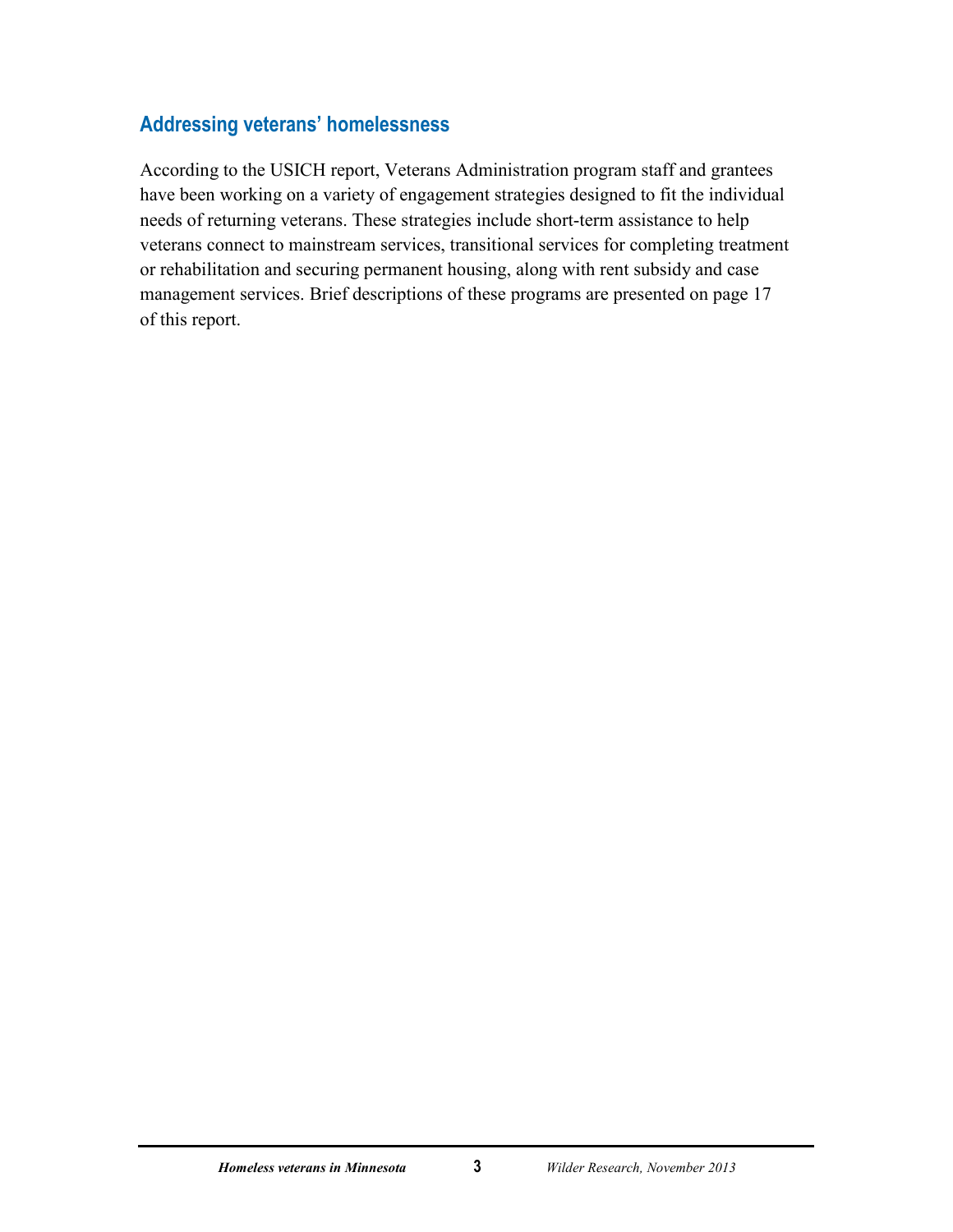## **Addressing veterans' homelessness**

According to the USICH report, Veterans Administration program staff and grantees have been working on a variety of engagement strategies designed to fit the individual needs of returning veterans. These strategies include short-term assistance to help veterans connect to mainstream services, transitional services for completing treatment or rehabilitation and securing permanent housing, along with rent subsidy and case management services. Brief descriptions of these programs are presented on page 17 of this report.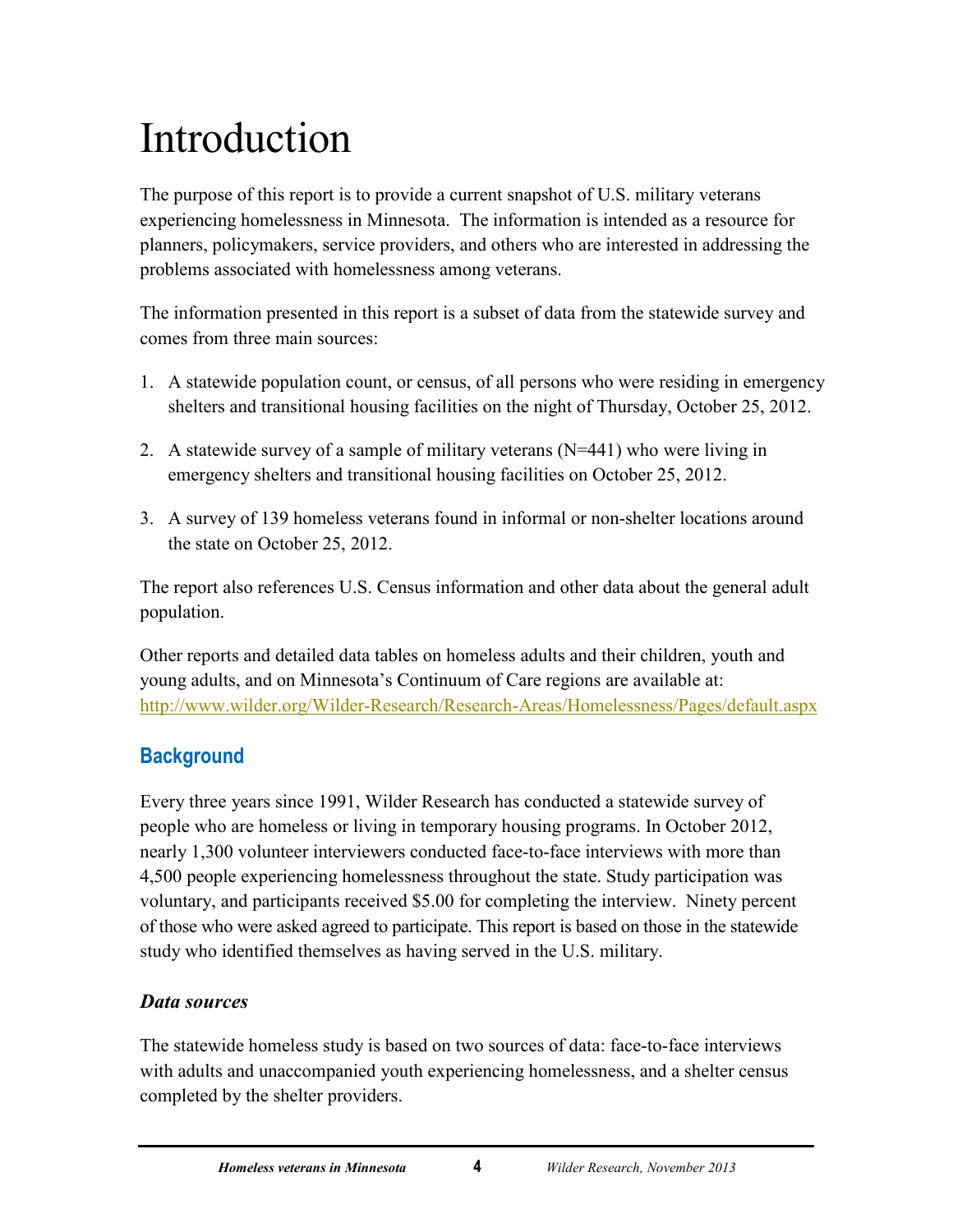# <span id="page-8-0"></span>Introduction

The purpose of this report is to provide a current snapshot of U.S. military veterans experiencing homelessness in Minnesota. The information is intended as a resource for planners, policymakers, service providers, and others who are interested in addressing the problems associated with homelessness among veterans.

The information presented in this report is a subset of data from the statewide survey and comes from three main sources:

- 1. A statewide population count, or census, of all persons who were residing in emergency shelters and transitional housing facilities on the night of Thursday, October 25, 2012.
- 2. A statewide survey of a sample of military veterans (N=441) who were living in emergency shelters and transitional housing facilities on October 25, 2012.
- 3. A survey of 139 homeless veterans found in informal or non-shelter locations around the state on October 25, 2012.

The report also references U.S. Census information and other data about the general adult population.

Other reports and detailed data tables on homeless adults and their children, youth and young adults, and on Minnesota's Continuum of Care regions are available at: <http://www.wilder.org/Wilder-Research/Research-Areas/Homelessness/Pages/default.aspx>

# <span id="page-8-1"></span>**Background**

Every three years since 1991, Wilder Research has conducted a statewide survey of people who are homeless or living in temporary housing programs. In October 2012, nearly 1,300 volunteer interviewers conducted face-to-face interviews with more than 4,500 people experiencing homelessness throughout the state. Study participation was voluntary, and participants received \$5.00 for completing the interview. Ninety percent of those who were asked agreed to participate. This report is based on those in the statewide study who identified themselves as having served in the U.S. military.

## *Data sources*

The statewide homeless study is based on two sources of data: face-to-face interviews with adults and unaccompanied youth experiencing homelessness, and a shelter census completed by the shelter providers.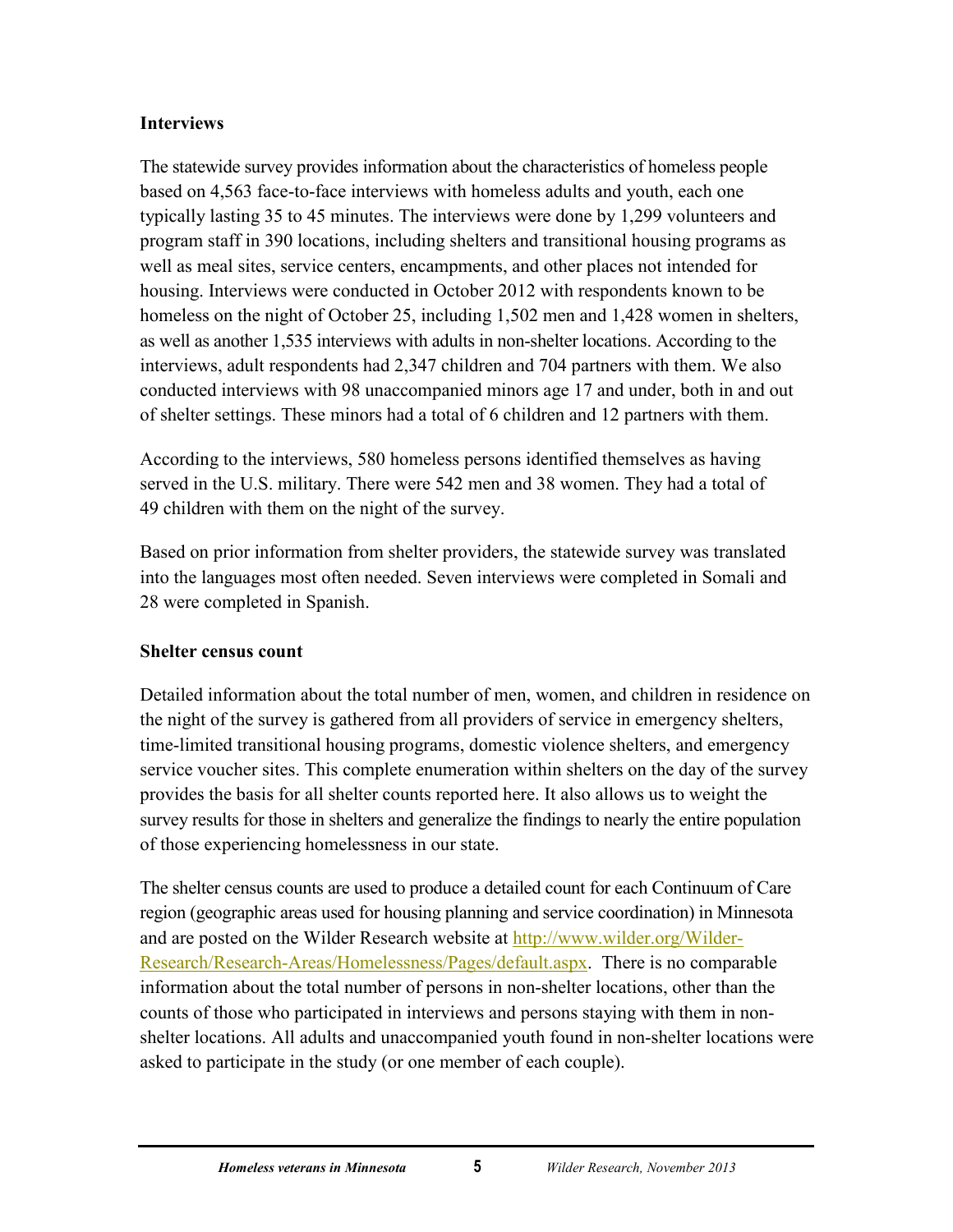## **Interviews**

The statewide survey provides information about the characteristics of homeless people based on 4,563 face-to-face interviews with homeless adults and youth, each one typically lasting 35 to 45 minutes. The interviews were done by 1,299 volunteers and program staff in 390 locations, including shelters and transitional housing programs as well as meal sites, service centers, encampments, and other places not intended for housing. Interviews were conducted in October 2012 with respondents known to be homeless on the night of October 25, including 1,502 men and 1,428 women in shelters, as well as another 1,535 interviews with adults in non-shelter locations. According to the interviews, adult respondents had 2,347 children and 704 partners with them. We also conducted interviews with 98 unaccompanied minors age 17 and under, both in and out of shelter settings. These minors had a total of 6 children and 12 partners with them.

According to the interviews, 580 homeless persons identified themselves as having served in the U.S. military. There were 542 men and 38 women. They had a total of 49 children with them on the night of the survey.

Based on prior information from shelter providers, the statewide survey was translated into the languages most often needed. Seven interviews were completed in Somali and 28 were completed in Spanish.

#### **Shelter census count**

Detailed information about the total number of men, women, and children in residence on the night of the survey is gathered from all providers of service in emergency shelters, time-limited transitional housing programs, domestic violence shelters, and emergency service voucher sites. This complete enumeration within shelters on the day of the survey provides the basis for all shelter counts reported here. It also allows us to weight the survey results for those in shelters and generalize the findings to nearly the entire population of those experiencing homelessness in our state.

The shelter census counts are used to produce a detailed count for each Continuum of Care region (geographic areas used for housing planning and service coordination) in Minnesota and are posted on the Wilder Research website at [http://www.wilder.org/Wilder-](http://www.wilder.org/Wilder-Research/Research-Areas/Homelessness/Pages/default.aspx)[Research/Research-Areas/Homelessness/Pages/default.aspx.](http://www.wilder.org/Wilder-Research/Research-Areas/Homelessness/Pages/default.aspx) There is no comparable information about the total number of persons in non-shelter locations, other than the counts of those who participated in interviews and persons staying with them in nonshelter locations. All adults and unaccompanied youth found in non-shelter locations were asked to participate in the study (or one member of each couple).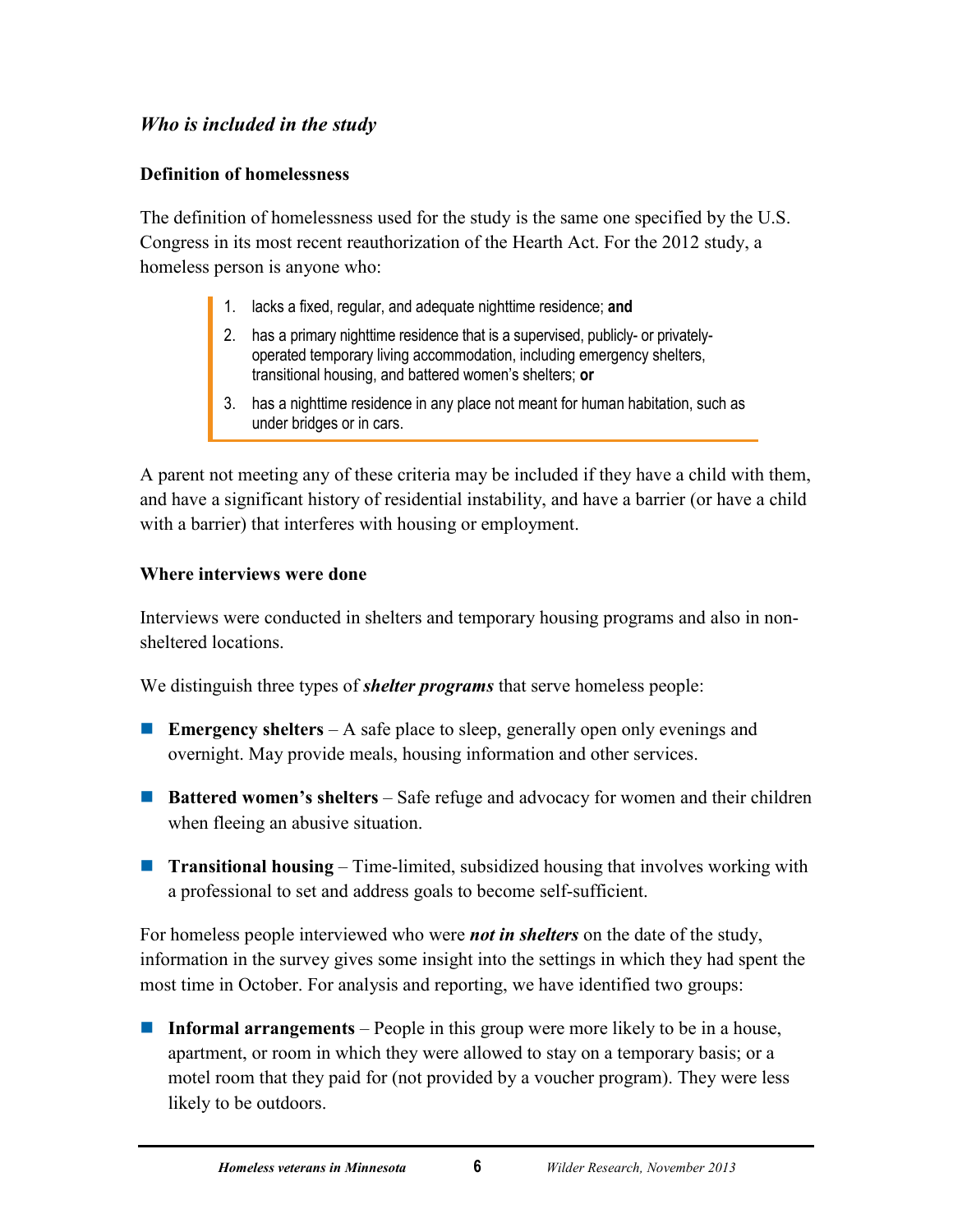## *Who is included in the study*

## **Definition of homelessness**

The definition of homelessness used for the study is the same one specified by the U.S. Congress in its most recent reauthorization of the Hearth Act. For the 2012 study, a homeless person is anyone who:

- 1. lacks a fixed, regular, and adequate nighttime residence; **and**
- 2. has a primary nighttime residence that is a supervised, publicly- or privatelyoperated temporary living accommodation, including emergency shelters, transitional housing, and battered women's shelters; **or**
- 3. has a nighttime residence in any place not meant for human habitation, such as under bridges or in cars.

A parent not meeting any of these criteria may be included if they have a child with them, and have a significant history of residential instability, and have a barrier (or have a child with a barrier) that interferes with housing or employment.

## **Where interviews were done**

Interviews were conducted in shelters and temporary housing programs and also in nonsheltered locations.

We distinguish three types of *shelter programs* that serve homeless people:

- **Emergency shelters** A safe place to sleep, generally open only evenings and overnight. May provide meals, housing information and other services.
- **Battered women's shelters** Safe refuge and advocacy for women and their children when fleeing an abusive situation.
- **Transitional housing** Time-limited, subsidized housing that involves working with a professional to set and address goals to become self-sufficient.

For homeless people interviewed who were *not in shelters* on the date of the study, information in the survey gives some insight into the settings in which they had spent the most time in October. For analysis and reporting, we have identified two groups:

 **Informal arrangements** – People in this group were more likely to be in a house, apartment, or room in which they were allowed to stay on a temporary basis; or a motel room that they paid for (not provided by a voucher program). They were less likely to be outdoors.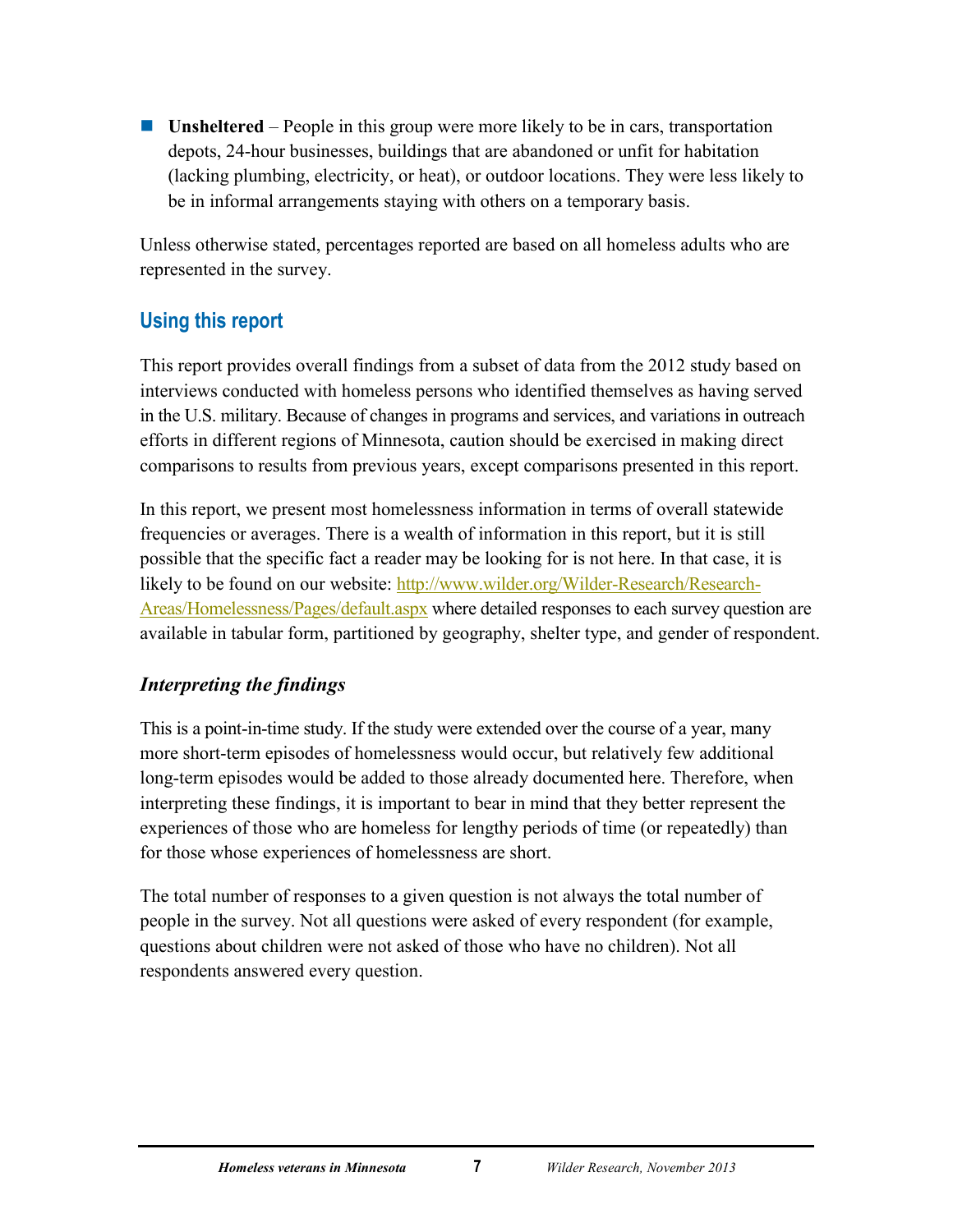**Unsheltered** – People in this group were more likely to be in cars, transportation depots, 24-hour businesses, buildings that are abandoned or unfit for habitation (lacking plumbing, electricity, or heat), or outdoor locations. They were less likely to be in informal arrangements staying with others on a temporary basis.

Unless otherwise stated, percentages reported are based on all homeless adults who are represented in the survey.

# <span id="page-11-0"></span>**Using this report**

This report provides overall findings from a subset of data from the 2012 study based on interviews conducted with homeless persons who identified themselves as having served in the U.S. military. Because of changes in programs and services, and variations in outreach efforts in different regions of Minnesota, caution should be exercised in making direct comparisons to results from previous years, except comparisons presented in this report.

In this report, we present most homelessness information in terms of overall statewide frequencies or averages. There is a wealth of information in this report, but it is still possible that the specific fact a reader may be looking for is not here. In that case, it is likely to be found on our website: [http://www.wilder.org/Wilder-Research/Research-](http://www.wilder.org/Wilder-Research/Research-Areas/Homelessness/Pages/default.aspx)[Areas/Homelessness/Pages/default.aspx](http://www.wilder.org/Wilder-Research/Research-Areas/Homelessness/Pages/default.aspx) where detailed responses to each survey question are available in tabular form, partitioned by geography, shelter type, and gender of respondent.

## *Interpreting the findings*

This is a point-in-time study. If the study were extended over the course of a year, many more short-term episodes of homelessness would occur, but relatively few additional long-term episodes would be added to those already documented here. Therefore, when interpreting these findings, it is important to bear in mind that they better represent the experiences of those who are homeless for lengthy periods of time (or repeatedly) than for those whose experiences of homelessness are short.

The total number of responses to a given question is not always the total number of people in the survey. Not all questions were asked of every respondent (for example, questions about children were not asked of those who have no children). Not all respondents answered every question.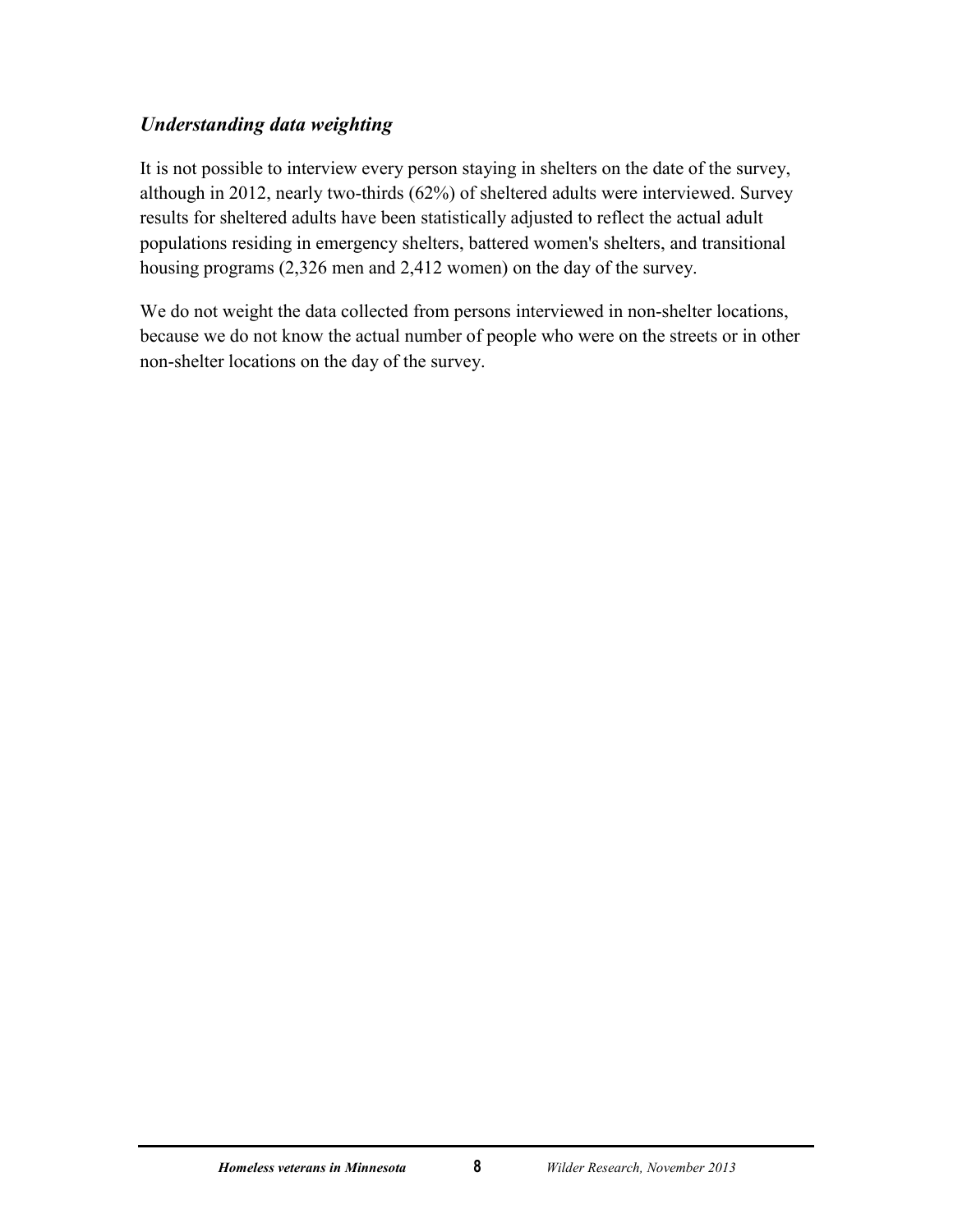## *Understanding data weighting*

It is not possible to interview every person staying in shelters on the date of the survey, although in 2012, nearly two-thirds (62%) of sheltered adults were interviewed. Survey results for sheltered adults have been statistically adjusted to reflect the actual adult populations residing in emergency shelters, battered women's shelters, and transitional housing programs (2,326 men and 2,412 women) on the day of the survey.

We do not weight the data collected from persons interviewed in non-shelter locations, because we do not know the actual number of people who were on the streets or in other non-shelter locations on the day of the survey.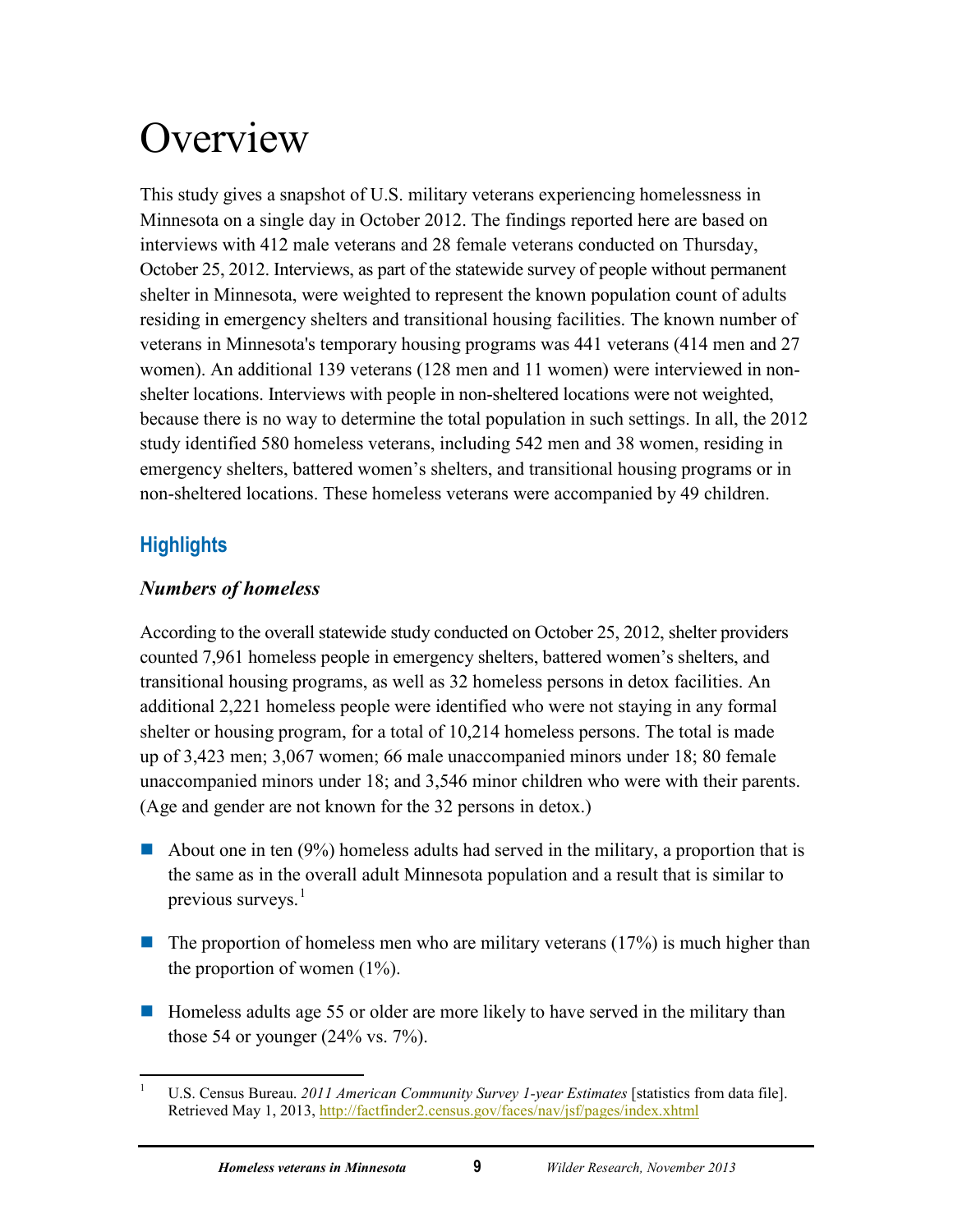# <span id="page-13-0"></span>**Overview**

This study gives a snapshot of U.S. military veterans experiencing homelessness in Minnesota on a single day in October 2012. The findings reported here are based on interviews with 412 male veterans and 28 female veterans conducted on Thursday, October 25, 2012. Interviews, as part of the statewide survey of people without permanent shelter in Minnesota, were weighted to represent the known population count of adults residing in emergency shelters and transitional housing facilities. The known number of veterans in Minnesota's temporary housing programs was 441 veterans (414 men and 27 women). An additional 139 veterans (128 men and 11 women) were interviewed in nonshelter locations. Interviews with people in non-sheltered locations were not weighted, because there is no way to determine the total population in such settings. In all, the 2012 study identified 580 homeless veterans, including 542 men and 38 women, residing in emergency shelters, battered women's shelters, and transitional housing programs or in non-sheltered locations. These homeless veterans were accompanied by 49 children.

# <span id="page-13-1"></span>**Highlights**

# *Numbers of homeless*

According to the overall statewide study conducted on October 25, 2012, shelter providers counted 7,961 homeless people in emergency shelters, battered women's shelters, and transitional housing programs, as well as 32 homeless persons in detox facilities. An additional 2,221 homeless people were identified who were not staying in any formal shelter or housing program, for a total of 10,214 homeless persons. The total is made up of 3,423 men; 3,067 women; 66 male unaccompanied minors under 18; 80 female unaccompanied minors under 18; and 3,546 minor children who were with their parents. (Age and gender are not known for the 32 persons in detox.)

- About one in ten (9%) homeless adults had served in the military, a proportion that is the same as in the overall adult Minnesota population and a result that is similar to previous surveys.<sup>[1](#page-13-2)</sup>
- $\blacksquare$  The proportion of homeless men who are military veterans (17%) is much higher than the proportion of women  $(1\%)$ .
- $\blacksquare$  Homeless adults age 55 or older are more likely to have served in the military than those 54 or younger  $(24\% \text{ vs. } 7\%)$ .

<span id="page-13-2"></span> $\frac{1}{1}$  U.S. Census Bureau. *2011 American Community Survey 1-year Estimates* [statistics from data file]. Retrieved May 1, 2013,<http://factfinder2.census.gov/faces/nav/jsf/pages/index.xhtml>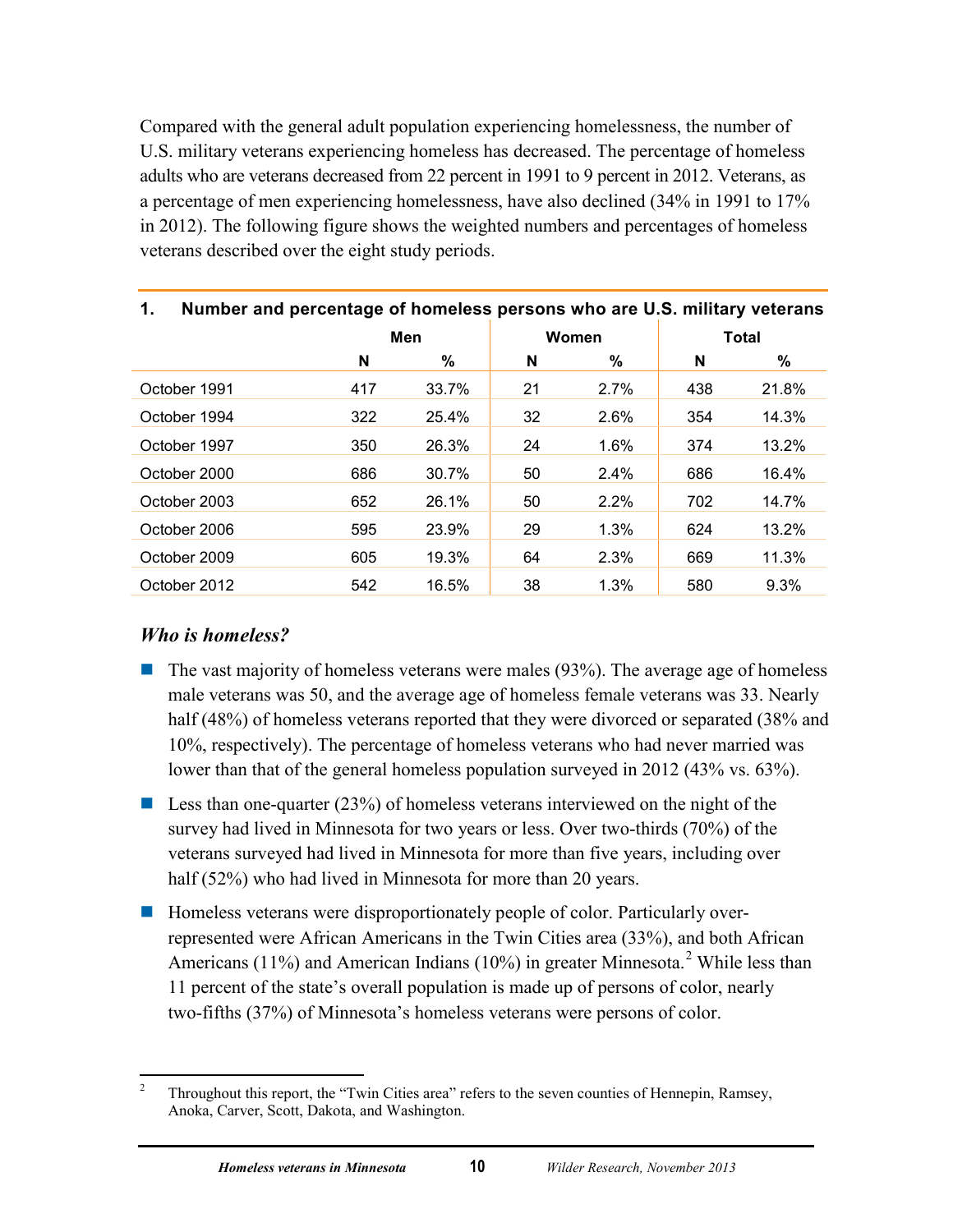Compared with the general adult population experiencing homelessness, the number of U.S. military veterans experiencing homeless has decreased. The percentage of homeless adults who are veterans decreased from 22 percent in 1991 to 9 percent in 2012. Veterans, as a percentage of men experiencing homelessness, have also declined (34% in 1991 to 17% in 2012). The following figure shows the weighted numbers and percentages of homeless veterans described over the eight study periods.

<span id="page-14-0"></span>

| Number and percentage of homeless persons who are U.S. military veterans<br>1. |     |       |    |       |     |              |
|--------------------------------------------------------------------------------|-----|-------|----|-------|-----|--------------|
|                                                                                |     | Men   |    | Women |     | <b>Total</b> |
|                                                                                | N   | ℅     | N  | ℅     | N   | %            |
| October 1991                                                                   | 417 | 33.7% | 21 | 2.7%  | 438 | 21.8%        |
| October 1994                                                                   | 322 | 25.4% | 32 | 2.6%  | 354 | 14.3%        |
| October 1997                                                                   | 350 | 26.3% | 24 | 1.6%  | 374 | 13.2%        |
| October 2000                                                                   | 686 | 30.7% | 50 | 2.4%  | 686 | 16.4%        |
| October 2003                                                                   | 652 | 26.1% | 50 | 2.2%  | 702 | 14.7%        |
| October 2006                                                                   | 595 | 23.9% | 29 | 1.3%  | 624 | 13.2%        |
| October 2009                                                                   | 605 | 19.3% | 64 | 2.3%  | 669 | 11.3%        |
| October 2012                                                                   | 542 | 16.5% | 38 | 1.3%  | 580 | 9.3%         |

## *Who is homeless?*

- $\blacksquare$  The vast majority of homeless veterans were males (93%). The average age of homeless male veterans was 50, and the average age of homeless female veterans was 33. Nearly half (48%) of homeless veterans reported that they were divorced or separated (38% and 10%, respectively). The percentage of homeless veterans who had never married was lower than that of the general homeless population surveyed in 2012 (43% vs. 63%).
- **Less than one-quarter (23%) of homeless veterans interviewed on the night of the** survey had lived in Minnesota for two years or less. Over two-thirds (70%) of the veterans surveyed had lived in Minnesota for more than five years, including over half (52%) who had lived in Minnesota for more than 20 years.
- Homeless veterans were disproportionately people of color. Particularly overrepresented were African Americans in the Twin Cities area (33%), and both African Americans (11%) and American Indians (10%) in greater Minnesota.<sup>[2](#page-14-1)</sup> While less than 11 percent of the state's overall population is made up of persons of color, nearly two-fifths (37%) of Minnesota's homeless veterans were persons of color.

<span id="page-14-1"></span> $\frac{1}{2}$  Throughout this report, the "Twin Cities area" refers to the seven counties of Hennepin, Ramsey, Anoka, Carver, Scott, Dakota, and Washington.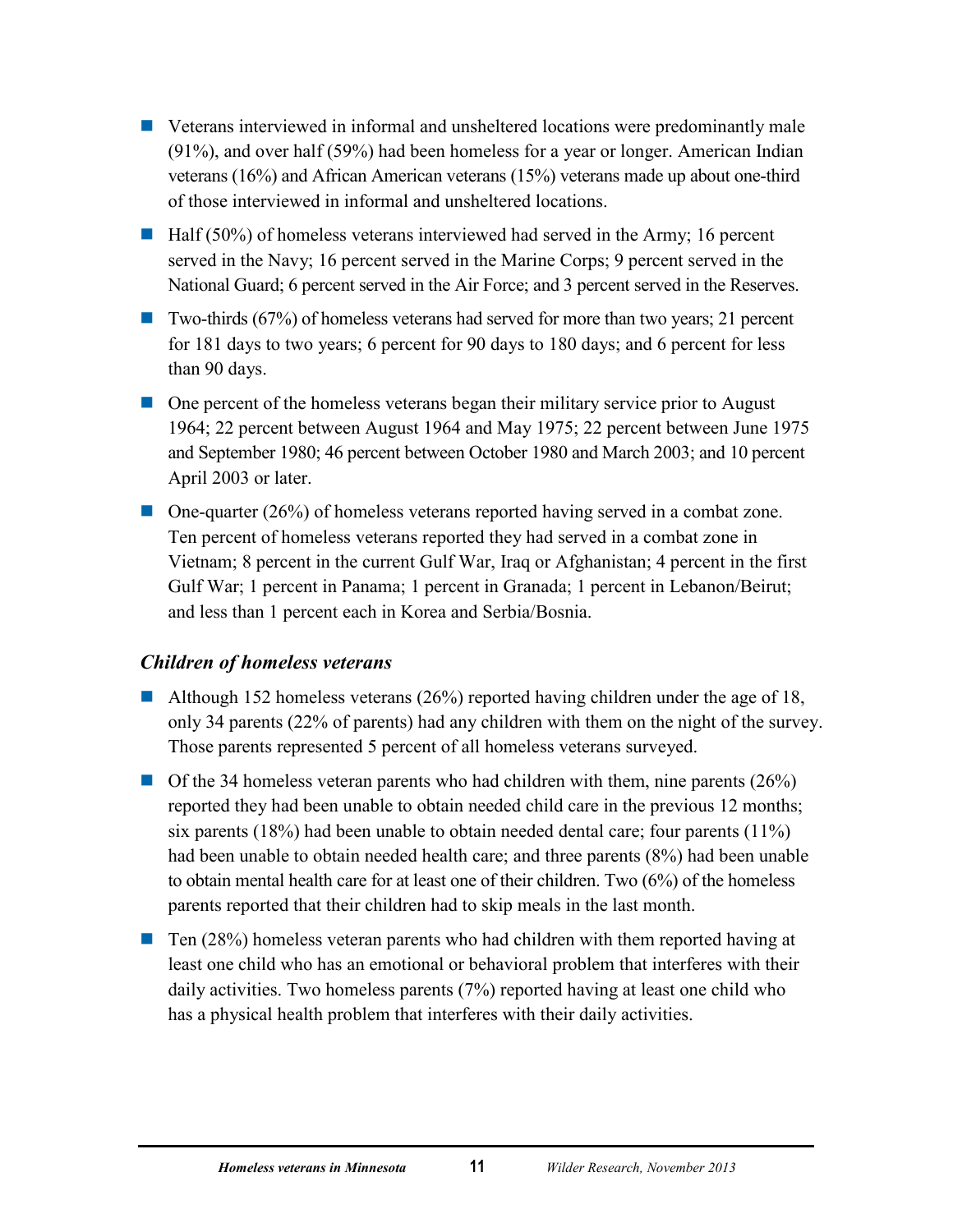- Veterans interviewed in informal and unsheltered locations were predominantly male (91%), and over half (59%) had been homeless for a year or longer. American Indian veterans (16%) and African American veterans (15%) veterans made up about one-third of those interviewed in informal and unsheltered locations.
- $\blacksquare$  Half (50%) of homeless veterans interviewed had served in the Army; 16 percent served in the Navy; 16 percent served in the Marine Corps; 9 percent served in the National Guard; 6 percent served in the Air Force; and 3 percent served in the Reserves.
- Two-thirds (67%) of homeless veterans had served for more than two years; 21 percent for 181 days to two years; 6 percent for 90 days to 180 days; and 6 percent for less than 90 days.
- One percent of the homeless veterans began their military service prior to August 1964; 22 percent between August 1964 and May 1975; 22 percent between June 1975 and September 1980; 46 percent between October 1980 and March 2003; and 10 percent April 2003 or later.
- $\Box$  One-quarter (26%) of homeless veterans reported having served in a combat zone. Ten percent of homeless veterans reported they had served in a combat zone in Vietnam; 8 percent in the current Gulf War, Iraq or Afghanistan; 4 percent in the first Gulf War; 1 percent in Panama; 1 percent in Granada; 1 percent in Lebanon/Beirut; and less than 1 percent each in Korea and Serbia/Bosnia.

## *Children of homeless veterans*

- Although 152 homeless veterans (26%) reported having children under the age of 18, only 34 parents (22% of parents) had any children with them on the night of the survey. Those parents represented 5 percent of all homeless veterans surveyed.
- $\Box$  Of the 34 homeless veteran parents who had children with them, nine parents (26%) reported they had been unable to obtain needed child care in the previous 12 months; six parents (18%) had been unable to obtain needed dental care; four parents (11%) had been unable to obtain needed health care; and three parents (8%) had been unable to obtain mental health care for at least one of their children. Two (6%) of the homeless parents reported that their children had to skip meals in the last month.
- $\blacksquare$  Ten (28%) homeless veteran parents who had children with them reported having at least one child who has an emotional or behavioral problem that interferes with their daily activities. Two homeless parents (7%) reported having at least one child who has a physical health problem that interferes with their daily activities.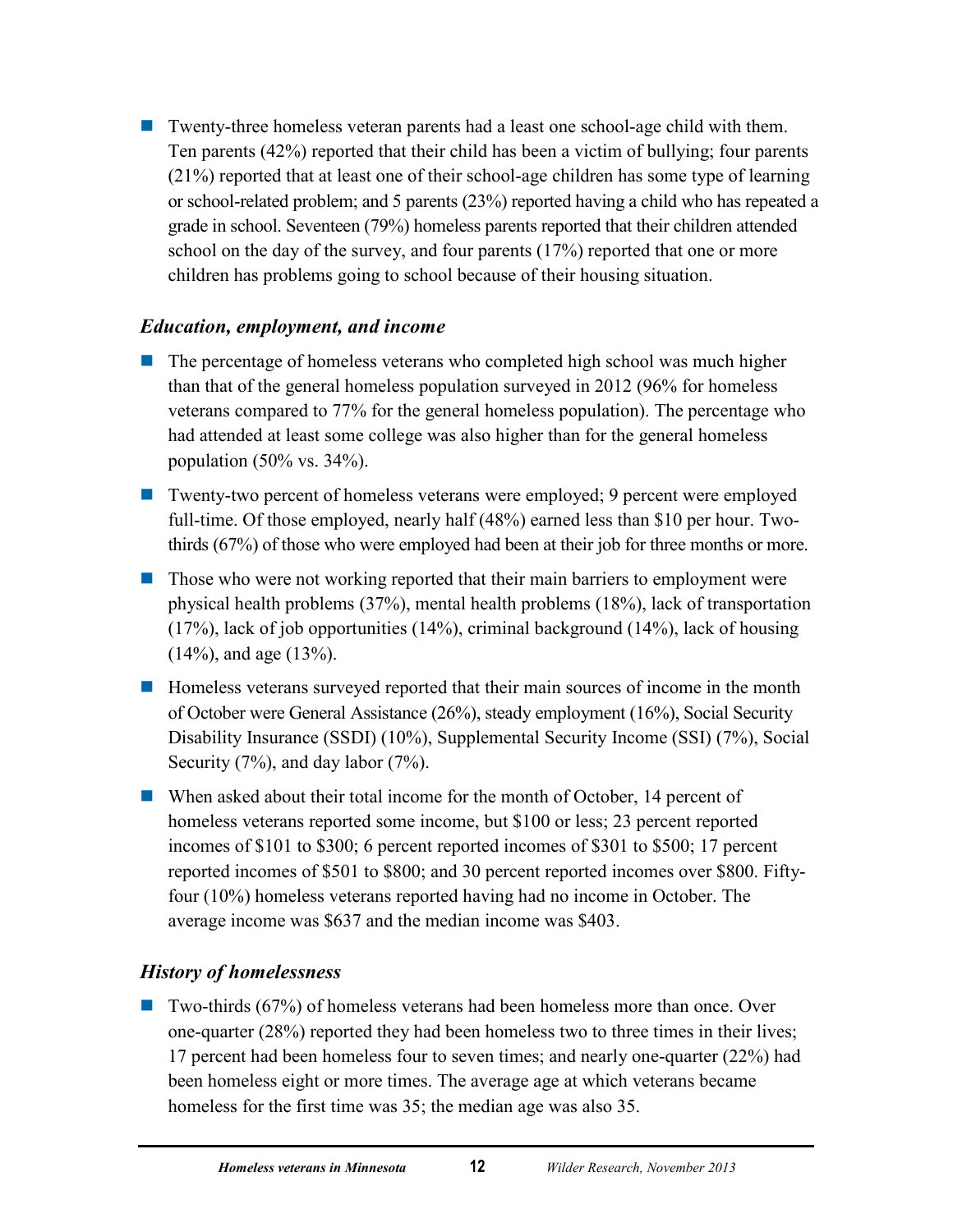**T** Twenty-three homeless veteran parents had a least one school-age child with them. Ten parents (42%) reported that their child has been a victim of bullying; four parents (21%) reported that at least one of their school-age children has some type of learning or school-related problem; and 5 parents (23%) reported having a child who has repeated a grade in school. Seventeen (79%) homeless parents reported that their children attended school on the day of the survey, and four parents (17%) reported that one or more children has problems going to school because of their housing situation.

## *Education, employment, and income*

- The percentage of homeless veterans who completed high school was much higher than that of the general homeless population surveyed in 2012 (96% for homeless veterans compared to 77% for the general homeless population). The percentage who had attended at least some college was also higher than for the general homeless population  $(50\% \text{ vs. } 34\%)$ .
- Twenty-two percent of homeless veterans were employed; 9 percent were employed full-time. Of those employed, nearly half (48%) earned less than \$10 per hour. Twothirds (67%) of those who were employed had been at their job for three months or more.
- **Those who were not working reported that their main barriers to employment were** physical health problems (37%), mental health problems (18%), lack of transportation (17%), lack of job opportunities (14%), criminal background (14%), lack of housing (14%), and age (13%).
- Homeless veterans surveyed reported that their main sources of income in the month of October were General Assistance (26%), steady employment (16%), Social Security Disability Insurance (SSDI) (10%), Supplemental Security Income (SSI) (7%), Social Security (7%), and day labor (7%).
- When asked about their total income for the month of October, 14 percent of homeless veterans reported some income, but \$100 or less; 23 percent reported incomes of \$101 to \$300; 6 percent reported incomes of \$301 to \$500; 17 percent reported incomes of \$501 to \$800; and 30 percent reported incomes over \$800. Fiftyfour (10%) homeless veterans reported having had no income in October. The average income was \$637 and the median income was \$403.

## *History of homelessness*

■ Two-thirds (67%) of homeless veterans had been homeless more than once. Over one-quarter (28%) reported they had been homeless two to three times in their lives; 17 percent had been homeless four to seven times; and nearly one-quarter (22%) had been homeless eight or more times. The average age at which veterans became homeless for the first time was 35; the median age was also 35.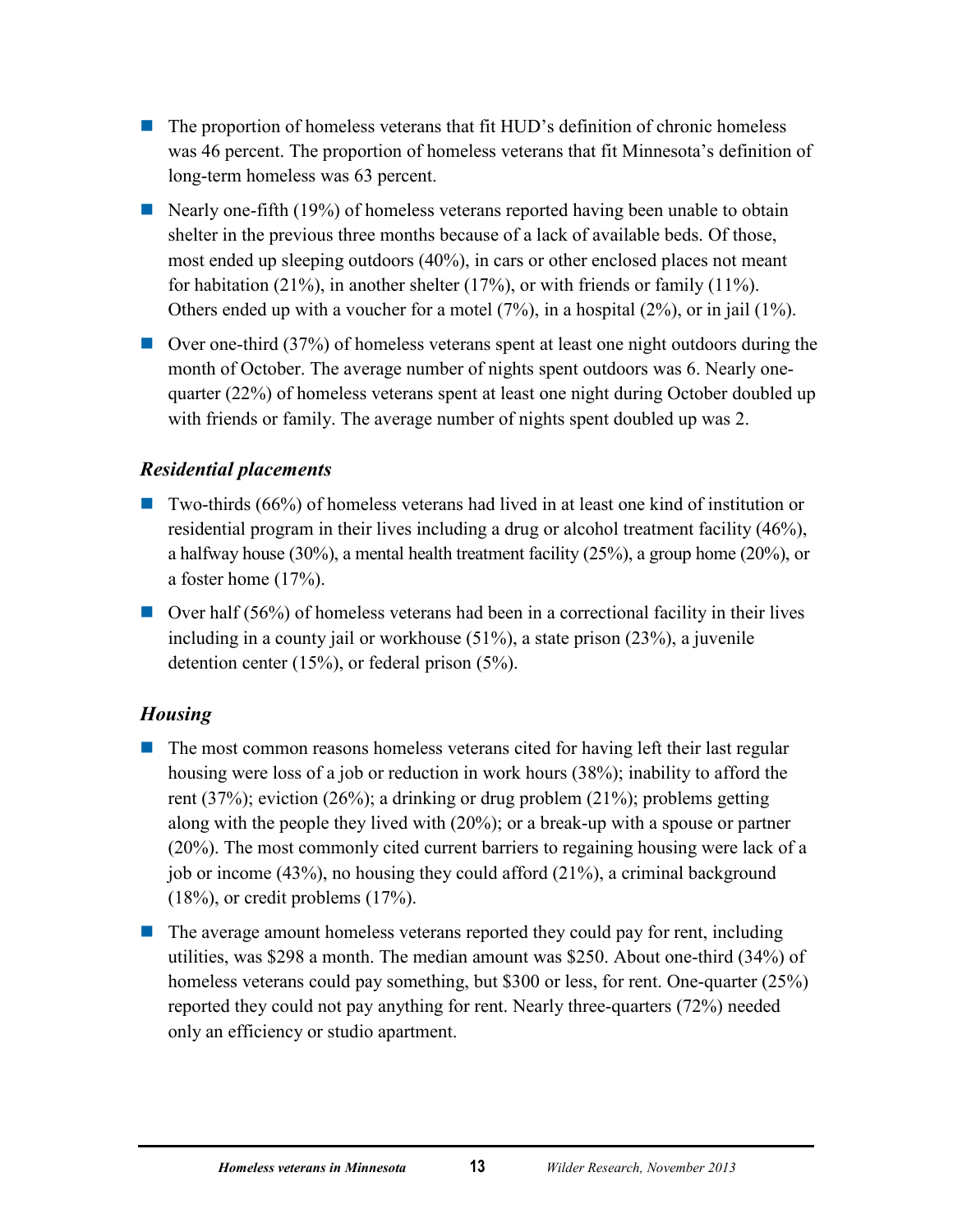- **The proportion of homeless veterans that fit HUD's definition of chronic homeless** was 46 percent. The proportion of homeless veterans that fit Minnesota's definition of long-term homeless was 63 percent.
- Nearly one-fifth (19%) of homeless veterans reported having been unable to obtain shelter in the previous three months because of a lack of available beds. Of those, most ended up sleeping outdoors (40%), in cars or other enclosed places not meant for habitation (21%), in another shelter (17%), or with friends or family (11%). Others ended up with a voucher for a motel (7%), in a hospital (2%), or in jail (1%).
- Over one-third (37%) of homeless veterans spent at least one night outdoors during the month of October. The average number of nights spent outdoors was 6. Nearly onequarter (22%) of homeless veterans spent at least one night during October doubled up with friends or family. The average number of nights spent doubled up was 2.

## *Residential placements*

- $\blacksquare$  Two-thirds (66%) of homeless veterans had lived in at least one kind of institution or residential program in their lives including a drug or alcohol treatment facility (46%), a halfway house (30%), a mental health treatment facility (25%), a group home (20%), or a foster home (17%).
- **Over half (56%) of homeless veterans had been in a correctional facility in their lives** including in a county jail or workhouse (51%), a state prison (23%), a juvenile detention center (15%), or federal prison (5%).

## *Housing*

- **The most common reasons homeless veterans cited for having left their last regular** housing were loss of a job or reduction in work hours (38%); inability to afford the rent (37%); eviction (26%); a drinking or drug problem (21%); problems getting along with the people they lived with (20%); or a break-up with a spouse or partner (20%). The most commonly cited current barriers to regaining housing were lack of a job or income (43%), no housing they could afford (21%), a criminal background (18%), or credit problems (17%).
- $\blacksquare$  The average amount homeless veterans reported they could pay for rent, including utilities, was \$298 a month. The median amount was \$250. About one-third (34%) of homeless veterans could pay something, but \$300 or less, for rent. One-quarter (25%) reported they could not pay anything for rent. Nearly three-quarters (72%) needed only an efficiency or studio apartment.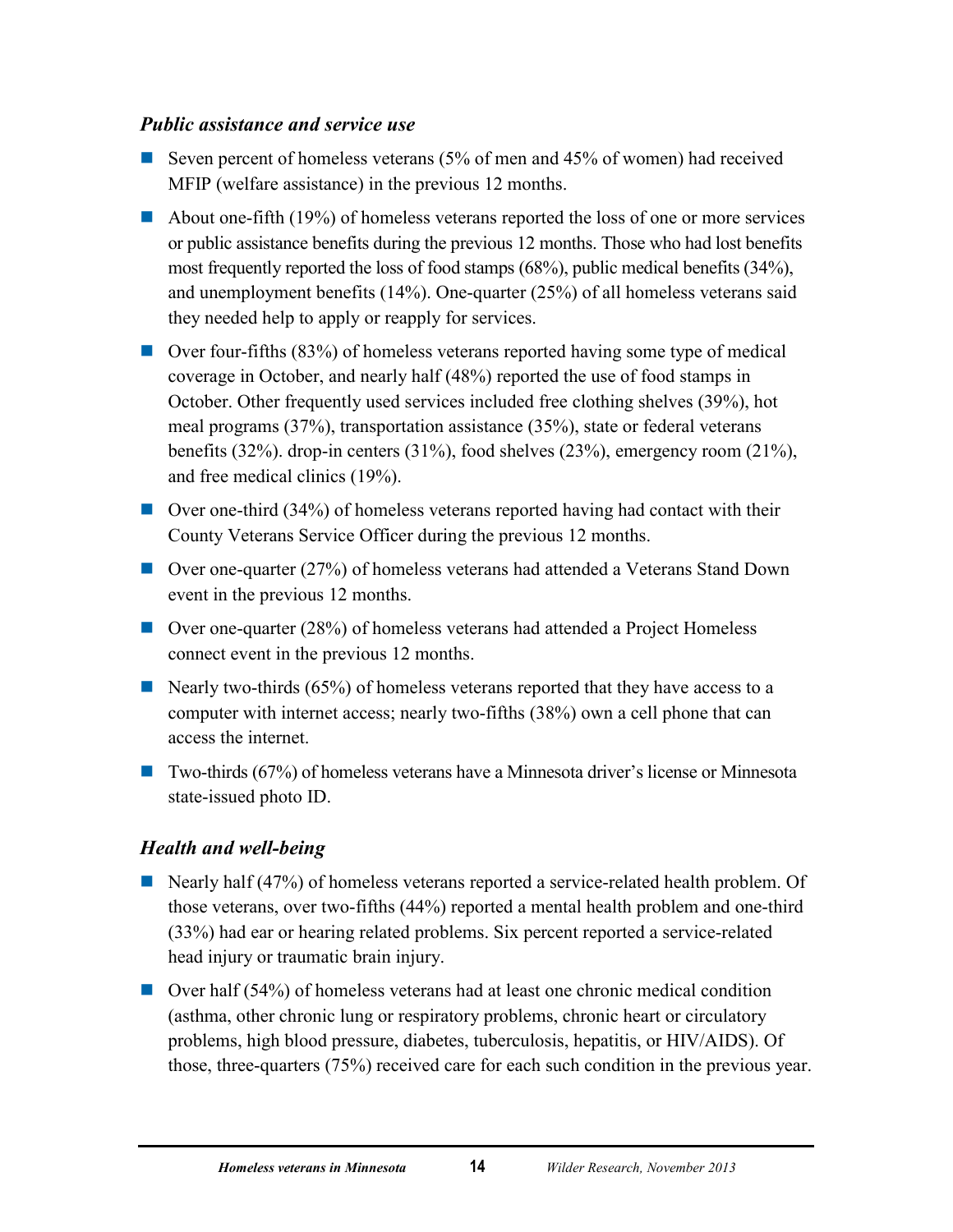## *Public assistance and service use*

- Seven percent of homeless veterans  $(5\%$  of men and 45% of women) had received MFIP (welfare assistance) in the previous 12 months.
- About one-fifth (19%) of homeless veterans reported the loss of one or more services or public assistance benefits during the previous 12 months. Those who had lost benefits most frequently reported the loss of food stamps (68%), public medical benefits (34%), and unemployment benefits (14%). One-quarter (25%) of all homeless veterans said they needed help to apply or reapply for services.
- $\Box$  Over four-fifths (83%) of homeless veterans reported having some type of medical coverage in October, and nearly half (48%) reported the use of food stamps in October. Other frequently used services included free clothing shelves (39%), hot meal programs (37%), transportation assistance (35%), state or federal veterans benefits (32%). drop-in centers (31%), food shelves (23%), emergency room (21%), and free medical clinics (19%).
- Over one-third (34%) of homeless veterans reported having had contact with their County Veterans Service Officer during the previous 12 months.
- Over one-quarter (27%) of homeless veterans had attended a Veterans Stand Down event in the previous 12 months.
- Over one-quarter (28%) of homeless veterans had attended a Project Homeless connect event in the previous 12 months.
- Nearly two-thirds (65%) of homeless veterans reported that they have access to a computer with internet access; nearly two-fifths (38%) own a cell phone that can access the internet.
- Two-thirds (67%) of homeless veterans have a Minnesota driver's license or Minnesota state-issued photo ID.

## *Health and well-being*

- Nearly half (47%) of homeless veterans reported a service-related health problem. Of those veterans, over two-fifths (44%) reported a mental health problem and one-third (33%) had ear or hearing related problems. Six percent reported a service-related head injury or traumatic brain injury.
- Over half (54%) of homeless veterans had at least one chronic medical condition (asthma, other chronic lung or respiratory problems, chronic heart or circulatory problems, high blood pressure, diabetes, tuberculosis, hepatitis, or HIV/AIDS). Of those, three-quarters (75%) received care for each such condition in the previous year.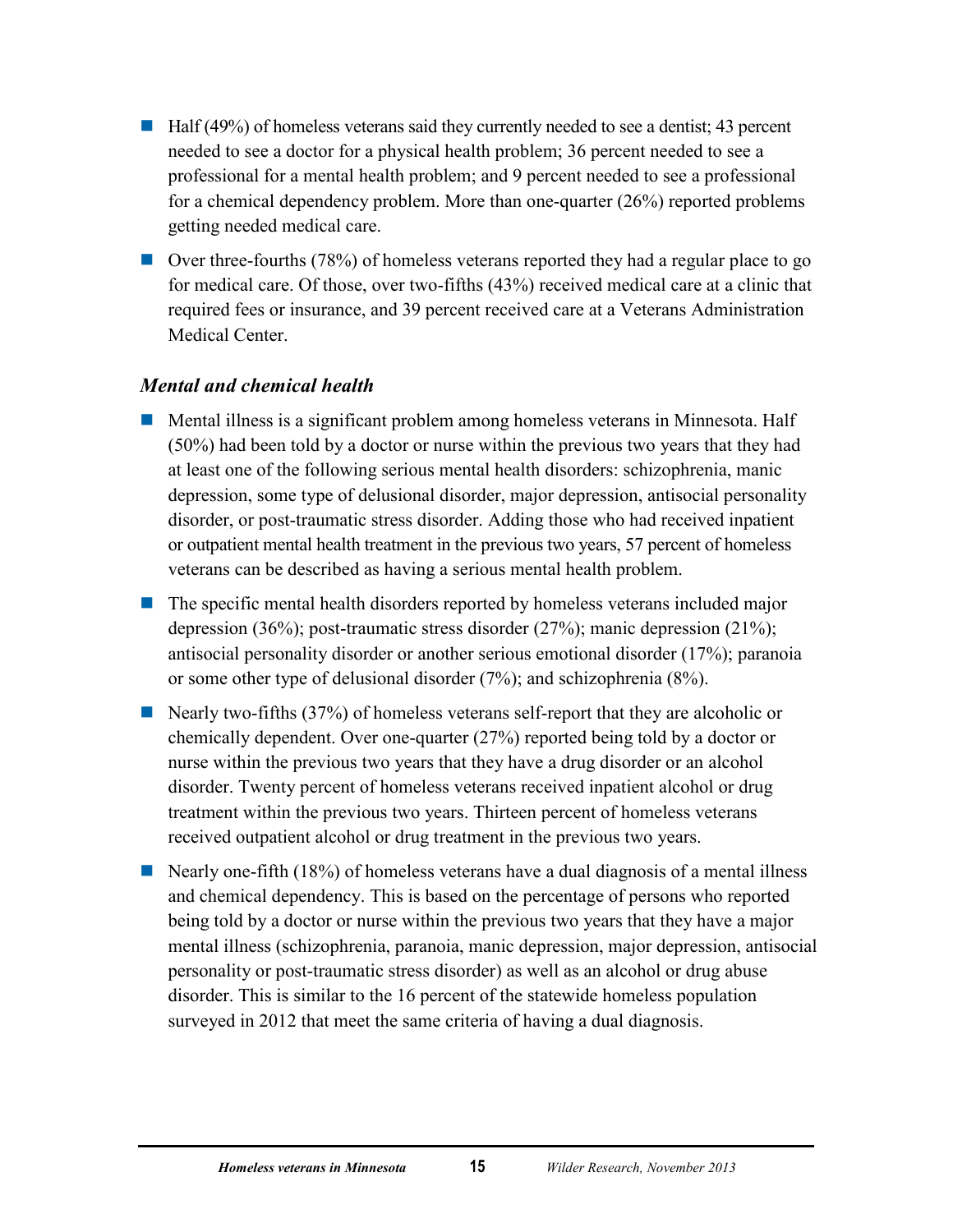- $\blacksquare$  Half (49%) of homeless veterans said they currently needed to see a dentist; 43 percent needed to see a doctor for a physical health problem; 36 percent needed to see a professional for a mental health problem; and 9 percent needed to see a professional for a chemical dependency problem. More than one-quarter (26%) reported problems getting needed medical care.
- Over three-fourths (78%) of homeless veterans reported they had a regular place to go for medical care. Of those, over two-fifths (43%) received medical care at a clinic that required fees or insurance, and 39 percent received care at a Veterans Administration Medical Center.

### *Mental and chemical health*

- **Mental illness is a significant problem among homeless veterans in Minnesota. Half** (50%) had been told by a doctor or nurse within the previous two years that they had at least one of the following serious mental health disorders: schizophrenia, manic depression, some type of delusional disorder, major depression, antisocial personality disorder, or post-traumatic stress disorder. Adding those who had received inpatient or outpatient mental health treatment in the previous two years, 57 percent of homeless veterans can be described as having a serious mental health problem.
- $\blacksquare$  The specific mental health disorders reported by homeless veterans included major depression (36%); post-traumatic stress disorder (27%); manic depression (21%); antisocial personality disorder or another serious emotional disorder (17%); paranoia or some other type of delusional disorder (7%); and schizophrenia (8%).
- Nearly two-fifths (37%) of homeless veterans self-report that they are alcoholic or chemically dependent. Over one-quarter (27%) reported being told by a doctor or nurse within the previous two years that they have a drug disorder or an alcohol disorder. Twenty percent of homeless veterans received inpatient alcohol or drug treatment within the previous two years. Thirteen percent of homeless veterans received outpatient alcohol or drug treatment in the previous two years.
- Nearly one-fifth  $(18%)$  of homeless veterans have a dual diagnosis of a mental illness and chemical dependency. This is based on the percentage of persons who reported being told by a doctor or nurse within the previous two years that they have a major mental illness (schizophrenia, paranoia, manic depression, major depression, antisocial personality or post-traumatic stress disorder) as well as an alcohol or drug abuse disorder. This is similar to the 16 percent of the statewide homeless population surveyed in 2012 that meet the same criteria of having a dual diagnosis.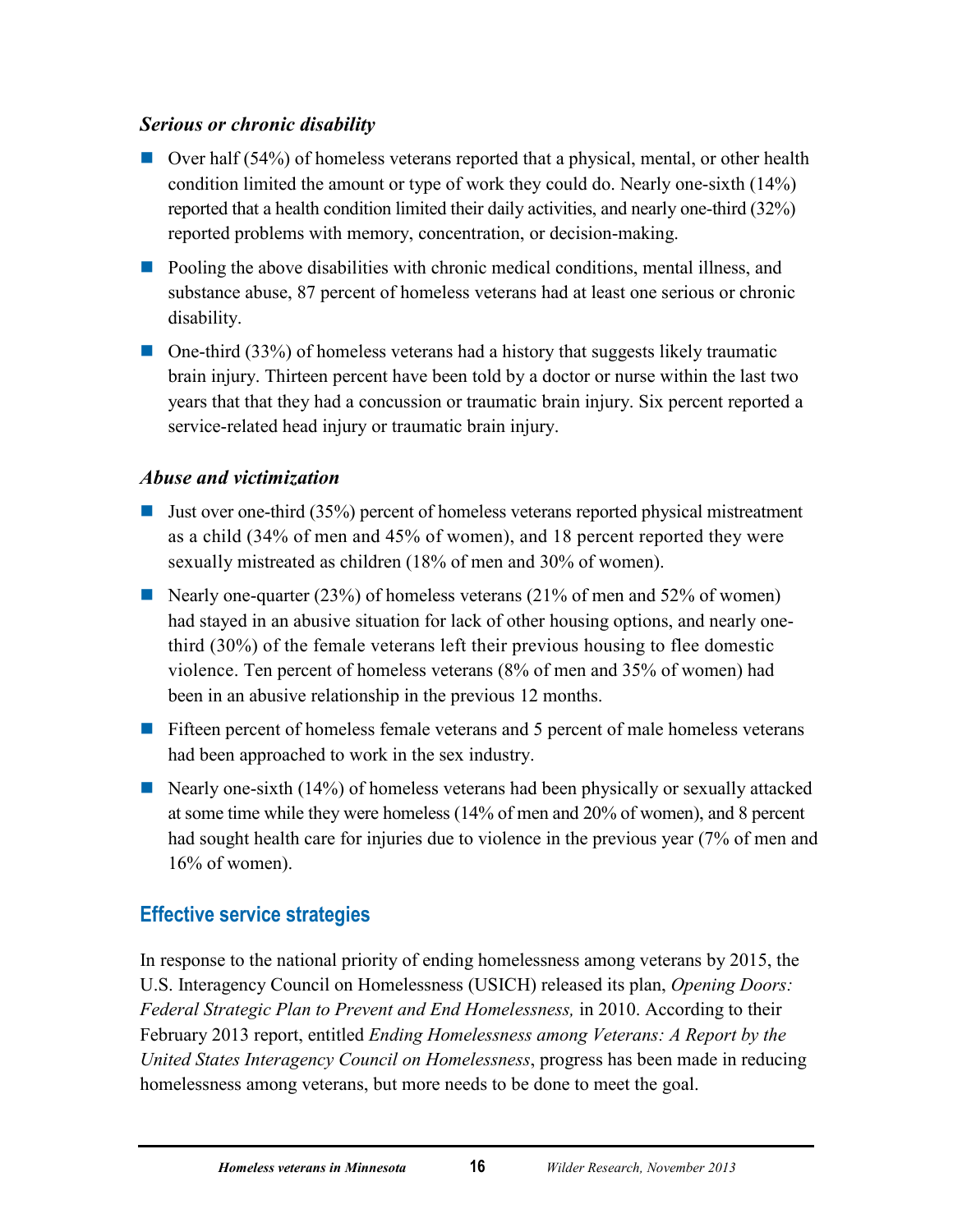## *Serious or chronic disability*

- $\Box$  Over half (54%) of homeless veterans reported that a physical, mental, or other health condition limited the amount or type of work they could do. Nearly one-sixth (14%) reported that a health condition limited their daily activities, and nearly one-third (32%) reported problems with memory, concentration, or decision-making.
- **Pooling the above disabilities with chronic medical conditions, mental illness, and** substance abuse, 87 percent of homeless veterans had at least one serious or chronic disability.
- One-third (33%) of homeless veterans had a history that suggests likely traumatic brain injury. Thirteen percent have been told by a doctor or nurse within the last two years that that they had a concussion or traumatic brain injury. Six percent reported a service-related head injury or traumatic brain injury.

## *Abuse and victimization*

- **Just over one-third (35%) percent of homeless veterans reported physical mistreatment** as a child (34% of men and 45% of women), and 18 percent reported they were sexually mistreated as children (18% of men and 30% of women).
- Nearly one-quarter  $(23%)$  of homeless veterans  $(21%$  of men and 52% of women) had stayed in an abusive situation for lack of other housing options, and nearly onethird (30%) of the female veterans left their previous housing to flee domestic violence. Ten percent of homeless veterans (8% of men and 35% of women) had been in an abusive relationship in the previous 12 months.
- **Fifteen percent of homeless female veterans and 5 percent of male homeless veterans** had been approached to work in the sex industry.
- Nearly one-sixth  $(14\%)$  of homeless veterans had been physically or sexually attacked at some time while they were homeless (14% of men and 20% of women), and 8 percent had sought health care for injuries due to violence in the previous year (7% of men and 16% of women).

# <span id="page-20-0"></span>**Effective service strategies**

In response to the national priority of ending homelessness among veterans by 2015, the U.S. Interagency Council on Homelessness (USICH) released its plan, *Opening Doors: Federal Strategic Plan to Prevent and End Homelessness,* in 2010. According to their February 2013 report, entitled *Ending Homelessness among Veterans: A Report by the United States Interagency Council on Homelessness*, progress has been made in reducing homelessness among veterans, but more needs to be done to meet the goal.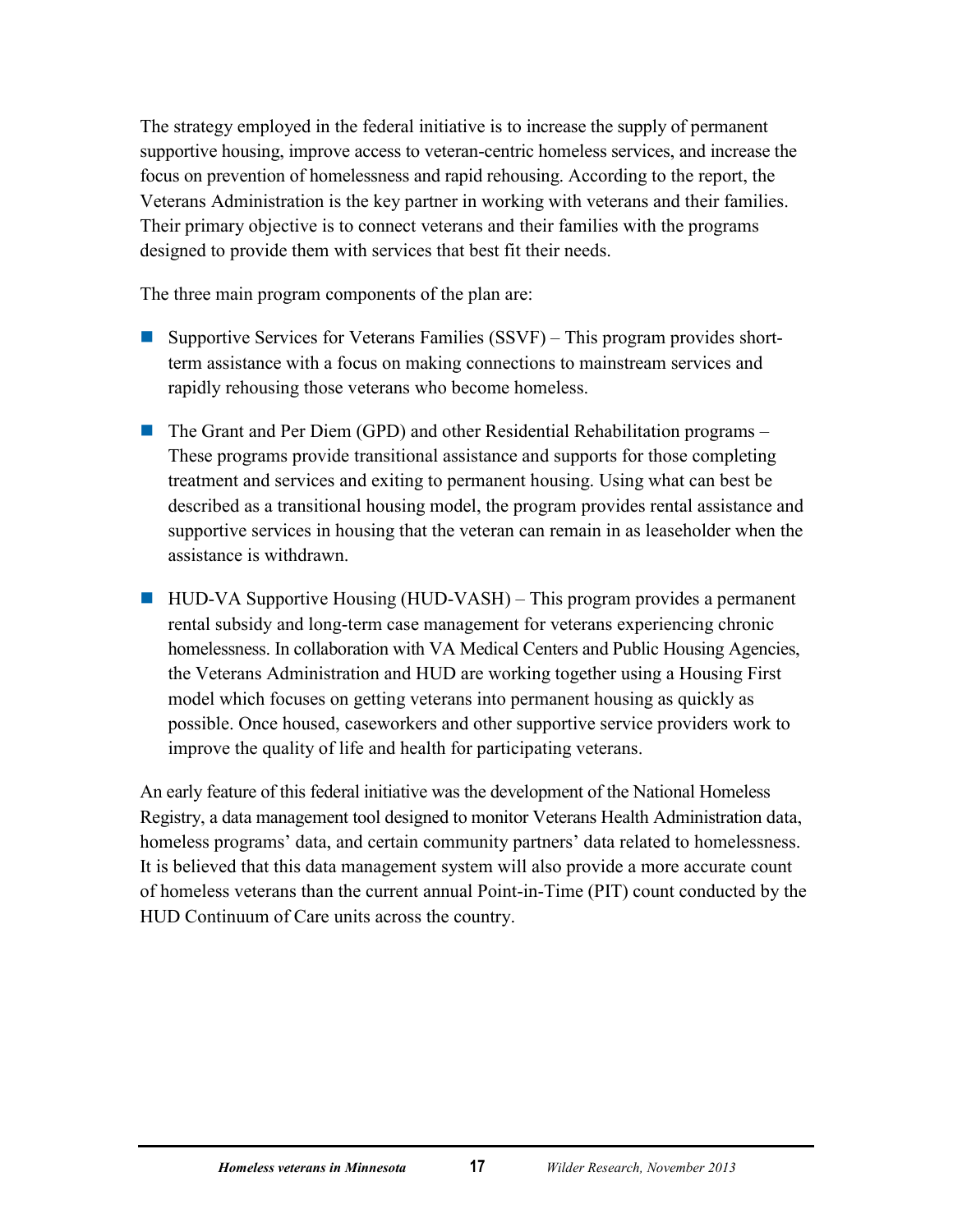The strategy employed in the federal initiative is to increase the supply of permanent supportive housing, improve access to veteran-centric homeless services, and increase the focus on prevention of homelessness and rapid rehousing. According to the report, the Veterans Administration is the key partner in working with veterans and their families. Their primary objective is to connect veterans and their families with the programs designed to provide them with services that best fit their needs.

The three main program components of the plan are:

- Supportive Services for Veterans Families (SSVF) This program provides shortterm assistance with a focus on making connections to mainstream services and rapidly rehousing those veterans who become homeless.
- The Grant and Per Diem (GPD) and other Residential Rehabilitation programs These programs provide transitional assistance and supports for those completing treatment and services and exiting to permanent housing. Using what can best be described as a transitional housing model, the program provides rental assistance and supportive services in housing that the veteran can remain in as leaseholder when the assistance is withdrawn.
- $\blacksquare$  HUD-VA Supportive Housing (HUD-VASH) This program provides a permanent rental subsidy and long-term case management for veterans experiencing chronic homelessness. In collaboration with VA Medical Centers and Public Housing Agencies, the Veterans Administration and HUD are working together using a Housing First model which focuses on getting veterans into permanent housing as quickly as possible. Once housed, caseworkers and other supportive service providers work to improve the quality of life and health for participating veterans.

An early feature of this federal initiative was the development of the National Homeless Registry, a data management tool designed to monitor Veterans Health Administration data, homeless programs' data, and certain community partners' data related to homelessness. It is believed that this data management system will also provide a more accurate count of homeless veterans than the current annual Point-in-Time (PIT) count conducted by the HUD Continuum of Care units across the country.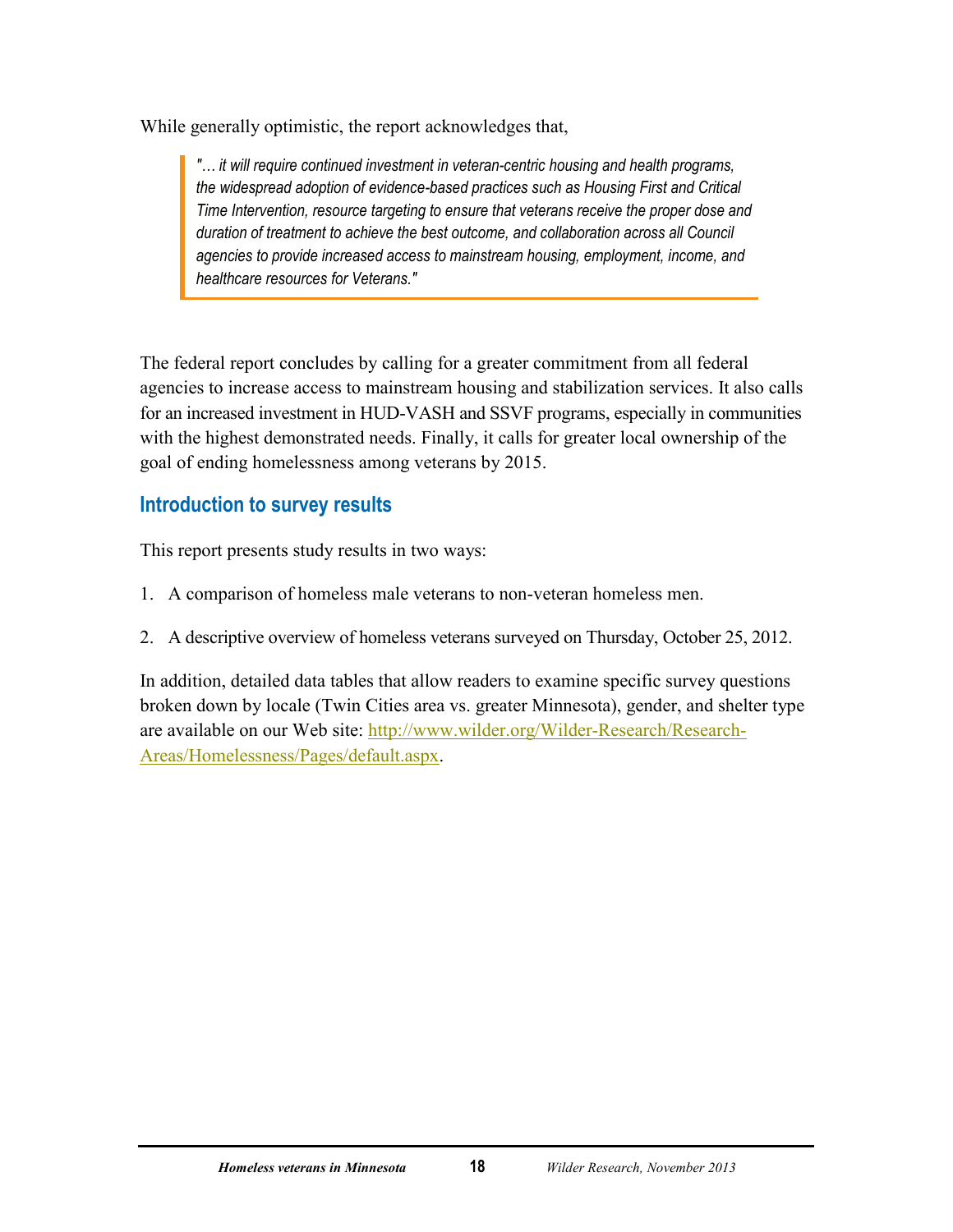While generally optimistic, the report acknowledges that,

*"… it will require continued investment in veteran-centric housing and health programs, the widespread adoption of evidence-based practices such as Housing First and Critical Time Intervention, resource targeting to ensure that veterans receive the proper dose and duration of treatment to achieve the best outcome, and collaboration across all Council agencies to provide increased access to mainstream housing, employment, income, and healthcare resources for Veterans."*

The federal report concludes by calling for a greater commitment from all federal agencies to increase access to mainstream housing and stabilization services. It also calls for an increased investment in HUD-VASH and SSVF programs, especially in communities with the highest demonstrated needs. Finally, it calls for greater local ownership of the goal of ending homelessness among veterans by 2015.

# <span id="page-22-0"></span>**Introduction to survey results**

This report presents study results in two ways:

- 1. A comparison of homeless male veterans to non-veteran homeless men.
- 2. A descriptive overview of homeless veterans surveyed on Thursday, October 25, 2012.

In addition, detailed data tables that allow readers to examine specific survey questions broken down by locale (Twin Cities area vs. greater Minnesota), gender, and shelter type are available on our Web site: [http://www.wilder.org/Wilder-Research/Research-](http://www.wilder.org/Wilder-Research/Research-Areas/Homelessness/Pages/default.aspx)[Areas/Homelessness/Pages/default.aspx.](http://www.wilder.org/Wilder-Research/Research-Areas/Homelessness/Pages/default.aspx)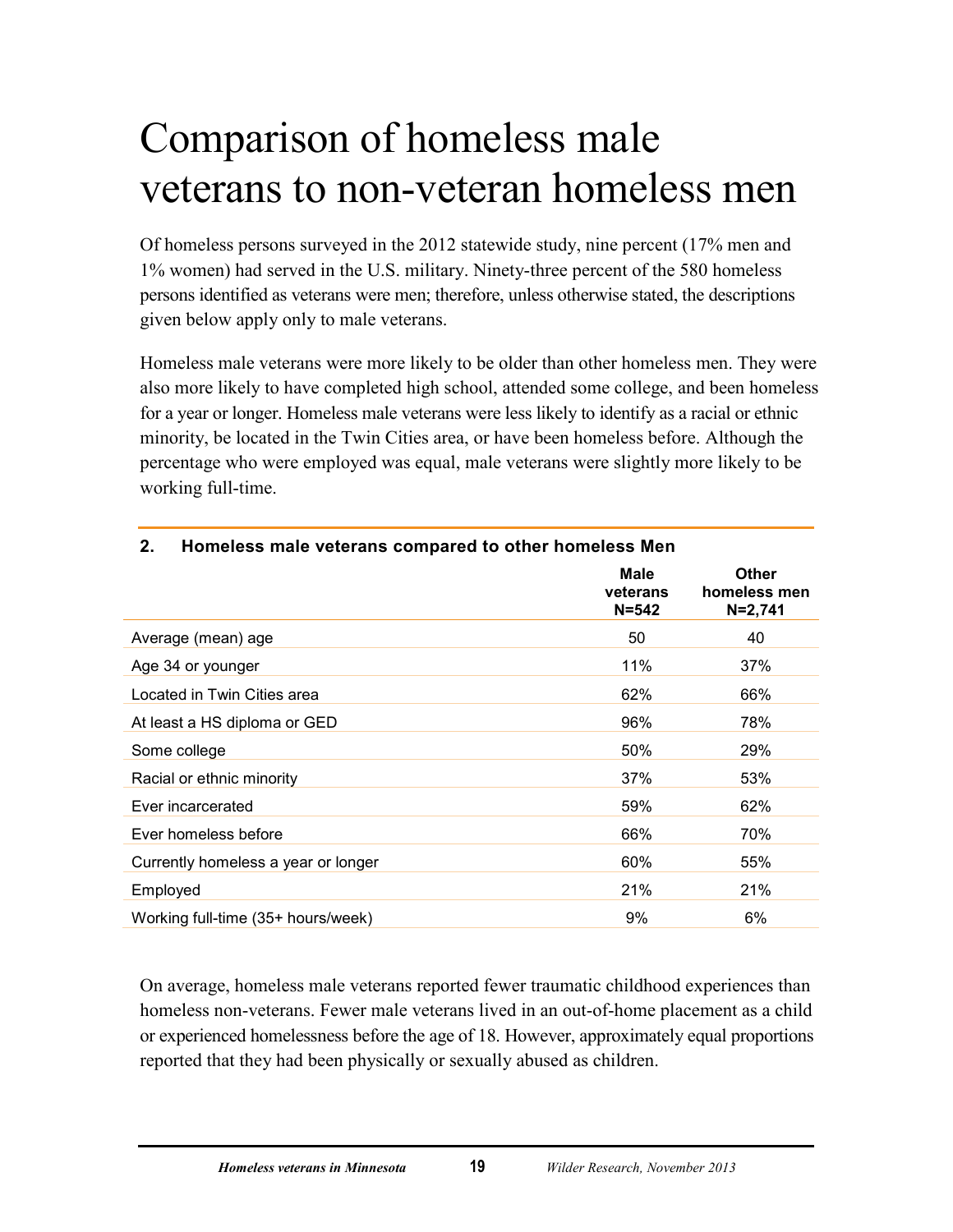# <span id="page-23-0"></span>Comparison of homeless male veterans to non-veteran homeless men

Of homeless persons surveyed in the 2012 statewide study, nine percent (17% men and 1% women) had served in the U.S. military. Ninety-three percent of the 580 homeless persons identified as veterans were men; therefore, unless otherwise stated, the descriptions given below apply only to male veterans.

Homeless male veterans were more likely to be older than other homeless men. They were also more likely to have completed high school, attended some college, and been homeless for a year or longer. Homeless male veterans were less likely to identify as a racial or ethnic minority, be located in the Twin Cities area, or have been homeless before. Although the percentage who were employed was equal, male veterans were slightly more likely to be working full-time.

| z.<br>Homeless male veterans compared to other nomeless wen |                               |                                             |  |  |  |
|-------------------------------------------------------------|-------------------------------|---------------------------------------------|--|--|--|
|                                                             | Male<br>veterans<br>$N = 542$ | <b>Other</b><br>homeless men<br>$N = 2,741$ |  |  |  |
| Average (mean) age                                          | 50                            | 40                                          |  |  |  |
| Age 34 or younger                                           | 11%                           | 37%                                         |  |  |  |
| Located in Twin Cities area                                 | 62%                           | 66%                                         |  |  |  |
| At least a HS diploma or GED                                | 96%                           | 78%                                         |  |  |  |
| Some college                                                | 50%                           | 29%                                         |  |  |  |
| Racial or ethnic minority                                   | 37%                           | 53%                                         |  |  |  |
| Ever incarcerated                                           | 59%                           | 62%                                         |  |  |  |
| Ever homeless before                                        | 66%                           | 70%                                         |  |  |  |
| Currently homeless a year or longer                         | 60%                           | 55%                                         |  |  |  |
| Employed                                                    | 21%                           | 21%                                         |  |  |  |
| Working full-time (35+ hours/week)                          | 9%                            | 6%                                          |  |  |  |

# <span id="page-23-1"></span>**2. Homeless male veterans compared to other homeless Men**

On average, homeless male veterans reported fewer traumatic childhood experiences than homeless non-veterans. Fewer male veterans lived in an out-of-home placement as a child or experienced homelessness before the age of 18. However, approximately equal proportions reported that they had been physically or sexually abused as children.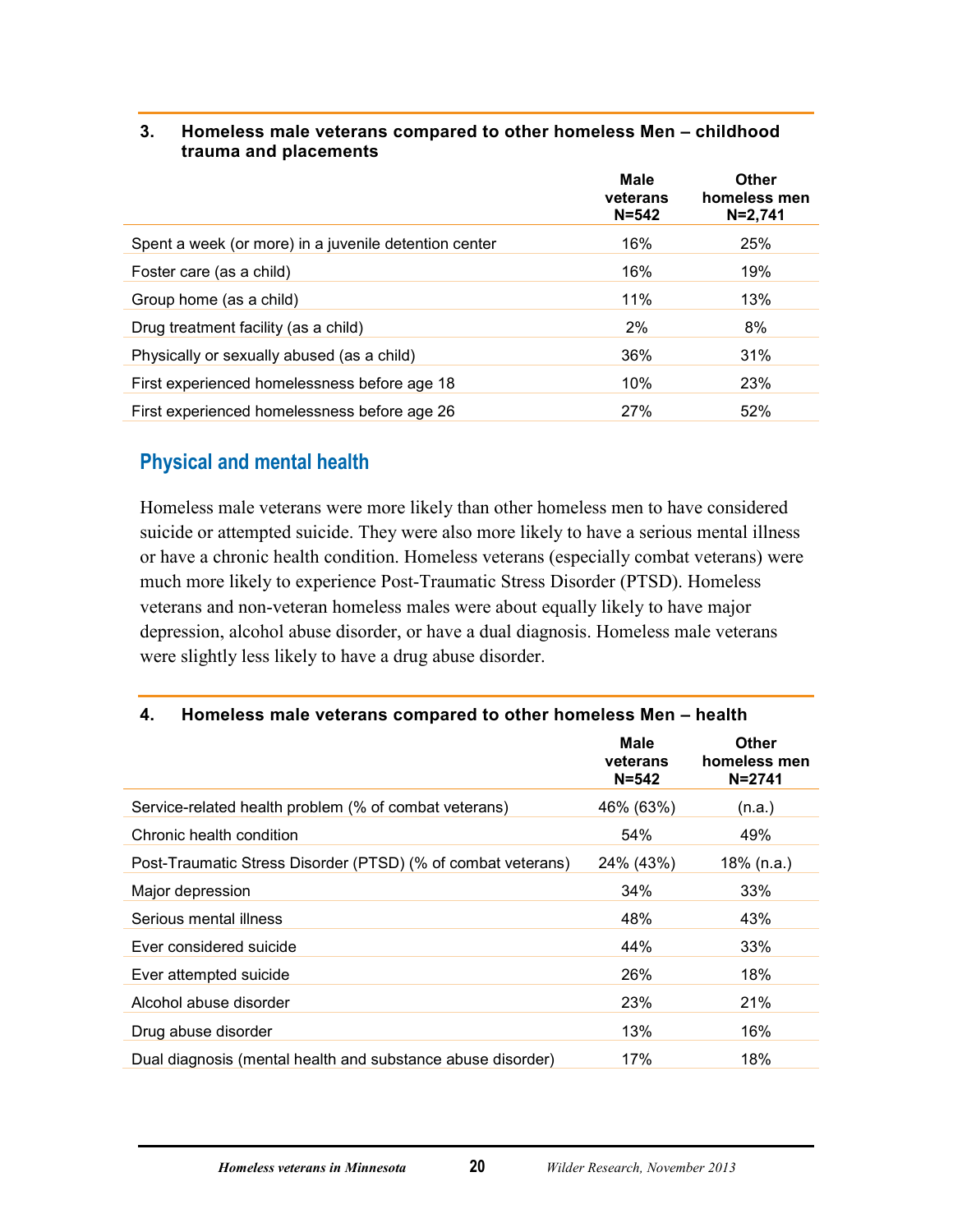|                                                       | <b>Male</b><br>veterans<br>$N = 542$ | Other<br>homeless men<br>$N = 2,741$ |
|-------------------------------------------------------|--------------------------------------|--------------------------------------|
| Spent a week (or more) in a juvenile detention center | 16%                                  | 25%                                  |
| Foster care (as a child)                              | 16%                                  | 19%                                  |
| Group home (as a child)                               | 11%                                  | 13%                                  |
| Drug treatment facility (as a child)                  | 2%                                   | 8%                                   |
| Physically or sexually abused (as a child)            | 36%                                  | 31%                                  |
| First experienced homelessness before age 18          | 10%                                  | 23%                                  |
| First experienced homelessness before age 26          | 27%                                  | 52%                                  |

#### <span id="page-24-1"></span>**3. Homeless male veterans compared to other homeless Men – childhood trauma and placements**

# <span id="page-24-0"></span>**Physical and mental health**

Homeless male veterans were more likely than other homeless men to have considered suicide or attempted suicide. They were also more likely to have a serious mental illness or have a chronic health condition. Homeless veterans (especially combat veterans) were much more likely to experience Post-Traumatic Stress Disorder (PTSD). Homeless veterans and non-veteran homeless males were about equally likely to have major depression, alcohol abuse disorder, or have a dual diagnosis. Homeless male veterans were slightly less likely to have a drug abuse disorder.

#### <span id="page-24-2"></span>**4. Homeless male veterans compared to other homeless Men – health**

|                                                              | Male<br>veterans<br>$N = 542$ | <b>Other</b><br>homeless men<br>$N = 2741$ |
|--------------------------------------------------------------|-------------------------------|--------------------------------------------|
| Service-related health problem (% of combat veterans)        | 46% (63%)                     | (n.a.)                                     |
| Chronic health condition                                     | 54%                           | 49%                                        |
| Post-Traumatic Stress Disorder (PTSD) (% of combat veterans) | 24% (43%)                     | $18\%$ (n.a.)                              |
| Major depression                                             | 34%                           | 33%                                        |
| Serious mental illness                                       | 48%                           | 43%                                        |
| Ever considered suicide                                      | 44%                           | 33%                                        |
| Ever attempted suicide                                       | 26%                           | 18%                                        |
| Alcohol abuse disorder                                       | 23%                           | 21%                                        |
| Drug abuse disorder                                          | 13%                           | 16%                                        |
| Dual diagnosis (mental health and substance abuse disorder)  | 17%                           | 18%                                        |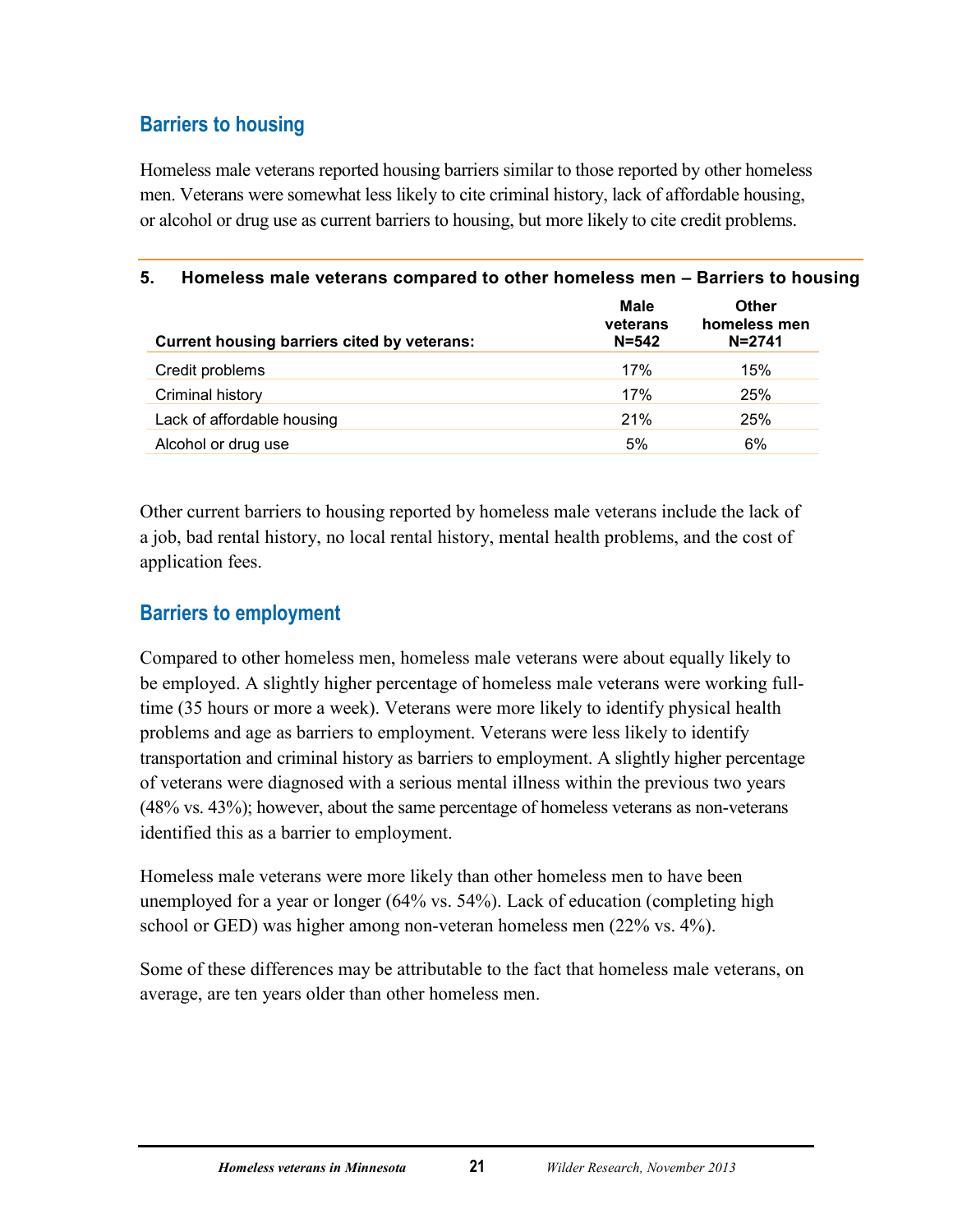# <span id="page-25-0"></span>**Barriers to housing**

Homeless male veterans reported housing barriers similar to those reported by other homeless men. Veterans were somewhat less likely to cite criminal history, lack of affordable housing, or alcohol or drug use as current barriers to housing, but more likely to cite credit problems.

<span id="page-25-2"></span>

| 5.<br>Homeless male veterans compared to other homeless men - Barriers to housing |                                      |                                     |  |  |
|-----------------------------------------------------------------------------------|--------------------------------------|-------------------------------------|--|--|
| Current housing barriers cited by veterans:                                       | <b>Male</b><br>veterans<br>$N = 542$ | Other<br>homeless men<br>$N = 2741$ |  |  |
| Credit problems                                                                   | 17%                                  | 15%                                 |  |  |
| Criminal history                                                                  | 17%                                  | 25%                                 |  |  |
| Lack of affordable housing                                                        | 21%                                  | 25%                                 |  |  |
| Alcohol or drug use                                                               | 5%                                   | 6%                                  |  |  |

Other current barriers to housing reported by homeless male veterans include the lack of a job, bad rental history, no local rental history, mental health problems, and the cost of application fees.

## <span id="page-25-1"></span>**Barriers to employment**

Compared to other homeless men, homeless male veterans were about equally likely to be employed. A slightly higher percentage of homeless male veterans were working fulltime (35 hours or more a week). Veterans were more likely to identify physical health problems and age as barriers to employment. Veterans were less likely to identify transportation and criminal history as barriers to employment. A slightly higher percentage of veterans were diagnosed with a serious mental illness within the previous two years (48% vs. 43%); however, about the same percentage of homeless veterans as non-veterans identified this as a barrier to employment.

Homeless male veterans were more likely than other homeless men to have been unemployed for a year or longer (64% vs. 54%). Lack of education (completing high school or GED) was higher among non-veteran homeless men (22% vs. 4%).

Some of these differences may be attributable to the fact that homeless male veterans, on average, are ten years older than other homeless men.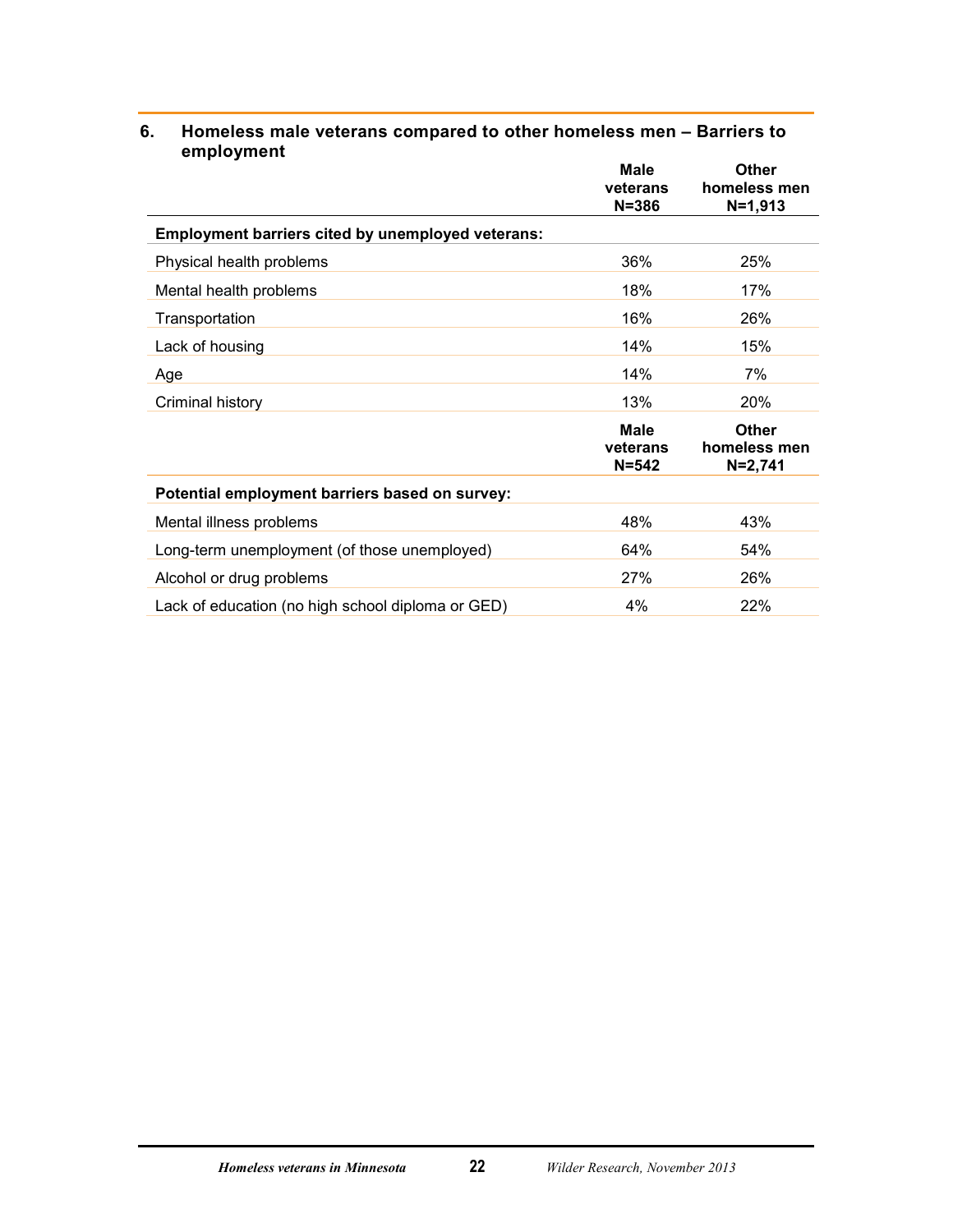|                                                          | <b>Male</b><br>veterans<br>$N = 386$ | <b>Other</b><br>homeless men<br>$N = 1,913$ |
|----------------------------------------------------------|--------------------------------------|---------------------------------------------|
| <b>Employment barriers cited by unemployed veterans:</b> |                                      |                                             |
| Physical health problems                                 | 36%                                  | 25%                                         |
| Mental health problems                                   | 18%                                  | 17%                                         |
| Transportation                                           | 16%                                  | 26%                                         |
| Lack of housing                                          | 14%                                  | 15%                                         |
| Age                                                      | 14%                                  | 7%                                          |
| Criminal history                                         | 13%                                  | 20%                                         |
|                                                          | <b>Male</b><br>veterans<br>$N = 542$ | <b>Other</b><br>homeless men<br>$N = 2,741$ |
| Potential employment barriers based on survey:           |                                      |                                             |
| Mental illness problems                                  | 48%                                  | 43%                                         |
| Long-term unemployment (of those unemployed)             | 64%                                  | 54%                                         |
| Alcohol or drug problems                                 | 27%                                  | 26%                                         |
| Lack of education (no high school diploma or GED)        | 4%                                   | 22%                                         |

#### <span id="page-26-0"></span>**6. Homeless male veterans compared to other homeless men – Barriers to employment**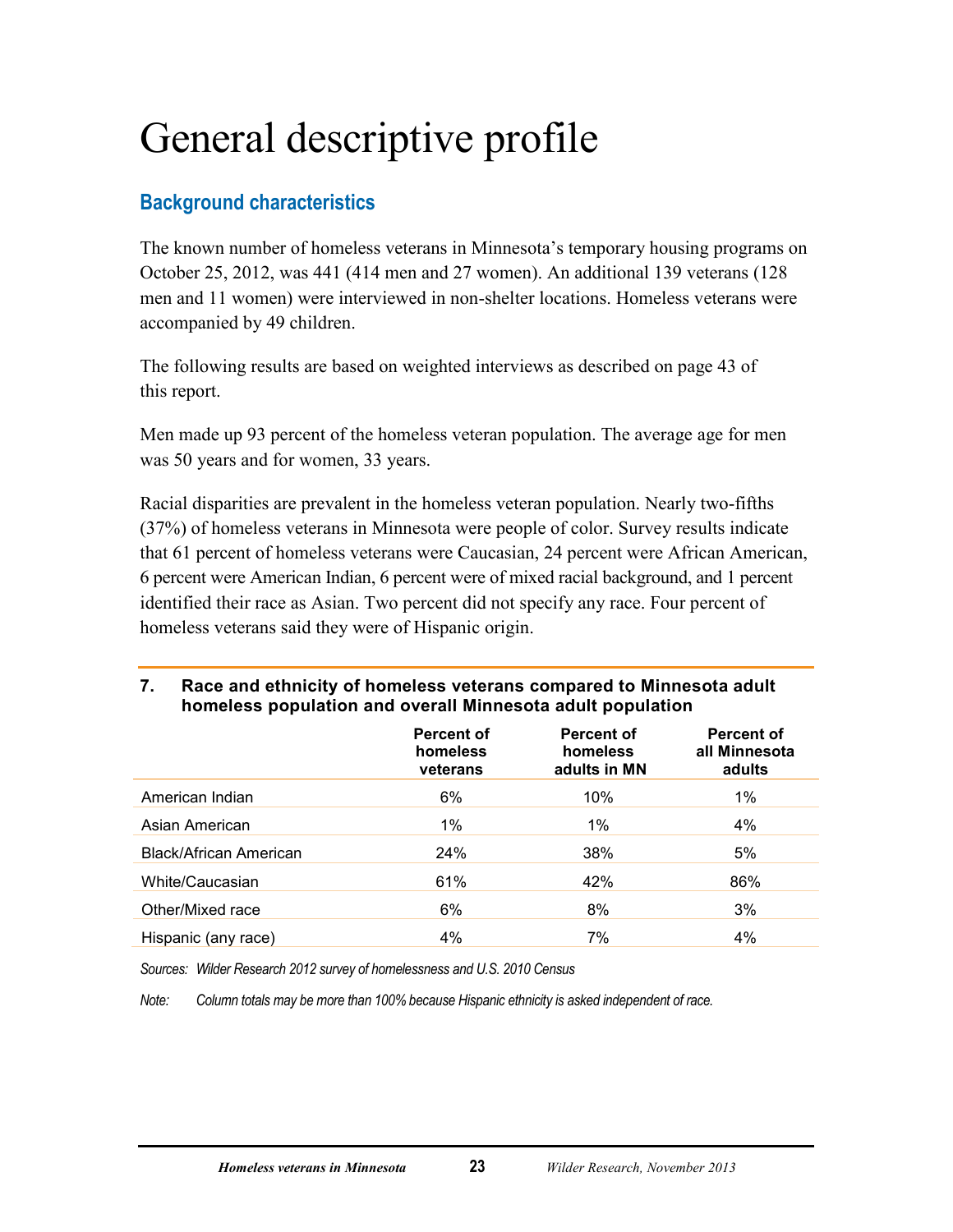# <span id="page-27-0"></span>General descriptive profile

# <span id="page-27-1"></span>**Background characteristics**

The known number of homeless veterans in Minnesota's temporary housing programs on October 25, 2012, was 441 (414 men and 27 women). An additional 139 veterans (128 men and 11 women) were interviewed in non-shelter locations. Homeless veterans were accompanied by 49 children.

The following results are based on weighted interviews as described on page 43 of this report.

Men made up 93 percent of the homeless veteran population. The average age for men was 50 years and for women, 33 years.

Racial disparities are prevalent in the homeless veteran population. Nearly two-fifths (37%) of homeless veterans in Minnesota were people of color. Survey results indicate that 61 percent of homeless veterans were Caucasian, 24 percent were African American, 6 percent were American Indian, 6 percent were of mixed racial background, and 1 percent identified their race as Asian. Two percent did not specify any race. Four percent of homeless veterans said they were of Hispanic origin.

### <span id="page-27-2"></span>**7. Race and ethnicity of homeless veterans compared to Minnesota adult homeless population and overall Minnesota adult population**

|                               | Percent of<br>homeless<br>veterans | <b>Percent of</b><br>homeless<br>adults in MN | <b>Percent of</b><br>all Minnesota<br>adults |
|-------------------------------|------------------------------------|-----------------------------------------------|----------------------------------------------|
| American Indian               | 6%                                 | 10%                                           | $1\%$                                        |
| Asian American                | $1\%$                              | $1\%$                                         | 4%                                           |
| <b>Black/African American</b> | 24%                                | 38%                                           | 5%                                           |
| White/Caucasian               | 61%                                | 42%                                           | 86%                                          |
| Other/Mixed race              | 6%                                 | 8%                                            | 3%                                           |
| Hispanic (any race)           | 4%                                 | 7%                                            | 4%                                           |

*Sources: Wilder Research 2012 survey of homelessness and U.S. 2010 Census* 

*Note: Column totals may be more than 100% because Hispanic ethnicity is asked independent of race.*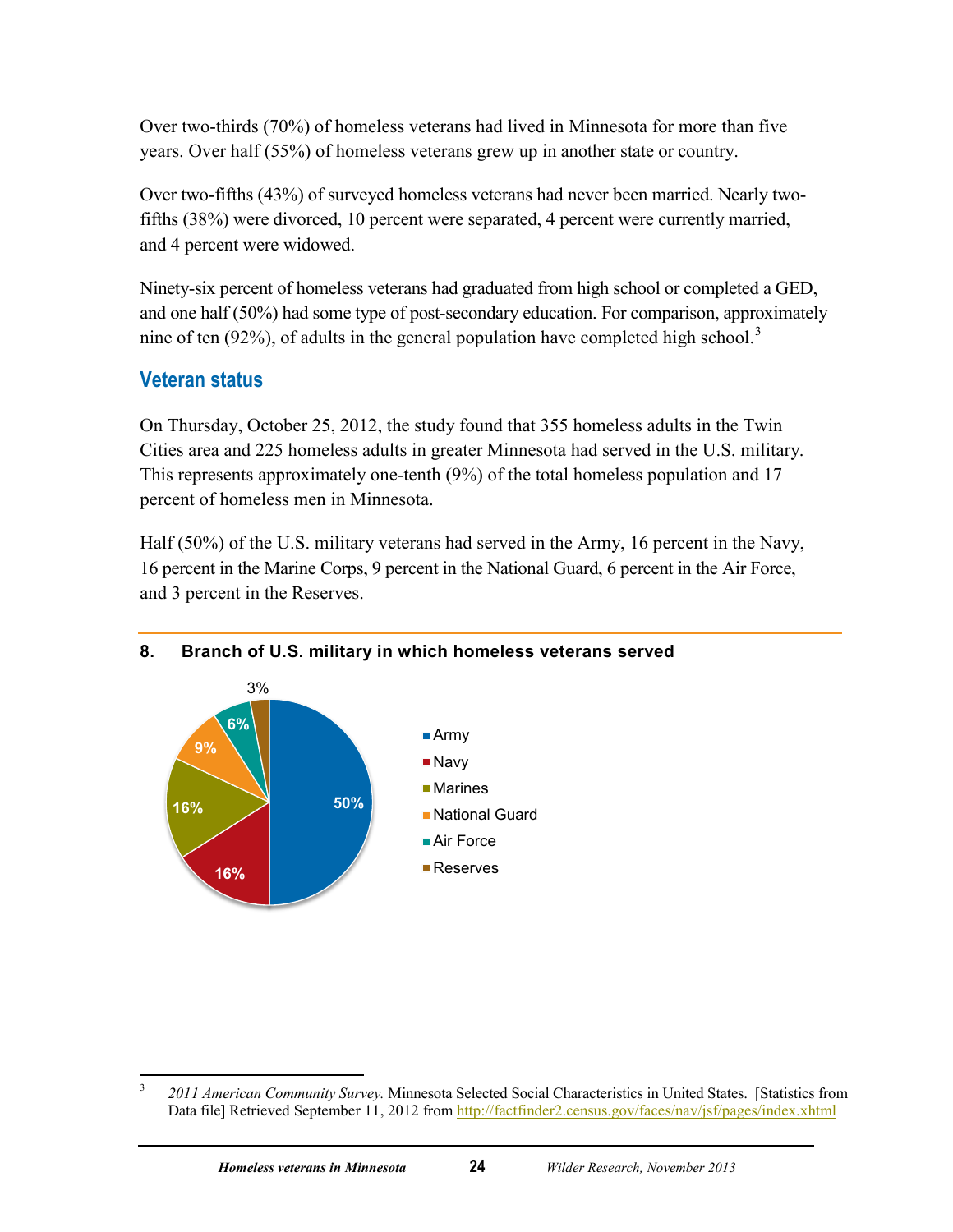Over two-thirds (70%) of homeless veterans had lived in Minnesota for more than five years. Over half (55%) of homeless veterans grew up in another state or country.

Over two-fifths (43%) of surveyed homeless veterans had never been married. Nearly twofifths (38%) were divorced, 10 percent were separated, 4 percent were currently married, and 4 percent were widowed.

Ninety-six percent of homeless veterans had graduated from high school or completed a GED, and one half (50%) had some type of post-secondary education. For comparison, approximately nine of ten (92%), of adults in the general population have completed high school.<sup>[3](#page-28-2)</sup>

# <span id="page-28-0"></span>**Veteran status**

On Thursday, October 25, 2012, the study found that 355 homeless adults in the Twin Cities area and 225 homeless adults in greater Minnesota had served in the U.S. military. This represents approximately one-tenth (9%) of the total homeless population and 17 percent of homeless men in Minnesota.

Half (50%) of the U.S. military veterans had served in the Army, 16 percent in the Navy, 16 percent in the Marine Corps, 9 percent in the National Guard, 6 percent in the Air Force, and 3 percent in the Reserves.



#### <span id="page-28-1"></span>**8. Branch of U.S. military in which homeless veterans served**

<span id="page-28-2"></span> $\overline{\mathbf{3}}$ <sup>3</sup> *2011 American Community Survey.* Minnesota Selected Social Characteristics in United States. [Statistics from Data file] Retrieved September 11, 2012 from http://factfinder2.census.gov/faces/nav/jsf/pages/index.xhtml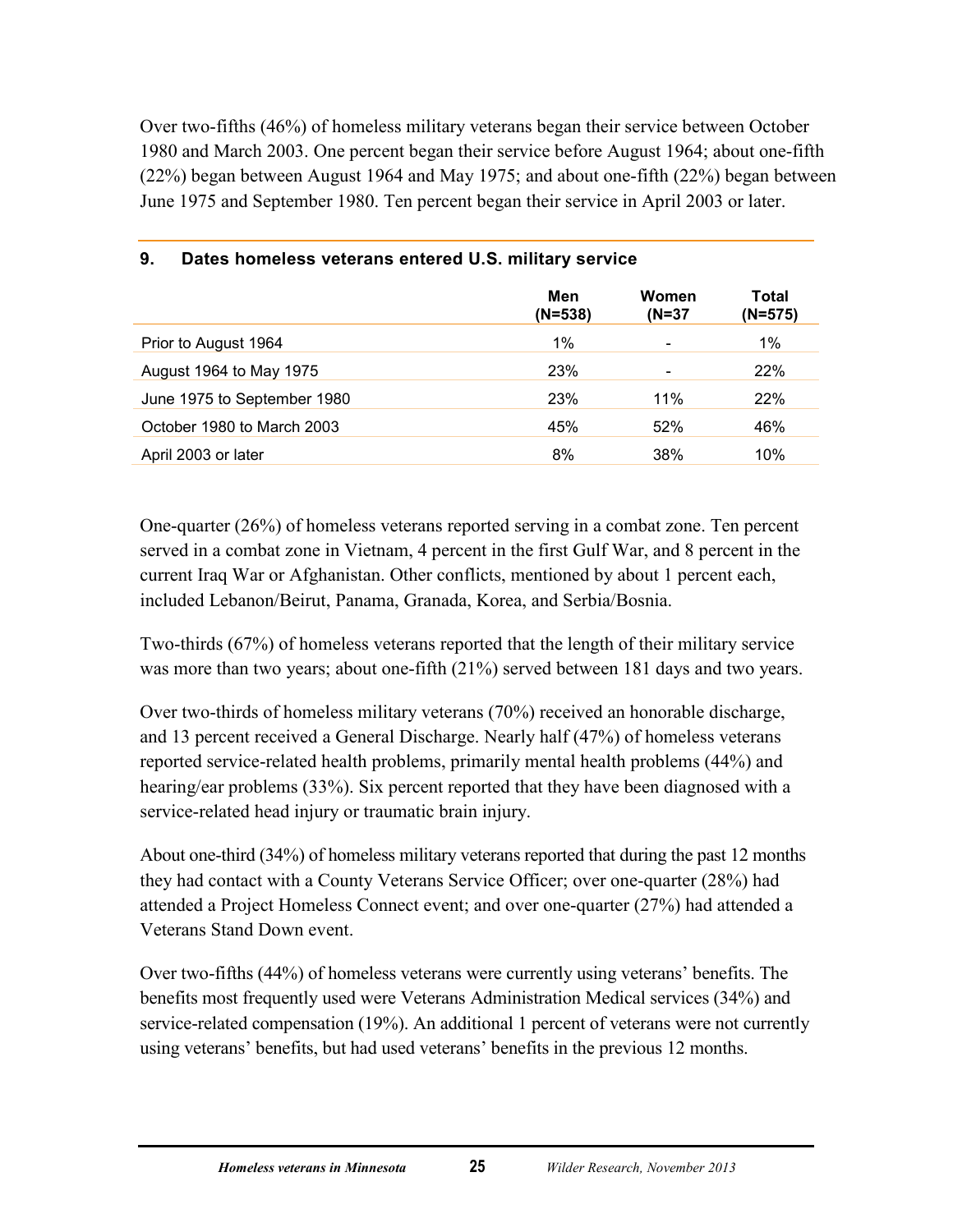Over two-fifths (46%) of homeless military veterans began their service between October 1980 and March 2003. One percent began their service before August 1964; about one-fifth (22%) began between August 1964 and May 1975; and about one-fifth (22%) began between June 1975 and September 1980. Ten percent began their service in April 2003 or later.

|                             | Men<br>$(N=538)$ | Women<br>$(N=37)$ | Total<br>$(N=575)$ |
|-----------------------------|------------------|-------------------|--------------------|
| Prior to August 1964        | 1%               |                   | 1%                 |
| August 1964 to May 1975     | 23%              |                   | 22%                |
| June 1975 to September 1980 | 23%              | 11%               | 22%                |
| October 1980 to March 2003  | 45%              | 52%               | 46%                |
| April 2003 or later         | 8%               | 38%               | 10%                |

#### <span id="page-29-0"></span>**9. Dates homeless veterans entered U.S. military service**

One-quarter (26%) of homeless veterans reported serving in a combat zone. Ten percent served in a combat zone in Vietnam, 4 percent in the first Gulf War, and 8 percent in the current Iraq War or Afghanistan. Other conflicts, mentioned by about 1 percent each, included Lebanon/Beirut, Panama, Granada, Korea, and Serbia/Bosnia.

Two-thirds (67%) of homeless veterans reported that the length of their military service was more than two years; about one-fifth  $(21\%)$  served between 181 days and two years.

Over two-thirds of homeless military veterans (70%) received an honorable discharge, and 13 percent received a General Discharge. Nearly half (47%) of homeless veterans reported service-related health problems, primarily mental health problems (44%) and hearing/ear problems (33%). Six percent reported that they have been diagnosed with a service-related head injury or traumatic brain injury.

About one-third (34%) of homeless military veterans reported that during the past 12 months they had contact with a County Veterans Service Officer; over one-quarter (28%) had attended a Project Homeless Connect event; and over one-quarter (27%) had attended a Veterans Stand Down event.

Over two-fifths (44%) of homeless veterans were currently using veterans' benefits. The benefits most frequently used were Veterans Administration Medical services (34%) and service-related compensation (19%). An additional 1 percent of veterans were not currently using veterans' benefits, but had used veterans' benefits in the previous 12 months.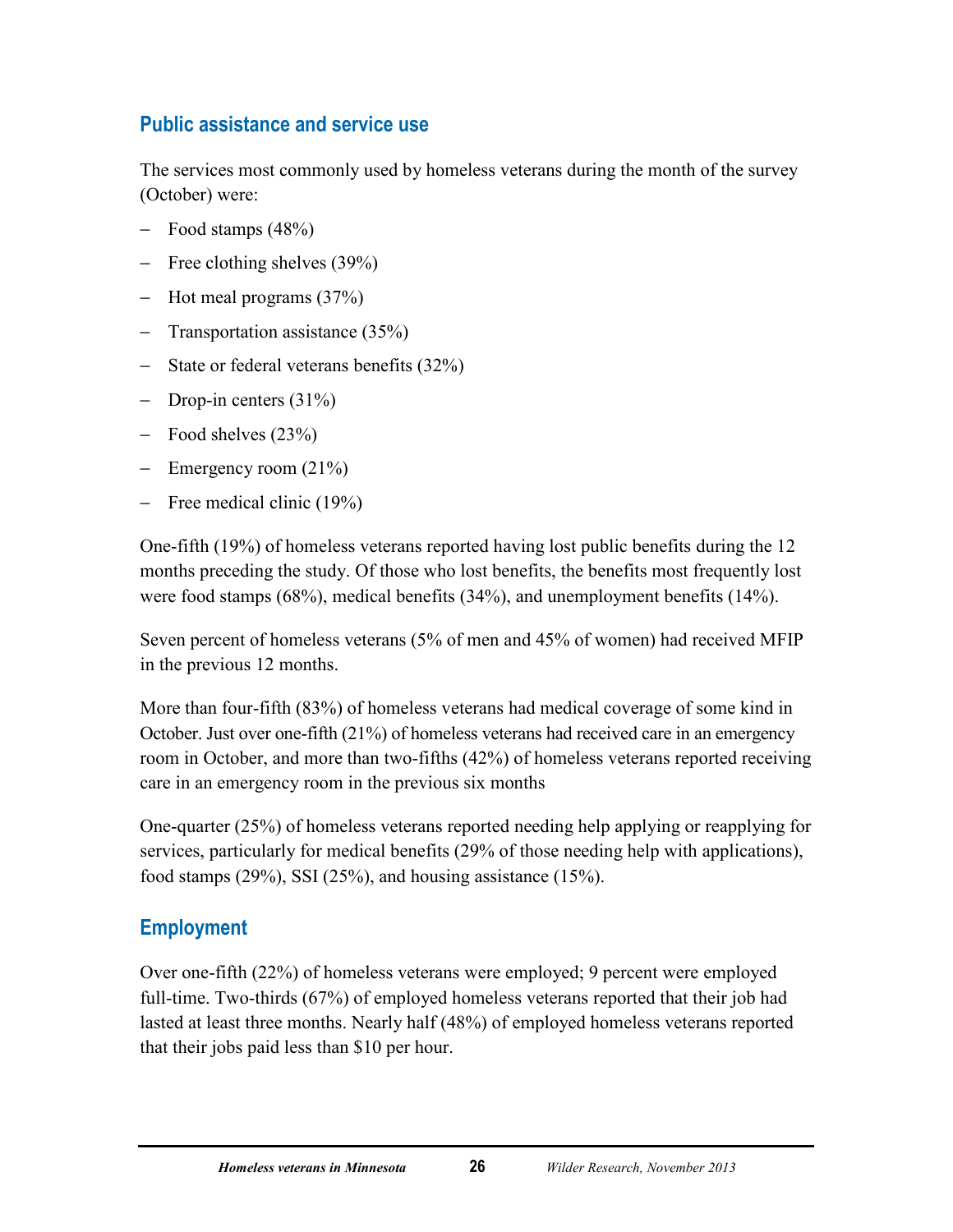# <span id="page-30-0"></span>**Public assistance and service use**

The services most commonly used by homeless veterans during the month of the survey (October) were:

- − Food stamps (48%)
- − Free clothing shelves (39%)
- − Hot meal programs (37%)
- − Transportation assistance (35%)
- − State or federal veterans benefits (32%)
- − Drop-in centers (31%)
- − Food shelves (23%)
- − Emergency room (21%)
- − Free medical clinic (19%)

One-fifth (19%) of homeless veterans reported having lost public benefits during the 12 months preceding the study. Of those who lost benefits, the benefits most frequently lost were food stamps (68%), medical benefits (34%), and unemployment benefits (14%).

Seven percent of homeless veterans (5% of men and 45% of women) had received MFIP in the previous 12 months.

More than four-fifth (83%) of homeless veterans had medical coverage of some kind in October. Just over one-fifth (21%) of homeless veterans had received care in an emergency room in October, and more than two-fifths (42%) of homeless veterans reported receiving care in an emergency room in the previous six months

One-quarter (25%) of homeless veterans reported needing help applying or reapplying for services, particularly for medical benefits (29% of those needing help with applications), food stamps (29%), SSI (25%), and housing assistance (15%).

## <span id="page-30-1"></span>**Employment**

Over one-fifth (22%) of homeless veterans were employed; 9 percent were employed full-time. Two-thirds (67%) of employed homeless veterans reported that their job had lasted at least three months. Nearly half (48%) of employed homeless veterans reported that their jobs paid less than \$10 per hour.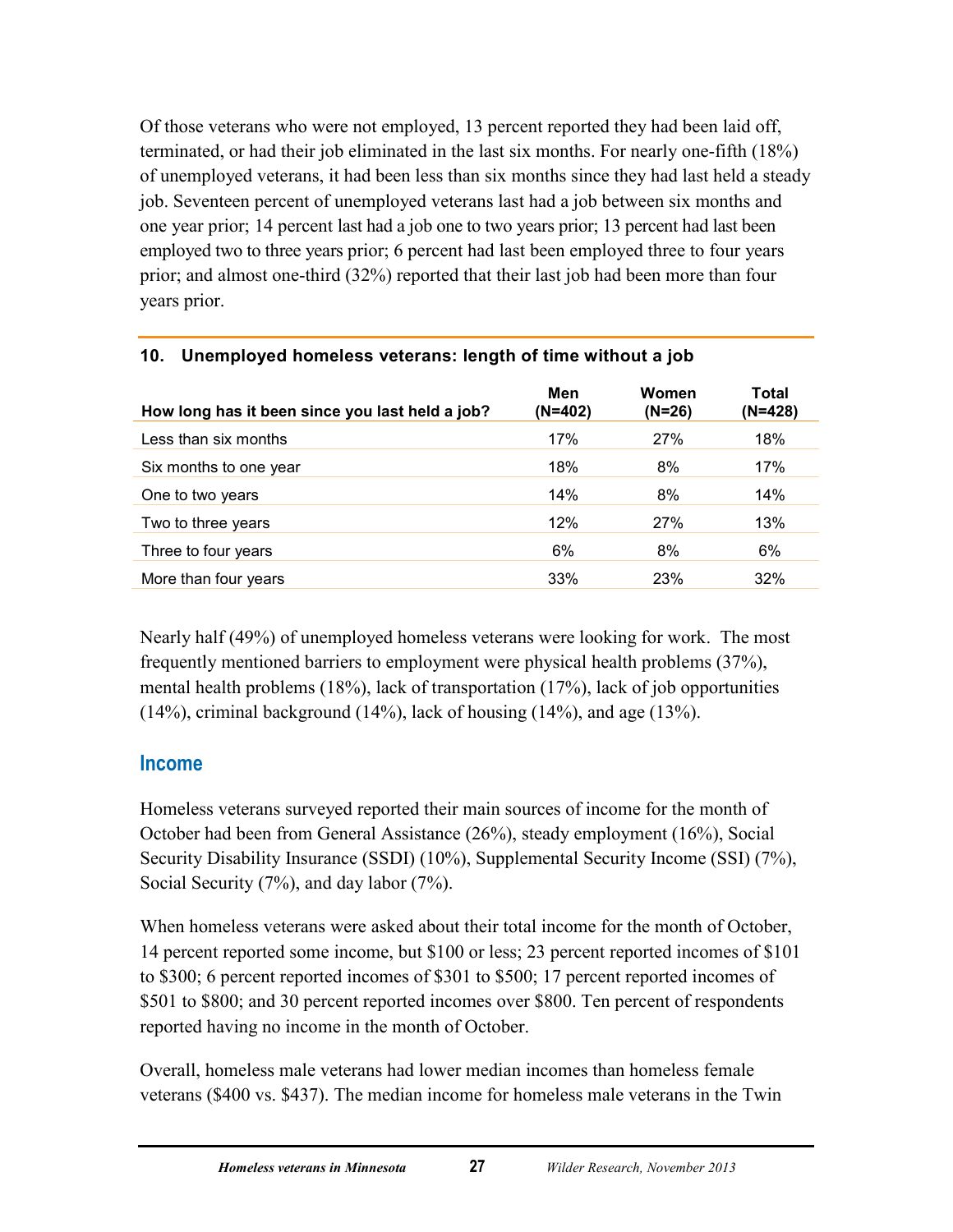Of those veterans who were not employed, 13 percent reported they had been laid off, terminated, or had their job eliminated in the last six months. For nearly one-fifth (18%) of unemployed veterans, it had been less than six months since they had last held a steady job. Seventeen percent of unemployed veterans last had a job between six months and one year prior; 14 percent last had a job one to two years prior; 13 percent had last been employed two to three years prior; 6 percent had last been employed three to four years prior; and almost one-third (32%) reported that their last job had been more than four years prior.

| How long has it been since you last held a job? | Men<br>$(N=402)$ | Women<br>(N=26) | Total<br>(N=428) |
|-------------------------------------------------|------------------|-----------------|------------------|
| Less than six months                            | 17%              | 27%             | 18%              |
| Six months to one year                          | 18%              | 8%              | 17%              |
| One to two years                                | 14%              | 8%              | 14%              |
| Two to three years                              | 12%              | 27%             | 13%              |
| Three to four years                             | 6%               | 8%              | 6%               |
| More than four years                            | 33%              | 23%             | 32%              |

## <span id="page-31-1"></span>**10. Unemployed homeless veterans: length of time without a job**

Nearly half (49%) of unemployed homeless veterans were looking for work. The most frequently mentioned barriers to employment were physical health problems (37%), mental health problems (18%), lack of transportation (17%), lack of job opportunities  $(14%)$ , criminal background  $(14%)$ , lack of housing  $(14%)$ , and age  $(13%)$ .

## <span id="page-31-0"></span>**Income**

Homeless veterans surveyed reported their main sources of income for the month of October had been from General Assistance (26%), steady employment (16%), Social Security Disability Insurance (SSDI) (10%), Supplemental Security Income (SSI) (7%), Social Security (7%), and day labor (7%).

When homeless veterans were asked about their total income for the month of October, 14 percent reported some income, but \$100 or less; 23 percent reported incomes of \$101 to \$300; 6 percent reported incomes of \$301 to \$500; 17 percent reported incomes of \$501 to \$800; and 30 percent reported incomes over \$800. Ten percent of respondents reported having no income in the month of October.

Overall, homeless male veterans had lower median incomes than homeless female veterans (\$400 vs. \$437). The median income for homeless male veterans in the Twin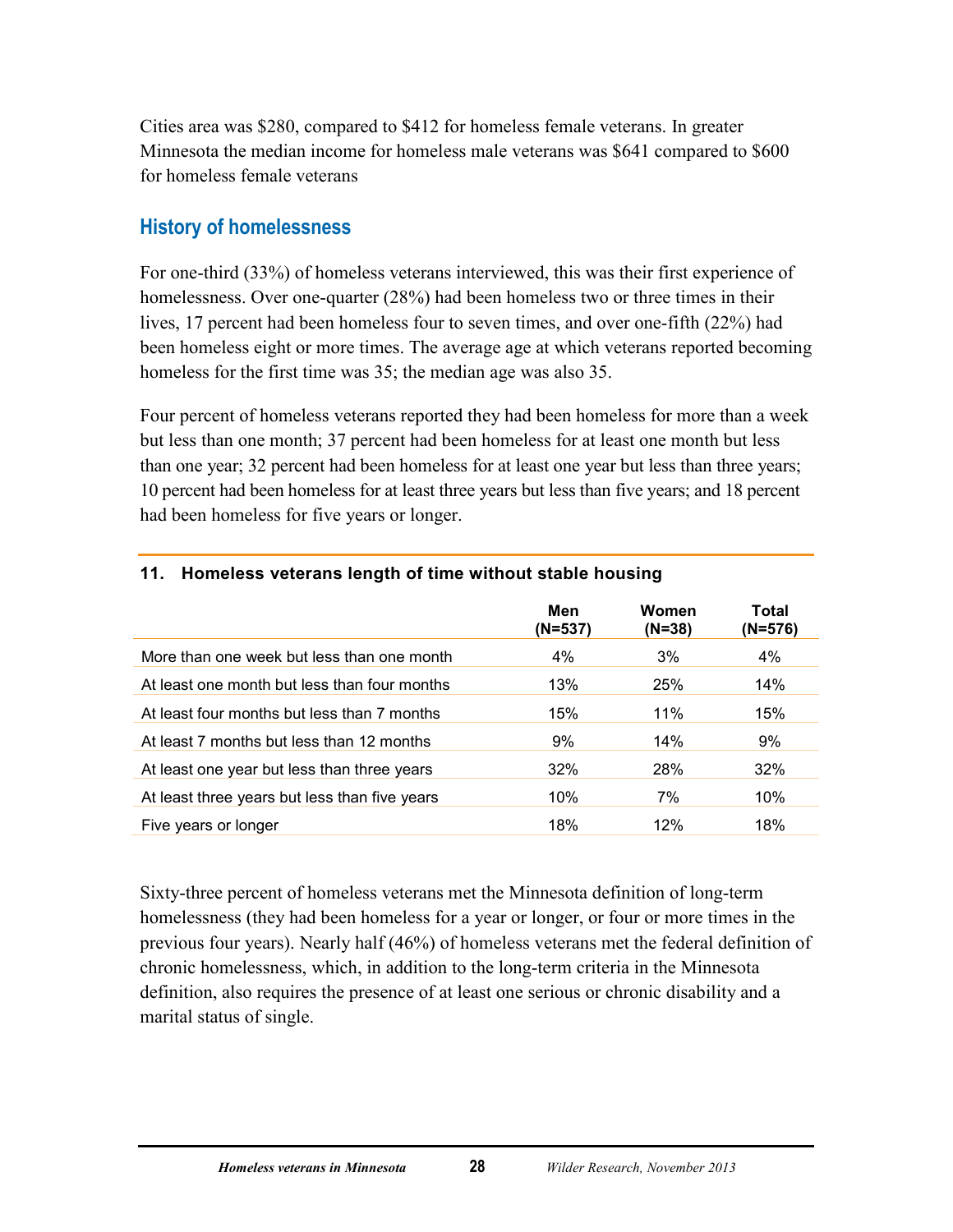Cities area was \$280, compared to \$412 for homeless female veterans. In greater Minnesota the median income for homeless male veterans was \$641 compared to \$600 for homeless female veterans

## <span id="page-32-0"></span>**History of homelessness**

For one-third (33%) of homeless veterans interviewed, this was their first experience of homelessness. Over one-quarter (28%) had been homeless two or three times in their lives, 17 percent had been homeless four to seven times, and over one-fifth (22%) had been homeless eight or more times. The average age at which veterans reported becoming homeless for the first time was 35; the median age was also 35.

Four percent of homeless veterans reported they had been homeless for more than a week but less than one month; 37 percent had been homeless for at least one month but less than one year; 32 percent had been homeless for at least one year but less than three years; 10 percent had been homeless for at least three years but less than five years; and 18 percent had been homeless for five years or longer.

|                                               | Men<br>(N=537) | Women<br>$(N=38)$ | Total<br>(N=576) |
|-----------------------------------------------|----------------|-------------------|------------------|
| More than one week but less than one month    | $4\%$          | 3%                | 4%               |
| At least one month but less than four months  | 13%            | 25%               | 14%              |
| At least four months but less than 7 months   | 15%            | 11%               | 15%              |
| At least 7 months but less than 12 months     | 9%             | 14%               | 9%               |
| At least one year but less than three years   | 32%            | 28%               | 32%              |
| At least three years but less than five years | 10%            | 7%                | 10%              |
| Five years or longer                          | 18%            | 12%               | 18%              |

#### <span id="page-32-1"></span>**11. Homeless veterans length of time without stable housing**

Sixty-three percent of homeless veterans met the Minnesota definition of long-term homelessness (they had been homeless for a year or longer, or four or more times in the previous four years). Nearly half (46%) of homeless veterans met the federal definition of chronic homelessness, which, in addition to the long-term criteria in the Minnesota definition, also requires the presence of at least one serious or chronic disability and a marital status of single.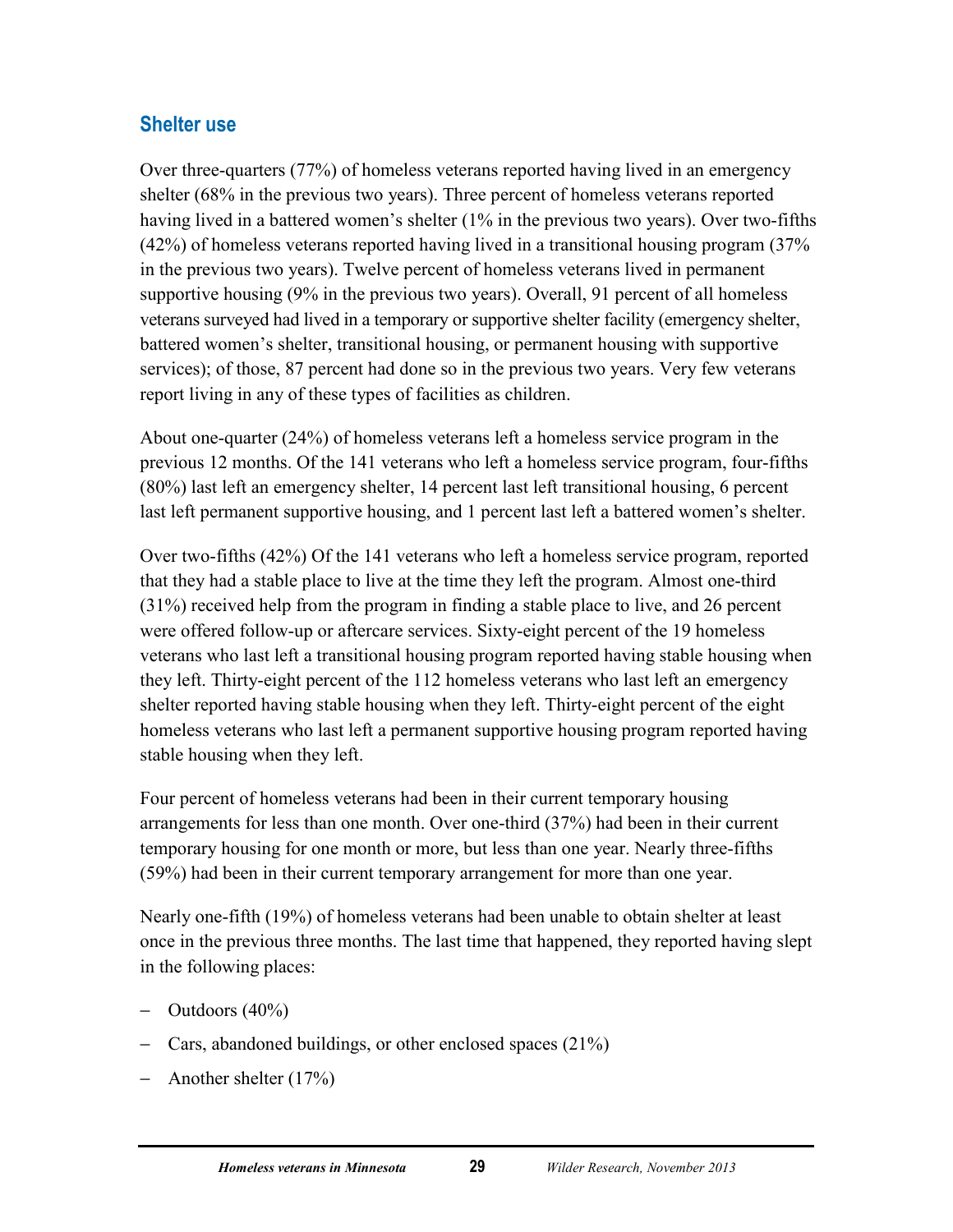## <span id="page-33-0"></span>**Shelter use**

Over three-quarters (77%) of homeless veterans reported having lived in an emergency shelter (68% in the previous two years). Three percent of homeless veterans reported having lived in a battered women's shelter (1% in the previous two years). Over two-fifths (42%) of homeless veterans reported having lived in a transitional housing program (37% in the previous two years). Twelve percent of homeless veterans lived in permanent supportive housing (9% in the previous two years). Overall, 91 percent of all homeless veterans surveyed had lived in a temporary or supportive shelter facility (emergency shelter, battered women's shelter, transitional housing, or permanent housing with supportive services); of those, 87 percent had done so in the previous two years. Very few veterans report living in any of these types of facilities as children.

About one-quarter (24%) of homeless veterans left a homeless service program in the previous 12 months. Of the 141 veterans who left a homeless service program, four-fifths (80%) last left an emergency shelter, 14 percent last left transitional housing, 6 percent last left permanent supportive housing, and 1 percent last left a battered women's shelter.

Over two-fifths (42%) Of the 141 veterans who left a homeless service program, reported that they had a stable place to live at the time they left the program. Almost one-third (31%) received help from the program in finding a stable place to live, and 26 percent were offered follow-up or aftercare services. Sixty-eight percent of the 19 homeless veterans who last left a transitional housing program reported having stable housing when they left. Thirty-eight percent of the 112 homeless veterans who last left an emergency shelter reported having stable housing when they left. Thirty-eight percent of the eight homeless veterans who last left a permanent supportive housing program reported having stable housing when they left.

Four percent of homeless veterans had been in their current temporary housing arrangements for less than one month. Over one-third (37%) had been in their current temporary housing for one month or more, but less than one year. Nearly three-fifths (59%) had been in their current temporary arrangement for more than one year.

Nearly one-fifth (19%) of homeless veterans had been unable to obtain shelter at least once in the previous three months. The last time that happened, they reported having slept in the following places:

- − Outdoors (40%)
- − Cars, abandoned buildings, or other enclosed spaces (21%)
- − Another shelter (17%)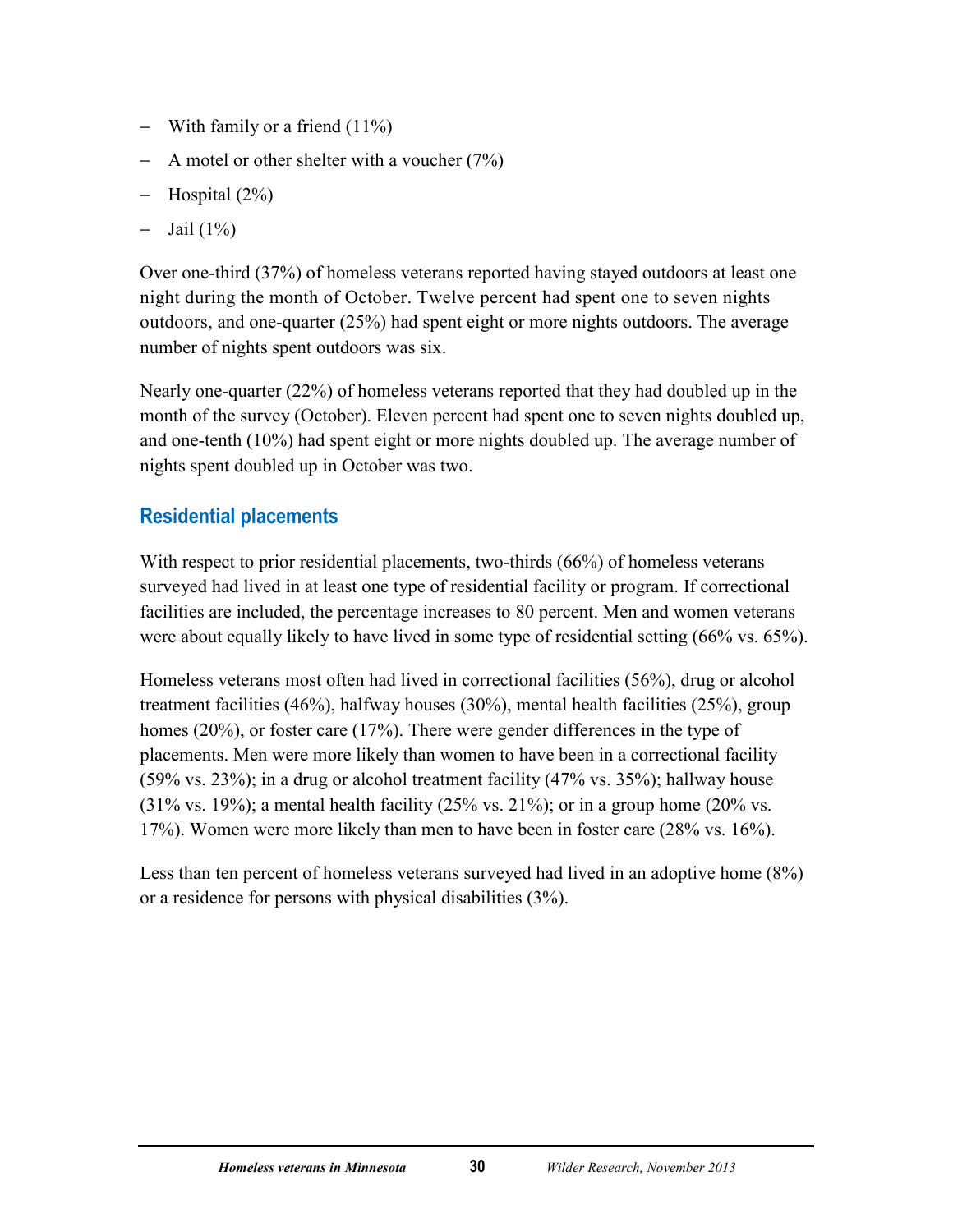- − With family or a friend (11%)
- − A motel or other shelter with a voucher (7%)
- − Hospital (2%)
- − Jail (1%)

Over one-third (37%) of homeless veterans reported having stayed outdoors at least one night during the month of October. Twelve percent had spent one to seven nights outdoors, and one-quarter (25%) had spent eight or more nights outdoors. The average number of nights spent outdoors was six.

Nearly one-quarter (22%) of homeless veterans reported that they had doubled up in the month of the survey (October). Eleven percent had spent one to seven nights doubled up, and one-tenth (10%) had spent eight or more nights doubled up. The average number of nights spent doubled up in October was two.

## <span id="page-34-0"></span>**Residential placements**

With respect to prior residential placements, two-thirds (66%) of homeless veterans surveyed had lived in at least one type of residential facility or program. If correctional facilities are included, the percentage increases to 80 percent. Men and women veterans were about equally likely to have lived in some type of residential setting (66% vs. 65%).

Homeless veterans most often had lived in correctional facilities (56%), drug or alcohol treatment facilities (46%), halfway houses (30%), mental health facilities (25%), group homes (20%), or foster care (17%). There were gender differences in the type of placements. Men were more likely than women to have been in a correctional facility  $(59\% \text{ vs. } 23\%)$ ; in a drug or alcohol treatment facility  $(47\% \text{ vs. } 35\%)$ ; hallway house  $(31\% \text{ vs. } 19\%)$ ; a mental health facility  $(25\% \text{ vs. } 21\%)$ ; or in a group home  $(20\% \text{ vs. } 19\%)$ 17%). Women were more likely than men to have been in foster care (28% vs. 16%).

Less than ten percent of homeless veterans surveyed had lived in an adoptive home (8%) or a residence for persons with physical disabilities (3%).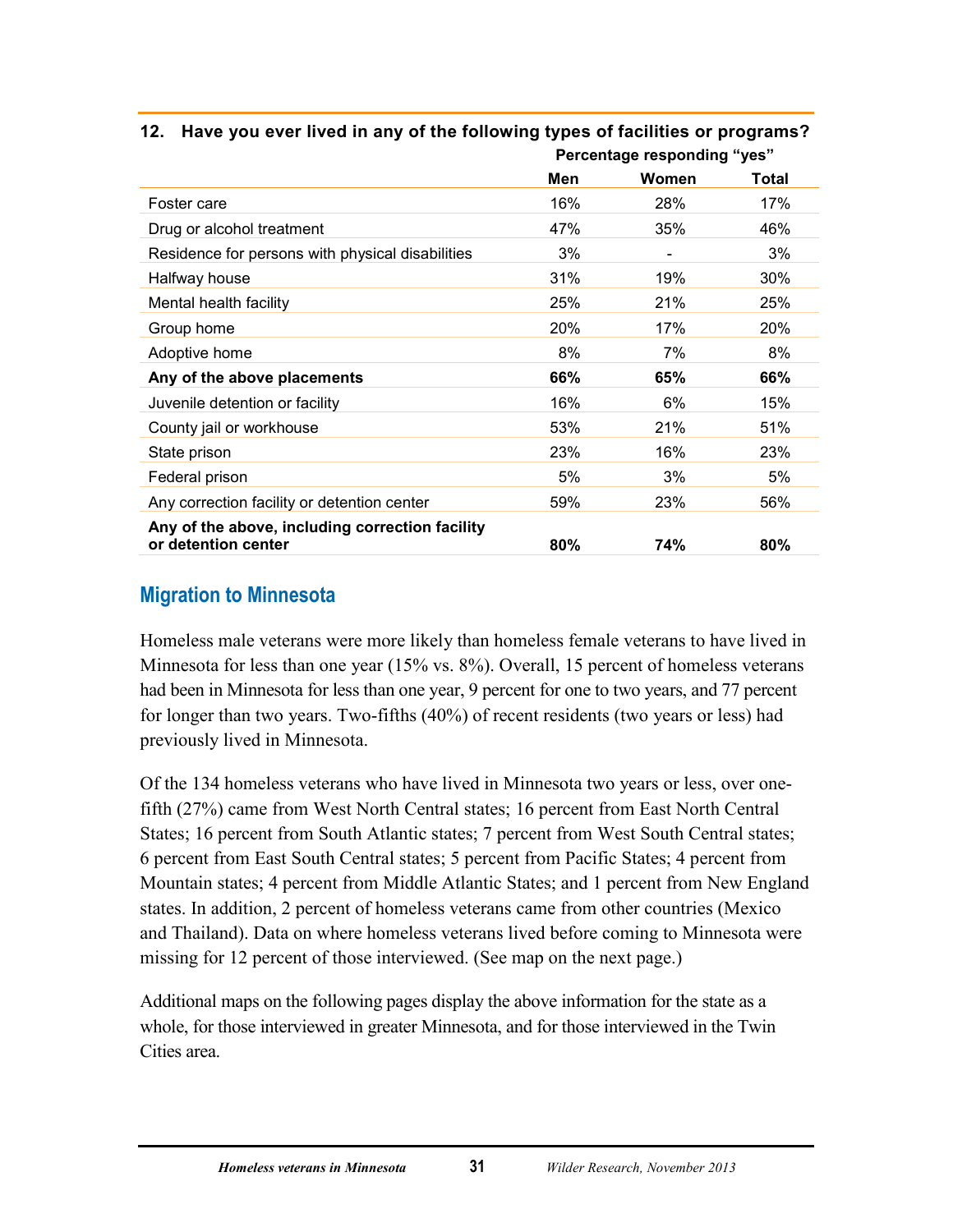|                                                                        | <b>Fercentage responding yes</b> |                          |        |
|------------------------------------------------------------------------|----------------------------------|--------------------------|--------|
|                                                                        | Men                              | Women                    | Total  |
| Foster care                                                            | 16%                              | 28%                      | 17%    |
| Drug or alcohol treatment                                              | 47%                              | 35%                      | 46%    |
| Residence for persons with physical disabilities                       | 3%                               | $\overline{\phantom{a}}$ | 3%     |
| Halfway house                                                          | 31%                              | 19%                      | $30\%$ |
| Mental health facility                                                 | 25%                              | 21%                      | 25%    |
| Group home                                                             | 20%                              | 17%                      | 20%    |
| Adoptive home                                                          | 8%                               | 7%                       | 8%     |
| Any of the above placements                                            | 66%                              | 65%                      | 66%    |
| Juvenile detention or facility                                         | 16%                              | 6%                       | 15%    |
| County jail or workhouse                                               | 53%                              | 21%                      | 51%    |
| State prison                                                           | 23%                              | 16%                      | 23%    |
| Federal prison                                                         | 5%                               | 3%                       | 5%     |
| Any correction facility or detention center                            | 59%                              | 23%                      | 56%    |
| Any of the above, including correction facility<br>or detention center | 80%                              | 74%                      | 80%    |

#### <span id="page-35-1"></span>**12. Have you ever lived in any of the following types of facilities or programs? Percentage responding "yes"**

# <span id="page-35-0"></span>**Migration to Minnesota**

Homeless male veterans were more likely than homeless female veterans to have lived in Minnesota for less than one year (15% vs. 8%). Overall, 15 percent of homeless veterans had been in Minnesota for less than one year, 9 percent for one to two years, and 77 percent for longer than two years. Two-fifths (40%) of recent residents (two years or less) had previously lived in Minnesota.

Of the 134 homeless veterans who have lived in Minnesota two years or less, over onefifth (27%) came from West North Central states; 16 percent from East North Central States; 16 percent from South Atlantic states; 7 percent from West South Central states; 6 percent from East South Central states; 5 percent from Pacific States; 4 percent from Mountain states; 4 percent from Middle Atlantic States; and 1 percent from New England states. In addition, 2 percent of homeless veterans came from other countries (Mexico and Thailand). Data on where homeless veterans lived before coming to Minnesota were missing for 12 percent of those interviewed. (See map on the next page.)

Additional maps on the following pages display the above information for the state as a whole, for those interviewed in greater Minnesota, and for those interviewed in the Twin Cities area.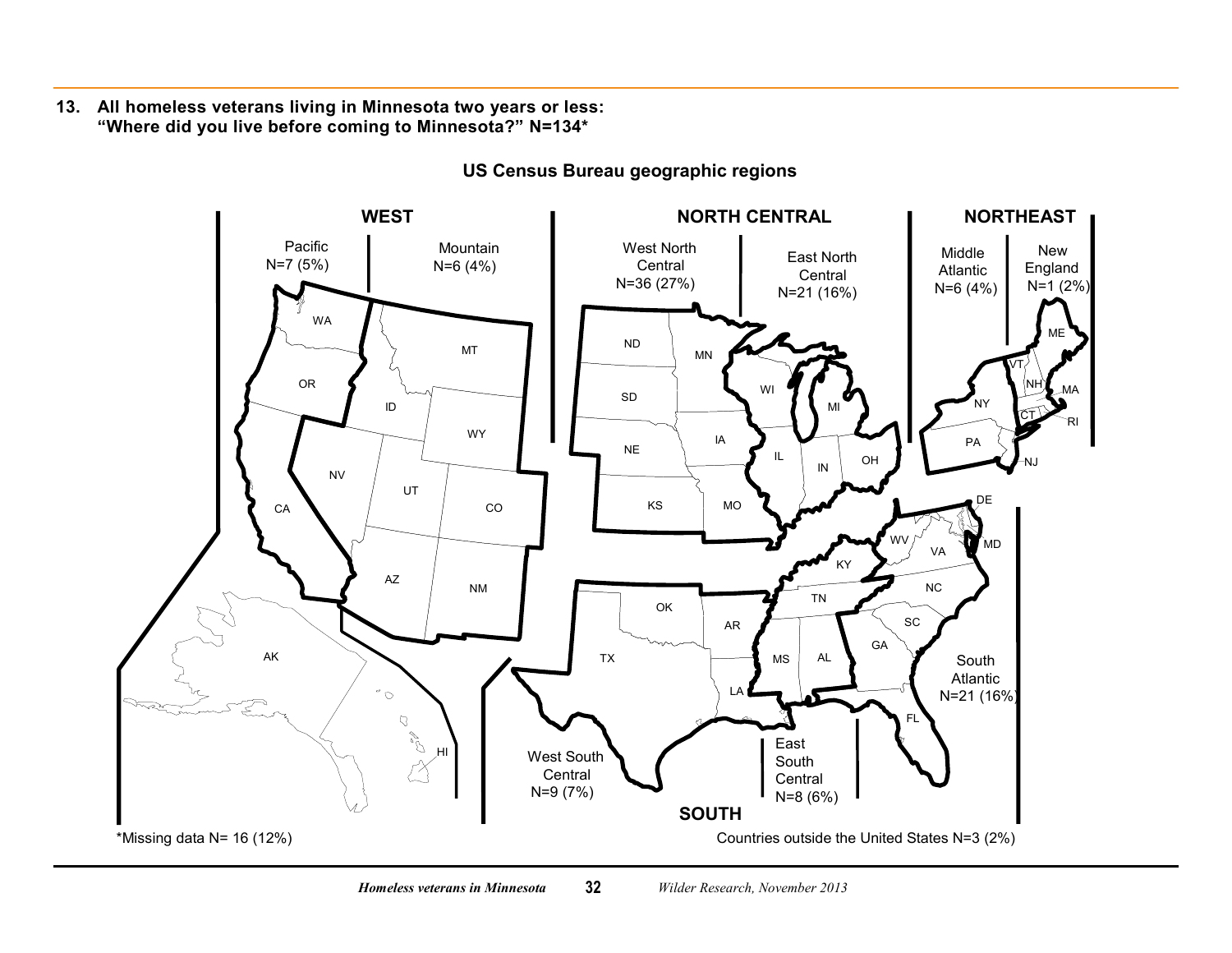**13. All homeless veterans living in Minnesota two years or less: "Where did you live before coming to Minnesota?" N=134\***

l,

<span id="page-36-0"></span>

**US Census Bureau geographic regions**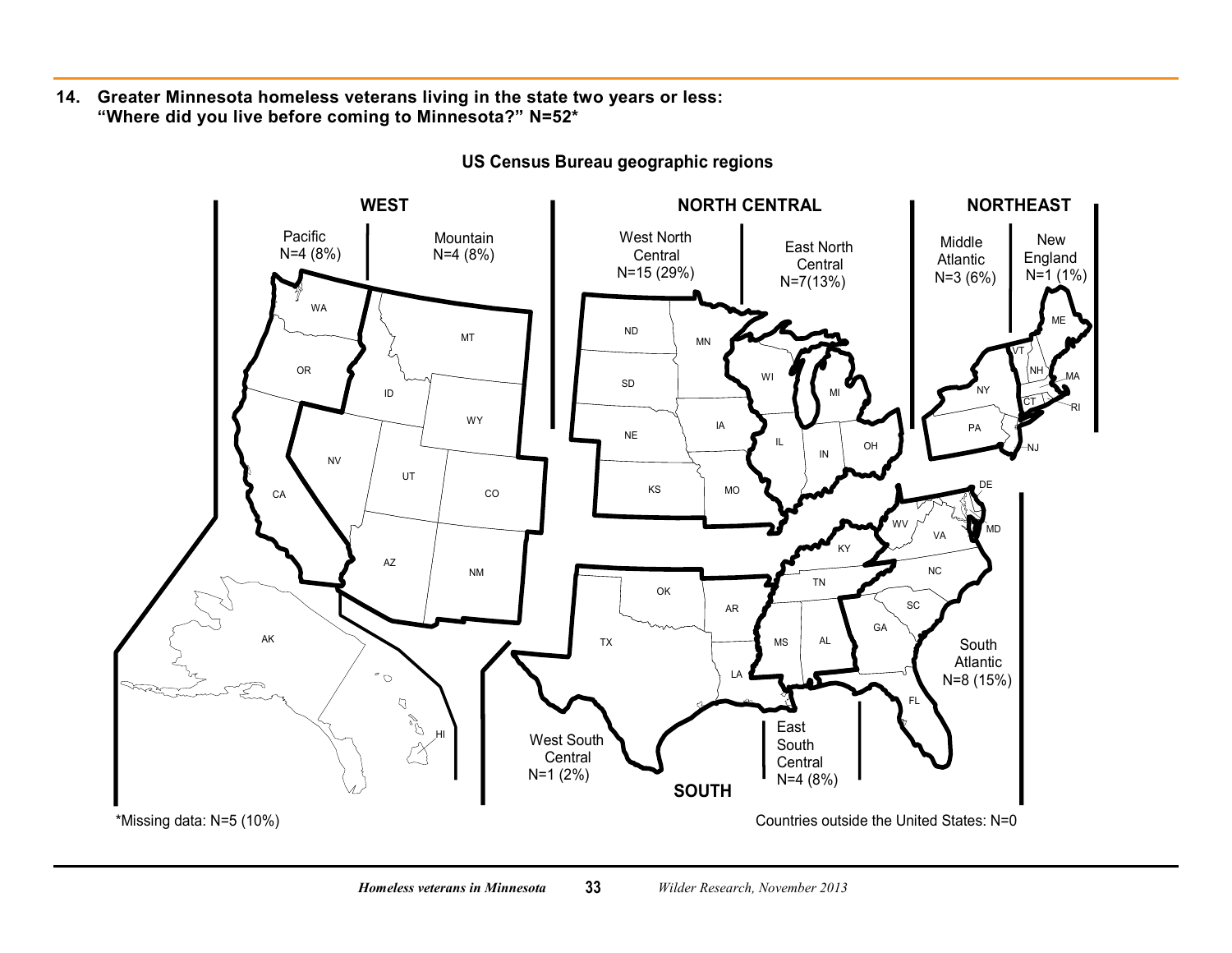**14. Greater Minnesota homeless veterans living in the state two years or less: "Where did you live before coming to Minnesota?" N=52\***

<span id="page-37-0"></span>

**US Census Bureau geographic regions**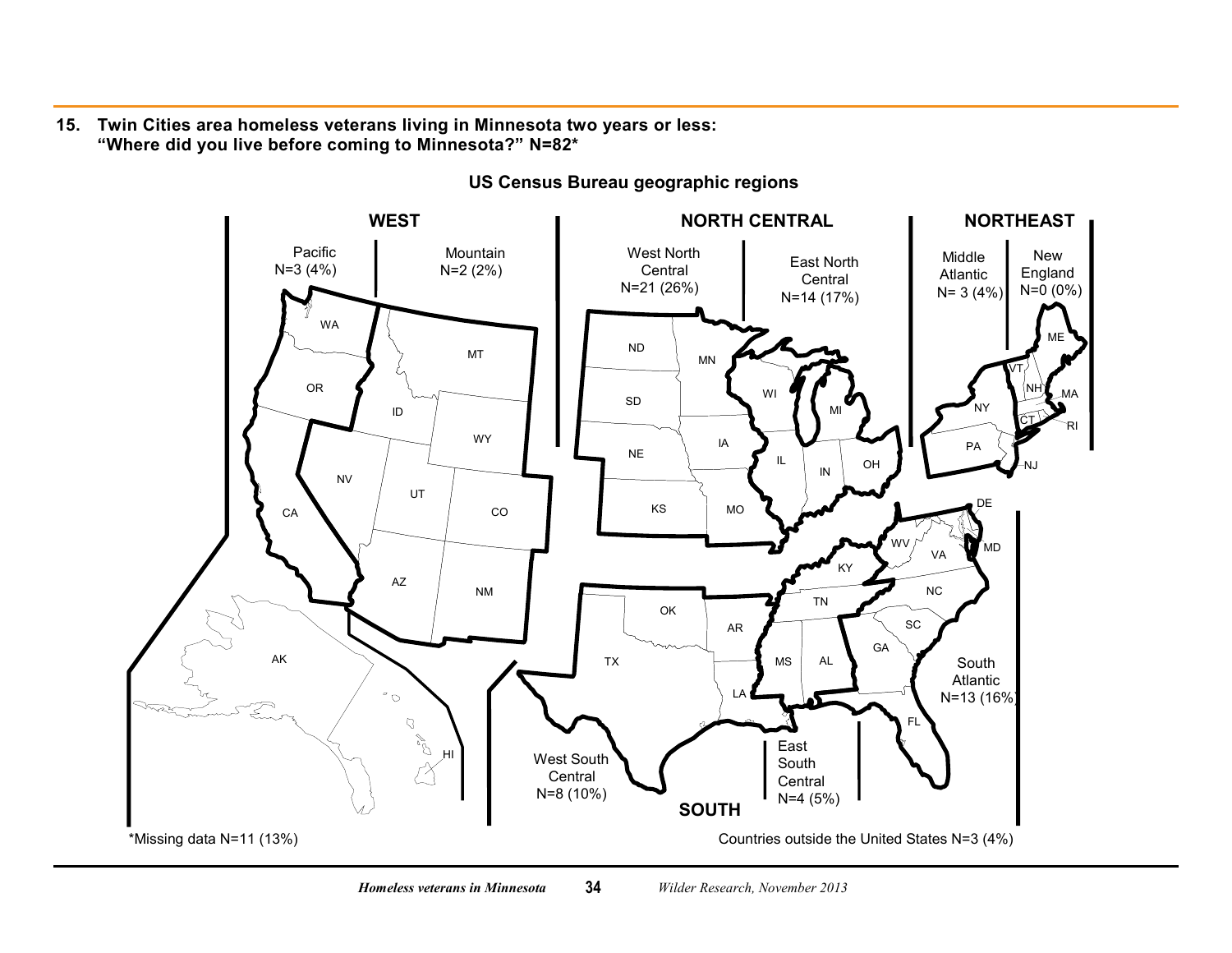**15. Twin Cities area homeless veterans living in Minnesota two years or less: "Where did you live before coming to Minnesota?" N=82\***  $\overline{a}$ 

<span id="page-38-0"></span>

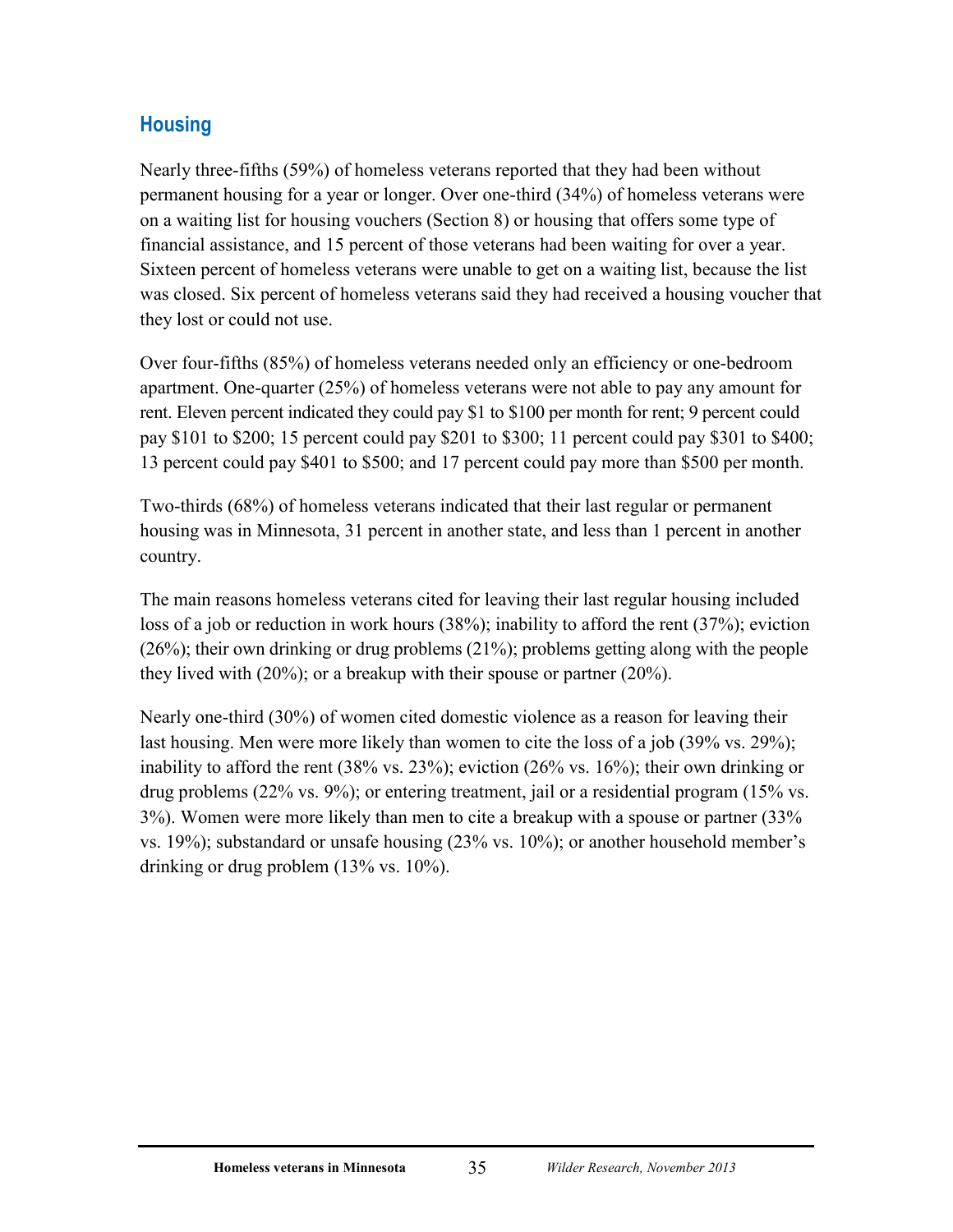# <span id="page-39-0"></span>**Housing**

Nearly three-fifths (59%) of homeless veterans reported that they had been without permanent housing for a year or longer. Over one-third (34%) of homeless veterans were on a waiting list for housing vouchers (Section 8) or housing that offers some type of financial assistance, and 15 percent of those veterans had been waiting for over a year. Sixteen percent of homeless veterans were unable to get on a waiting list, because the list was closed. Six percent of homeless veterans said they had received a housing voucher that they lost or could not use.

Over four-fifths (85%) of homeless veterans needed only an efficiency or one-bedroom apartment. One-quarter (25%) of homeless veterans were not able to pay any amount for rent. Eleven percent indicated they could pay \$1 to \$100 per month for rent; 9 percent could pay \$101 to \$200; 15 percent could pay \$201 to \$300; 11 percent could pay \$301 to \$400; 13 percent could pay \$401 to \$500; and 17 percent could pay more than \$500 per month.

Two-thirds (68%) of homeless veterans indicated that their last regular or permanent housing was in Minnesota, 31 percent in another state, and less than 1 percent in another country.

The main reasons homeless veterans cited for leaving their last regular housing included loss of a job or reduction in work hours (38%); inability to afford the rent (37%); eviction (26%); their own drinking or drug problems (21%); problems getting along with the people they lived with (20%); or a breakup with their spouse or partner (20%).

Nearly one-third (30%) of women cited domestic violence as a reason for leaving their last housing. Men were more likely than women to cite the loss of a job (39% vs. 29%); inability to afford the rent (38% vs. 23%); eviction (26% vs. 16%); their own drinking or drug problems (22% vs. 9%); or entering treatment, jail or a residential program (15% vs. 3%). Women were more likely than men to cite a breakup with a spouse or partner (33% vs. 19%); substandard or unsafe housing (23% vs. 10%); or another household member's drinking or drug problem (13% vs. 10%).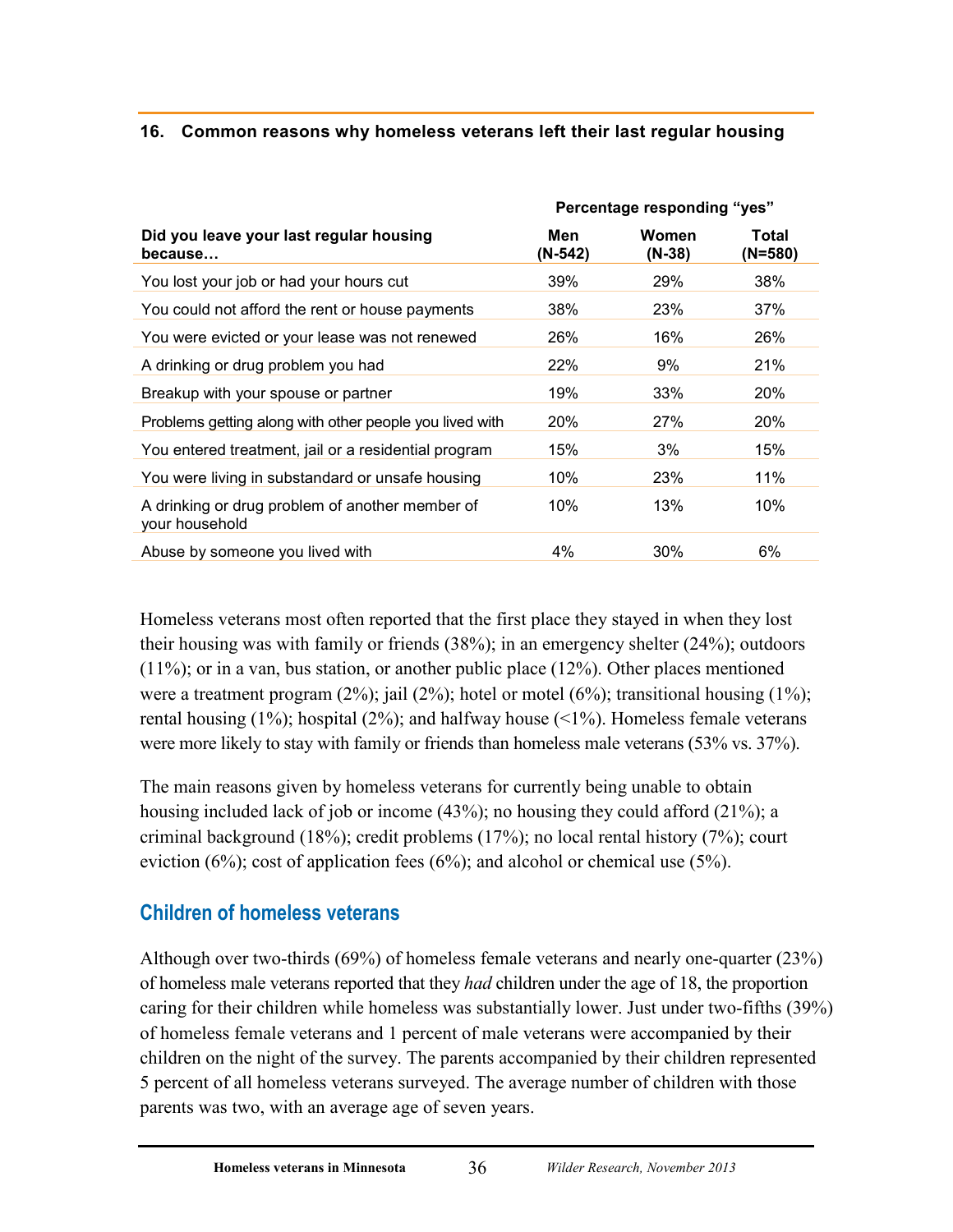## <span id="page-40-1"></span>**16. Common reasons why homeless veterans left their last regular housing**

|                                                                   | Percentage responding "yes" |                   |                  |
|-------------------------------------------------------------------|-----------------------------|-------------------|------------------|
| Did you leave your last regular housing<br>because                | Men<br>(N-542)              | Women<br>$(N-38)$ | Total<br>(N=580) |
| You lost your job or had your hours cut                           | 39%                         | 29%               | 38%              |
| You could not afford the rent or house payments                   | 38%                         | 23%               | 37%              |
| You were evicted or your lease was not renewed                    | 26%                         | 16%               | 26%              |
| A drinking or drug problem you had                                | 22%                         | 9%                | 21%              |
| Breakup with your spouse or partner                               | 19%                         | 33%               | <b>20%</b>       |
| Problems getting along with other people you lived with           | <b>20%</b>                  | 27%               | <b>20%</b>       |
| You entered treatment, jail or a residential program              | 15%                         | 3%                | 15%              |
| You were living in substandard or unsafe housing                  | 10%                         | 23%               | 11%              |
| A drinking or drug problem of another member of<br>your household | 10%                         | 13%               | 10%              |
| Abuse by someone you lived with                                   | 4%                          | 30%               | 6%               |

Homeless veterans most often reported that the first place they stayed in when they lost their housing was with family or friends (38%); in an emergency shelter (24%); outdoors (11%); or in a van, bus station, or another public place (12%). Other places mentioned were a treatment program  $(2\%)$ ; jail  $(2\%)$ ; hotel or motel  $(6\%)$ ; transitional housing  $(1\%)$ ; rental housing  $(1\%)$ ; hospital  $(2\%)$ ; and halfway house  $(1\%)$ . Homeless female veterans were more likely to stay with family or friends than homeless male veterans (53% vs. 37%).

The main reasons given by homeless veterans for currently being unable to obtain housing included lack of job or income (43%); no housing they could afford (21%); a criminal background (18%); credit problems (17%); no local rental history (7%); court eviction (6%); cost of application fees (6%); and alcohol or chemical use (5%).

# <span id="page-40-0"></span>**Children of homeless veterans**

Although over two-thirds (69%) of homeless female veterans and nearly one-quarter (23%) of homeless male veterans reported that they *had* children under the age of 18, the proportion caring for their children while homeless was substantially lower. Just under two-fifths (39%) of homeless female veterans and 1 percent of male veterans were accompanied by their children on the night of the survey. The parents accompanied by their children represented 5 percent of all homeless veterans surveyed. The average number of children with those parents was two, with an average age of seven years.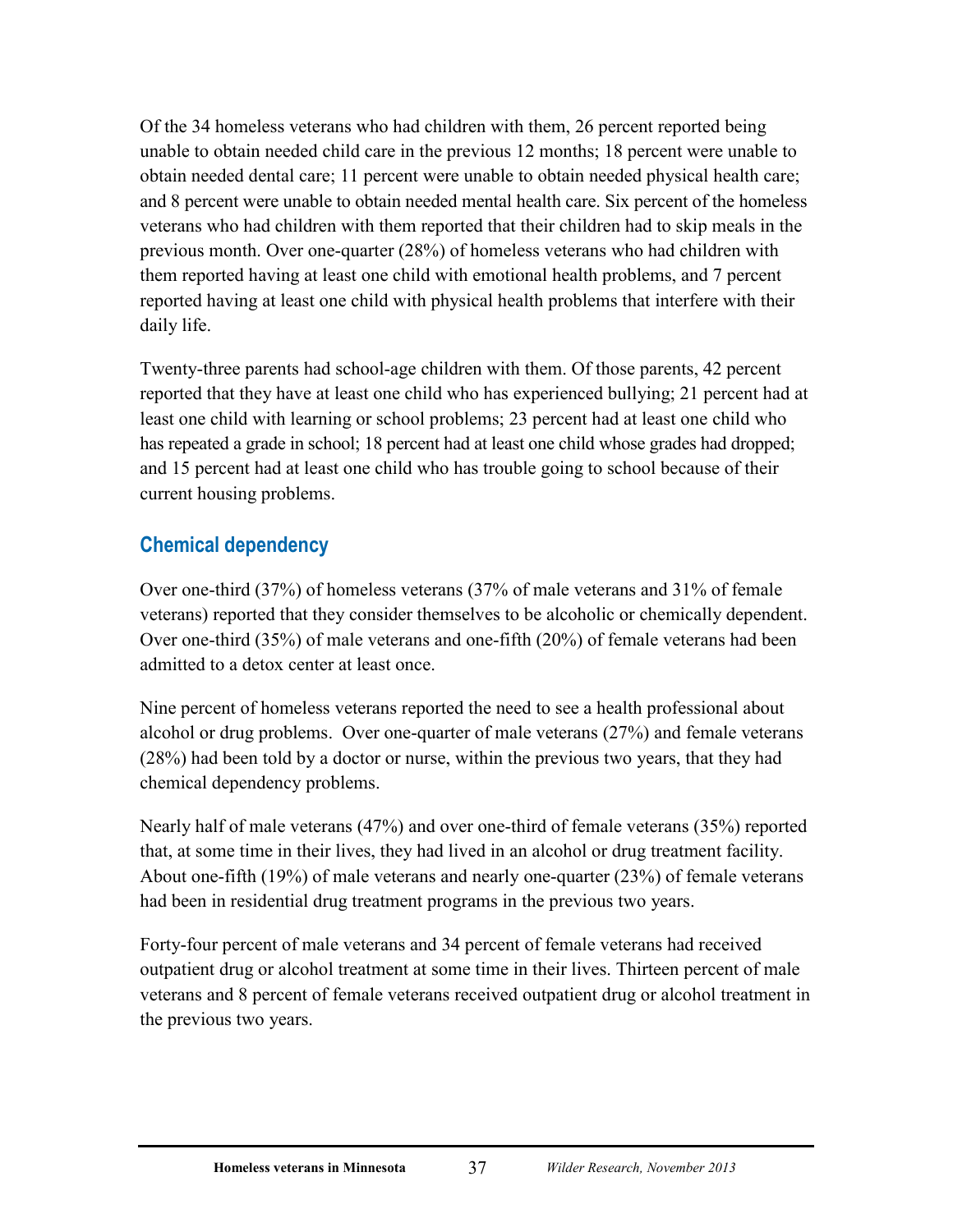Of the 34 homeless veterans who had children with them, 26 percent reported being unable to obtain needed child care in the previous 12 months; 18 percent were unable to obtain needed dental care; 11 percent were unable to obtain needed physical health care; and 8 percent were unable to obtain needed mental health care. Six percent of the homeless veterans who had children with them reported that their children had to skip meals in the previous month. Over one-quarter (28%) of homeless veterans who had children with them reported having at least one child with emotional health problems, and 7 percent reported having at least one child with physical health problems that interfere with their daily life.

Twenty-three parents had school-age children with them. Of those parents, 42 percent reported that they have at least one child who has experienced bullying; 21 percent had at least one child with learning or school problems; 23 percent had at least one child who has repeated a grade in school; 18 percent had at least one child whose grades had dropped; and 15 percent had at least one child who has trouble going to school because of their current housing problems.

## <span id="page-41-0"></span>**Chemical dependency**

Over one-third (37%) of homeless veterans (37% of male veterans and 31% of female veterans) reported that they consider themselves to be alcoholic or chemically dependent. Over one-third (35%) of male veterans and one-fifth (20%) of female veterans had been admitted to a detox center at least once.

Nine percent of homeless veterans reported the need to see a health professional about alcohol or drug problems. Over one-quarter of male veterans (27%) and female veterans (28%) had been told by a doctor or nurse, within the previous two years, that they had chemical dependency problems.

Nearly half of male veterans (47%) and over one-third of female veterans (35%) reported that, at some time in their lives, they had lived in an alcohol or drug treatment facility. About one-fifth (19%) of male veterans and nearly one-quarter (23%) of female veterans had been in residential drug treatment programs in the previous two years.

Forty-four percent of male veterans and 34 percent of female veterans had received outpatient drug or alcohol treatment at some time in their lives. Thirteen percent of male veterans and 8 percent of female veterans received outpatient drug or alcohol treatment in the previous two years.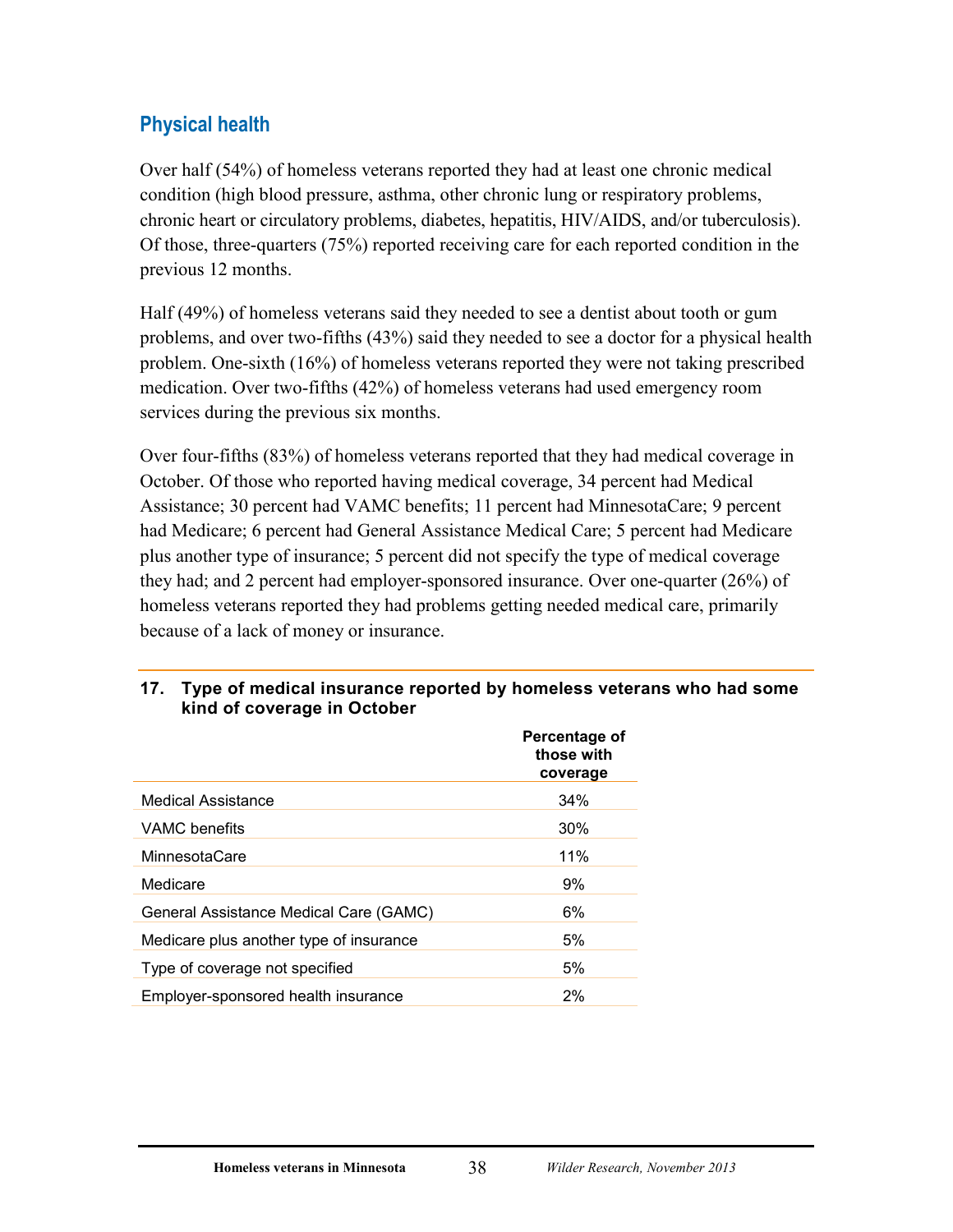# <span id="page-42-0"></span>**Physical health**

Over half (54%) of homeless veterans reported they had at least one chronic medical condition (high blood pressure, asthma, other chronic lung or respiratory problems, chronic heart or circulatory problems, diabetes, hepatitis, HIV/AIDS, and/or tuberculosis). Of those, three-quarters (75%) reported receiving care for each reported condition in the previous 12 months.

Half (49%) of homeless veterans said they needed to see a dentist about tooth or gum problems, and over two-fifths (43%) said they needed to see a doctor for a physical health problem. One-sixth (16%) of homeless veterans reported they were not taking prescribed medication. Over two-fifths (42%) of homeless veterans had used emergency room services during the previous six months.

Over four-fifths (83%) of homeless veterans reported that they had medical coverage in October. Of those who reported having medical coverage, 34 percent had Medical Assistance; 30 percent had VAMC benefits; 11 percent had MinnesotaCare; 9 percent had Medicare; 6 percent had General Assistance Medical Care; 5 percent had Medicare plus another type of insurance; 5 percent did not specify the type of medical coverage they had; and 2 percent had employer-sponsored insurance. Over one-quarter (26%) of homeless veterans reported they had problems getting needed medical care, primarily because of a lack of money or insurance.

# **Percentage of those with coverage** Medical Assistance 34% VAMC benefits 30% MinnesotaCare 11% Medicare 9% General Assistance Medical Care (GAMC) 6% Medicare plus another type of insurance 5% Type of coverage not specified 5% Employer-sponsored health insurance 2%

#### <span id="page-42-1"></span>**17. Type of medical insurance reported by homeless veterans who had some kind of coverage in October**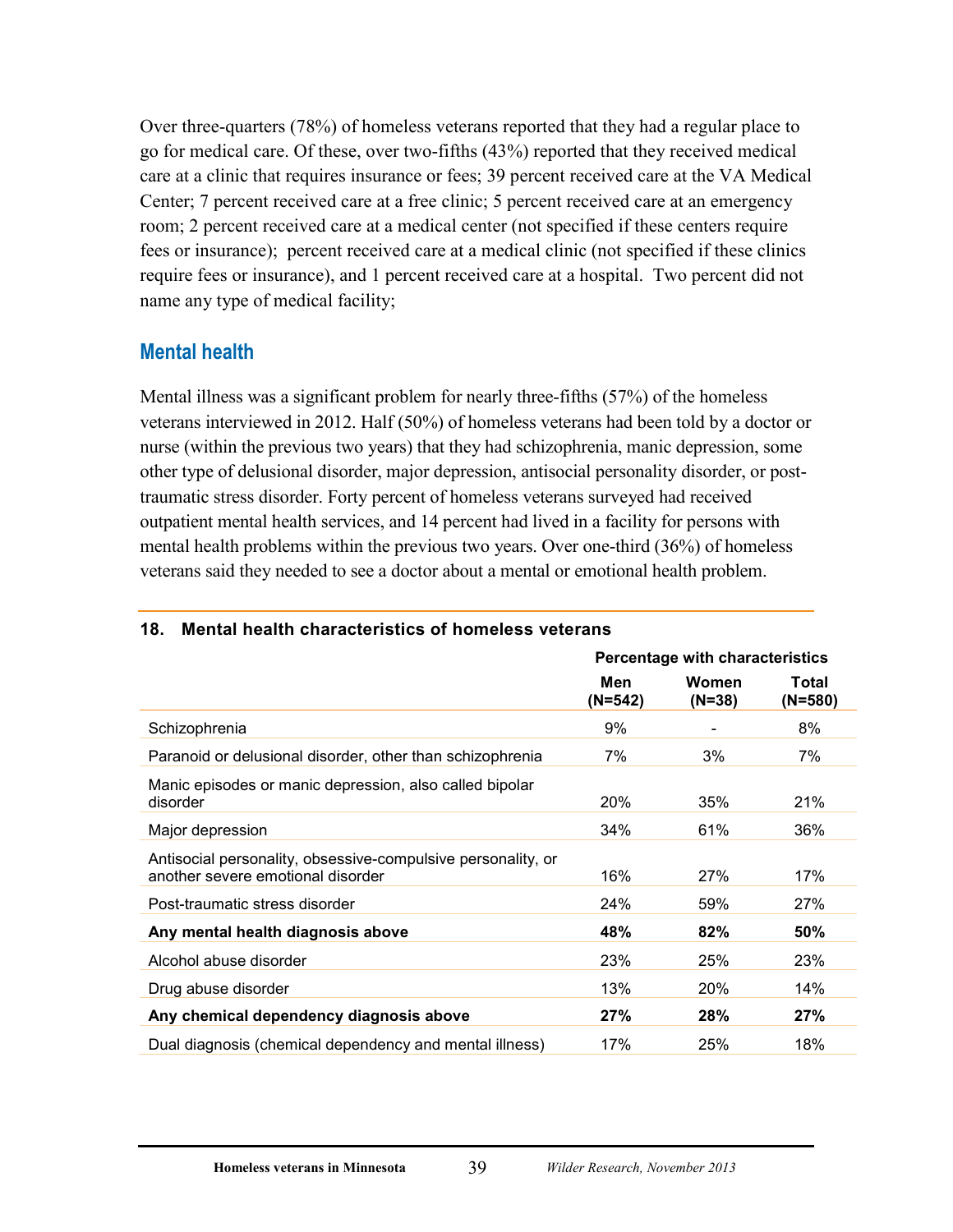Over three-quarters (78%) of homeless veterans reported that they had a regular place to go for medical care. Of these, over two-fifths (43%) reported that they received medical care at a clinic that requires insurance or fees; 39 percent received care at the VA Medical Center; 7 percent received care at a free clinic; 5 percent received care at an emergency room; 2 percent received care at a medical center (not specified if these centers require fees or insurance); percent received care at a medical clinic (not specified if these clinics require fees or insurance), and 1 percent received care at a hospital. Two percent did not name any type of medical facility;

## <span id="page-43-0"></span>**Mental health**

Mental illness was a significant problem for nearly three-fifths (57%) of the homeless veterans interviewed in 2012. Half (50%) of homeless veterans had been told by a doctor or nurse (within the previous two years) that they had schizophrenia, manic depression, some other type of delusional disorder, major depression, antisocial personality disorder, or posttraumatic stress disorder. Forty percent of homeless veterans surveyed had received outpatient mental health services, and 14 percent had lived in a facility for persons with mental health problems within the previous two years. Over one-third (36%) of homeless veterans said they needed to see a doctor about a mental or emotional health problem.

|                                                                                                   | <b>Percentage with characteristics</b> |                          |                    |
|---------------------------------------------------------------------------------------------------|----------------------------------------|--------------------------|--------------------|
|                                                                                                   | Men<br>(N=542)                         | <b>Women</b><br>$(N=38)$ | Total<br>$(N=580)$ |
| Schizophrenia                                                                                     | 9%                                     |                          | 8%                 |
| Paranoid or delusional disorder, other than schizophrenia                                         | 7%                                     | 3%                       | 7%                 |
| Manic episodes or manic depression, also called bipolar<br>disorder                               | <b>20%</b>                             | 35%                      | 21%                |
| Major depression                                                                                  | 34%                                    | 61%                      | 36%                |
| Antisocial personality, obsessive-compulsive personality, or<br>another severe emotional disorder | 16%                                    | 27%                      | 17%                |
| Post-traumatic stress disorder                                                                    | 24%                                    | 59%                      | 27%                |
| Any mental health diagnosis above                                                                 | 48%                                    | 82%                      | 50%                |
| Alcohol abuse disorder                                                                            | 23%                                    | 25%                      | 23%                |
| Drug abuse disorder                                                                               | 13%                                    | 20%                      | 14%                |
| Any chemical dependency diagnosis above                                                           | 27%                                    | 28%                      | 27%                |
| Dual diagnosis (chemical dependency and mental illness)                                           | 17%                                    | 25%                      | 18%                |

#### <span id="page-43-1"></span>**18. Mental health characteristics of homeless veterans**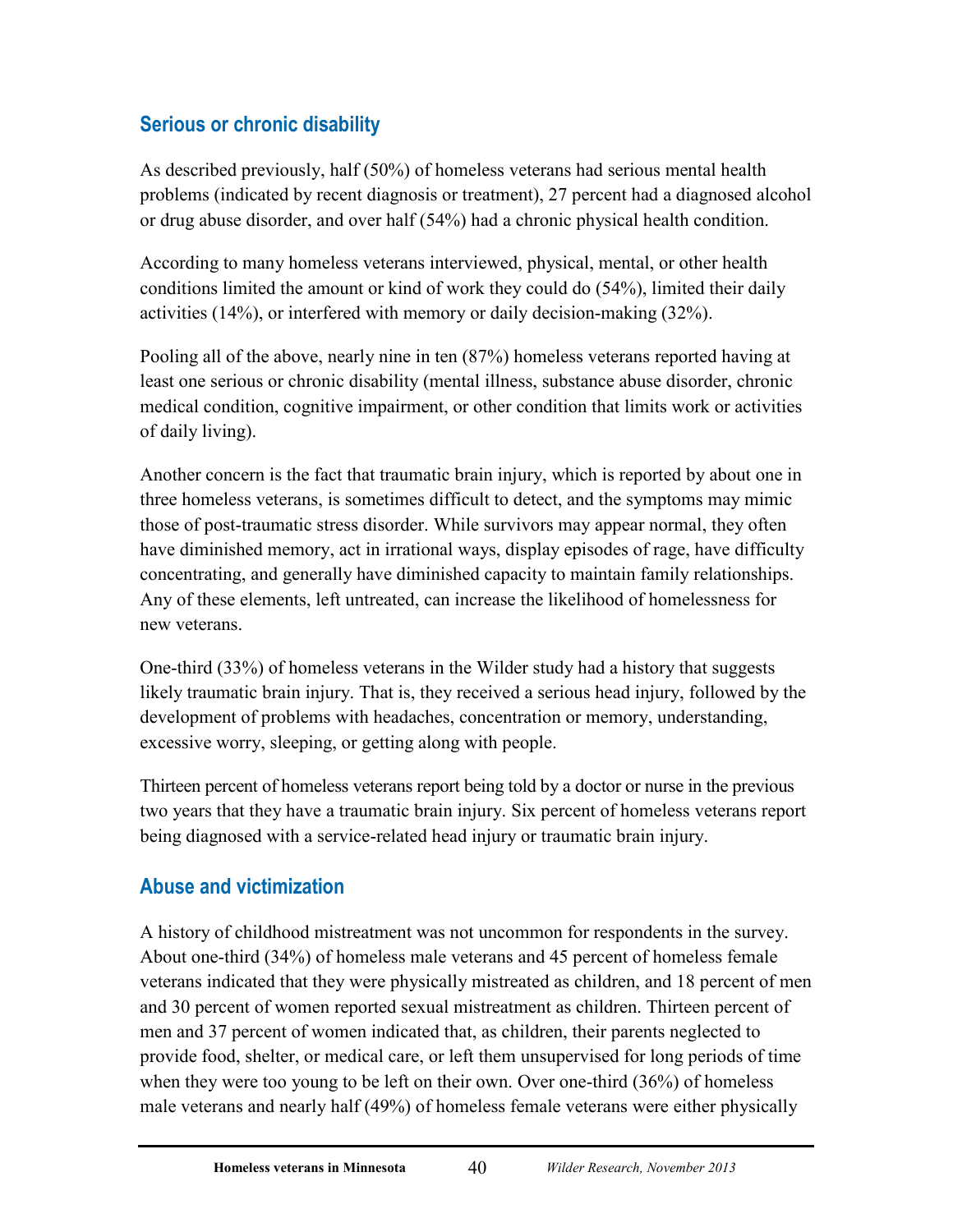# <span id="page-44-0"></span>**Serious or chronic disability**

As described previously, half (50%) of homeless veterans had serious mental health problems (indicated by recent diagnosis or treatment), 27 percent had a diagnosed alcohol or drug abuse disorder, and over half (54%) had a chronic physical health condition.

According to many homeless veterans interviewed, physical, mental, or other health conditions limited the amount or kind of work they could do (54%), limited their daily activities (14%), or interfered with memory or daily decision-making (32%).

Pooling all of the above, nearly nine in ten (87%) homeless veterans reported having at least one serious or chronic disability (mental illness, substance abuse disorder, chronic medical condition, cognitive impairment, or other condition that limits work or activities of daily living).

Another concern is the fact that traumatic brain injury, which is reported by about one in three homeless veterans, is sometimes difficult to detect, and the symptoms may mimic those of post-traumatic stress disorder. While survivors may appear normal, they often have diminished memory, act in irrational ways, display episodes of rage, have difficulty concentrating, and generally have diminished capacity to maintain family relationships. Any of these elements, left untreated, can increase the likelihood of homelessness for new veterans.

One-third (33%) of homeless veterans in the Wilder study had a history that suggests likely traumatic brain injury. That is, they received a serious head injury, followed by the development of problems with headaches, concentration or memory, understanding, excessive worry, sleeping, or getting along with people.

Thirteen percent of homeless veterans report being told by a doctor or nurse in the previous two years that they have a traumatic brain injury. Six percent of homeless veterans report being diagnosed with a service-related head injury or traumatic brain injury.

# <span id="page-44-1"></span>**Abuse and victimization**

A history of childhood mistreatment was not uncommon for respondents in the survey. About one-third (34%) of homeless male veterans and 45 percent of homeless female veterans indicated that they were physically mistreated as children, and 18 percent of men and 30 percent of women reported sexual mistreatment as children. Thirteen percent of men and 37 percent of women indicated that, as children, their parents neglected to provide food, shelter, or medical care, or left them unsupervised for long periods of time when they were too young to be left on their own. Over one-third (36%) of homeless male veterans and nearly half (49%) of homeless female veterans were either physically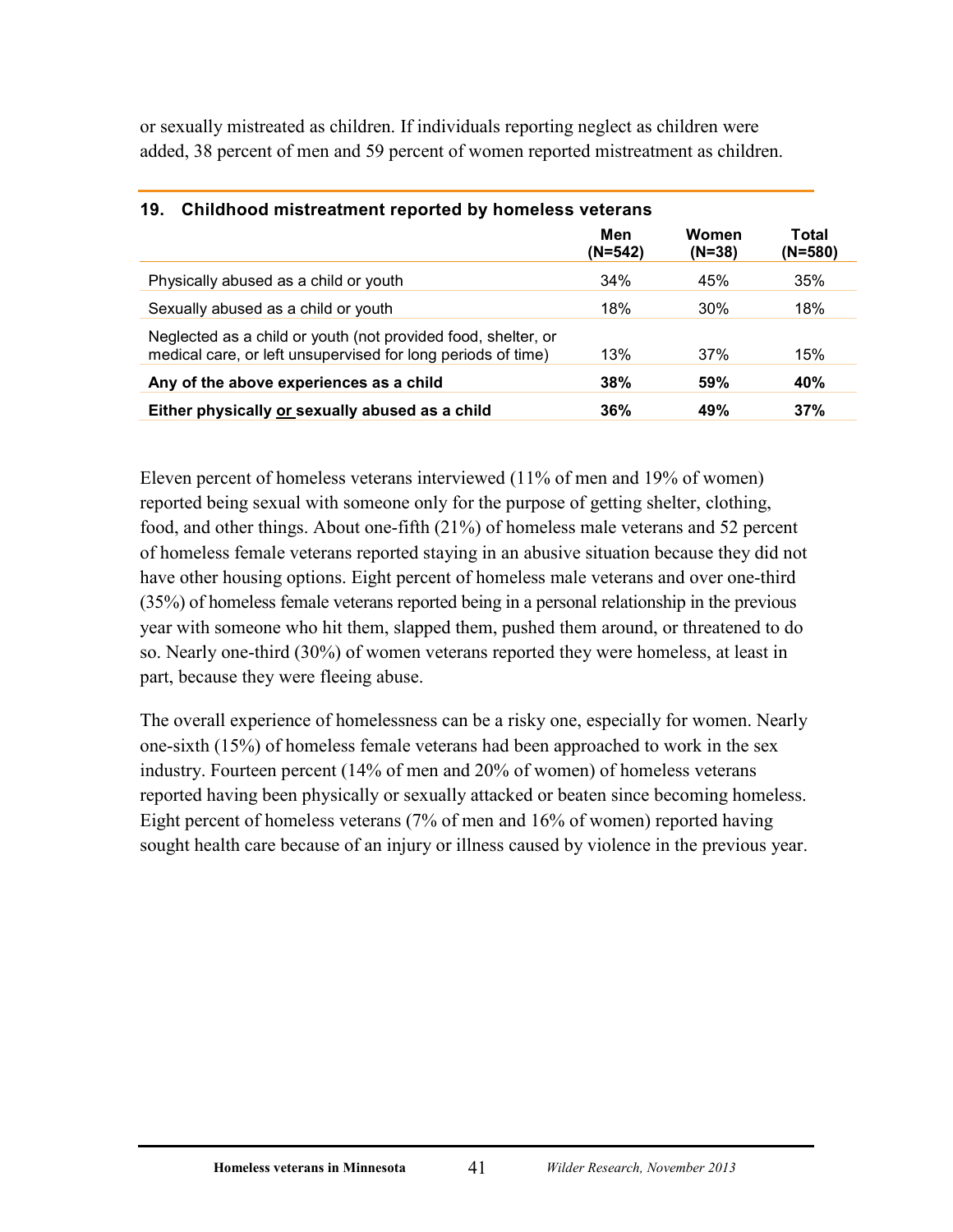or sexually mistreated as children. If individuals reporting neglect as children were added, 38 percent of men and 59 percent of women reported mistreatment as children.

| 15. Childrood mistreatment reported by nomeless veterans                                                                      |                |                   |                    |  |
|-------------------------------------------------------------------------------------------------------------------------------|----------------|-------------------|--------------------|--|
|                                                                                                                               | Men<br>(N=542) | Women<br>$(N=38)$ | Total<br>$(N=580)$ |  |
| Physically abused as a child or youth                                                                                         | 34%            | 45%               | 35%                |  |
| Sexually abused as a child or youth                                                                                           | 18%            | $30\%$            | 18%                |  |
| Neglected as a child or youth (not provided food, shelter, or<br>medical care, or left unsupervised for long periods of time) | 13%            | 37%               | 15%                |  |
| Any of the above experiences as a child                                                                                       | 38%            | 59%               | 40%                |  |
| Either physically or sexually abused as a child                                                                               | 36%            | 49%               | 37%                |  |

## <span id="page-45-0"></span>**19. Childhood mistreatment reported by homeless veterans**

Eleven percent of homeless veterans interviewed (11% of men and 19% of women) reported being sexual with someone only for the purpose of getting shelter, clothing, food, and other things. About one-fifth (21%) of homeless male veterans and 52 percent of homeless female veterans reported staying in an abusive situation because they did not have other housing options. Eight percent of homeless male veterans and over one-third (35%) of homeless female veterans reported being in a personal relationship in the previous year with someone who hit them, slapped them, pushed them around, or threatened to do so. Nearly one-third (30%) of women veterans reported they were homeless, at least in part, because they were fleeing abuse.

The overall experience of homelessness can be a risky one, especially for women. Nearly one-sixth (15%) of homeless female veterans had been approached to work in the sex industry. Fourteen percent (14% of men and 20% of women) of homeless veterans reported having been physically or sexually attacked or beaten since becoming homeless. Eight percent of homeless veterans (7% of men and 16% of women) reported having sought health care because of an injury or illness caused by violence in the previous year.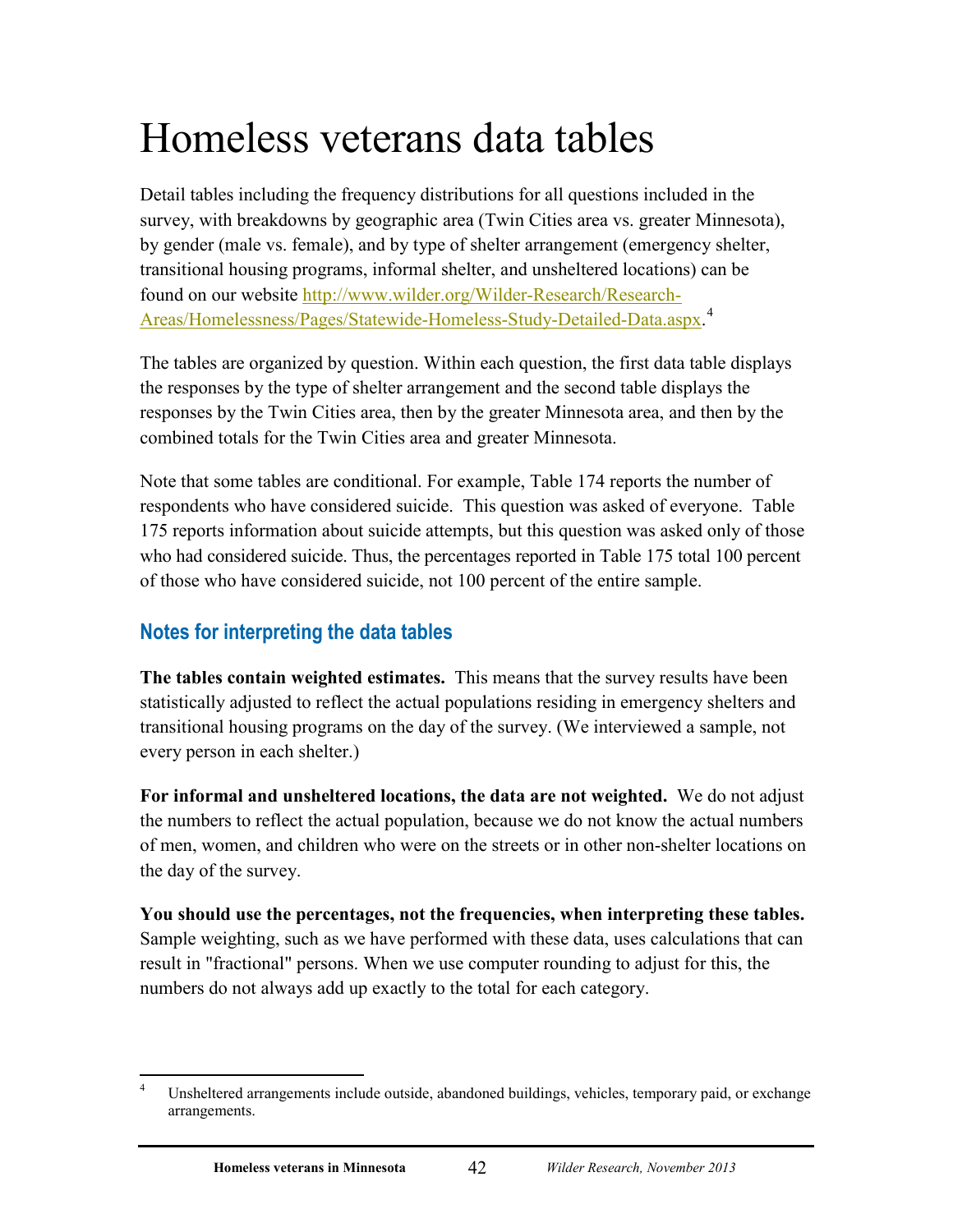# Homeless veterans data tables

Detail tables including the frequency distributions for all questions included in the survey, with breakdowns by geographic area (Twin Cities area vs. greater Minnesota), by gender (male vs. female), and by type of shelter arrangement (emergency shelter, transitional housing programs, informal shelter, and unsheltered locations) can be found on our website [http://www.wilder.org/Wilder-Research/Research-](http://www.wilder.org/Wilder-Research/Research-Areas/Homelessness/Pages/Statewide-Homeless-Study-Detailed-Data.aspx)[Areas/Homelessness/Pages/Statewide-Homeless-Study-Detailed-Data.aspx.](http://www.wilder.org/Wilder-Research/Research-Areas/Homelessness/Pages/Statewide-Homeless-Study-Detailed-Data.aspx) [4](#page-46-1)

The tables are organized by question. Within each question, the first data table displays the responses by the type of shelter arrangement and the second table displays the responses by the Twin Cities area, then by the greater Minnesota area, and then by the combined totals for the Twin Cities area and greater Minnesota.

Note that some tables are conditional. For example, Table 174 reports the number of respondents who have considered suicide. This question was asked of everyone. Table 175 reports information about suicide attempts, but this question was asked only of those who had considered suicide. Thus, the percentages reported in Table 175 total 100 percent of those who have considered suicide, not 100 percent of the entire sample.

# <span id="page-46-0"></span>**Notes for interpreting the data tables**

**The tables contain weighted estimates.** This means that the survey results have been statistically adjusted to reflect the actual populations residing in emergency shelters and transitional housing programs on the day of the survey. (We interviewed a sample, not every person in each shelter.)

**For informal and unsheltered locations, the data are not weighted.** We do not adjust the numbers to reflect the actual population, because we do not know the actual numbers of men, women, and children who were on the streets or in other non-shelter locations on the day of the survey.

**You should use the percentages, not the frequencies, when interpreting these tables.** Sample weighting, such as we have performed with these data, uses calculations that can result in "fractional" persons. When we use computer rounding to adjust for this, the numbers do not always add up exactly to the total for each category.

<span id="page-46-1"></span> $\frac{1}{4}$  Unsheltered arrangements include outside, abandoned buildings, vehicles, temporary paid, or exchange arrangements.